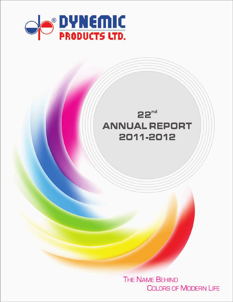



**THE NAME BEHIND COLORS OF MODERN LIFE**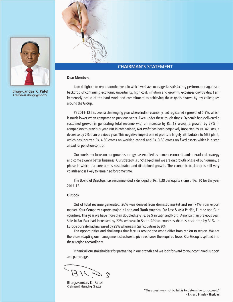

Bhagwandas K. Patel Chairman & Managing Director



# **CHAIRMAN'S STATEMENT**

#### **Dear Members,**

I am delighted to report another year in which we have managed a satisfactory performance against a backdrop of continuing economic uncertainty, high cost, inflation and growing expenses day by day. I am immensely proud of the hard work and commitment to achieving these goals shown by my colleagues around the Group.

FY 2011-12 has been a challenging year where Indian economy had registered a growth of 6.9%, which is much lower when compared to previous years. Even under these tough times, Dynemic had delivered a sustained growth in generating total revenue with an increase by Rs. 18 crores, a growth by 27% in comparison to previous year. But in comparison, Net Profit has been negatively impacted by Rs. 42 Lacs, a decrease by 7% than previous year. This negative impact on net profits is largely attributable to MEE plant, which has incurred Rs. 4.50 crores on working capital and Rs. 3.80 crores on fixed assets which is a step ahead for pollution control.

Our consistent focus on our growth strategy has enabled us to meet economic and operational strategy and come away a better business. Our strategy is unchanged and we are on growth phase of our journey, a phase in which our core aim is sustainable and disciplined growth. The economic backdrop is still very volatile and is likely to remain so for some time.

The Board of Directors has recommended a dividend of Rs. 1.30 per equity share of Rs. 10 for the year  $2011 - 12$ .

#### Outlook

Out of total revenue generated, 26% was derived from domestic market and rest 74% from export market. Your Company exports major in Latin and North America, Far East & Asia Pacific, Europe and Gulf countries. This year we have more than doubled sale i.e. 62% in Latin and North America than previous year. Sale in Far East had increased by 22% whereas in South African countries there is back drop by 31%. In Europe our sale had increased by 29% whereas in Gulf countries by 9%.

The opportunities and challenges that face us around the world differ from region to region. We are therefore adapting our management structure to give each area the required focus. Our Group is splitted into these regions accordingly.

I thank all our stakeholders for partnering in our growth and we look forward to your continued support and patronage.

Bhagwandas K. Patel Chairman & Managing Director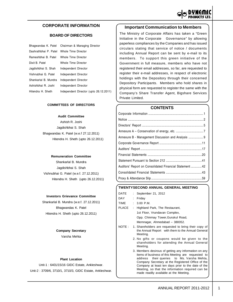

# **CORPORATE INFORMATION**

# **BOARD OF DIRECTORS**

|                       | Bhagwandas K. Patel Chairman & Managing Director |
|-----------------------|--------------------------------------------------|
| Dashrathbhai P. Patel | Whole Time Director                              |
| Rameshbhai B. Patel   | Whole Time Director                              |
| Dixit B. Patel        | Whole Time Director                              |
| Jagdishbhai S. Shah   | Independent Director                             |
| Vishnubhai G. Patel   | Independent Director                             |
| Shankarlal B. Mundra  | Independent Director                             |
| Ashishbhai R. Joshi   | Independent Director                             |
| Hitendra H. Sheth     | Independent Director (upto 26.12.2011)           |

#### **COMMITTEES OF DIRECTORS**

#### **Audit Committee**

Ashish R. Joshi Jagdishbhai S. Shah Bhagwandas K. Patel (w.e.f 27.12.2011) Hitendra H. Sheth (upto 26.12.2011)

#### **Remuneration Committee**

Shankarlal B. Mundra Jagdishbhai S. Shah Vishnubhai G. Patel (w.e.f. 27.12.2011) Hitendra H. Sheth (upto 26.12.2011)

#### **Investors Grievance Committee**

Shankarlal B. Mundra (w.e.f. 27.12.2011) Bhagwandas K. Patel Hitendra H. Sheth (upto 26.12.2011)

#### **Company Secretary**

Varsha Mehta

#### **Plant Location**

Unit-1 : 6401/15/16 GIDC Estate, Ankleshwar. Unit-2 : 3709/6, 3710/1, 3710/3, GIDC Estate, Ankleshwar.

# **Important Communication to Members**

The Ministry of Corporate Affairs has taken a "Green Initiative in the Corporate Governance" by allowing paperless compliances by the Companies and has issued circulars stating that service of notice / documents including Annual Report can be sent by e-mail to its members. To support this green initiative of the Government in full measure, members who have not registered their email addresses, so far, are requested to register their e-mail addresses, in respect of electronic holdings with the Depository through their concerned Depository Participants. Members who hold shares in physical form are requested to register the same with the Company's Share Transfer Agent, Bigshare Services Private Limited.

#### **CONTENTS**

| Annexure B - Management Discussion and Analysis  9      |
|---------------------------------------------------------|
|                                                         |
|                                                         |
|                                                         |
|                                                         |
| Auditors' Report on Consolidated Financial Statement 42 |
|                                                         |
|                                                         |

#### **TWENTYSECOND ANNUAL GENERAL MEETING**

| DATE   |   | September 21, 2012                                                                                                                                                                                                                                                                                                                                                 |
|--------|---|--------------------------------------------------------------------------------------------------------------------------------------------------------------------------------------------------------------------------------------------------------------------------------------------------------------------------------------------------------------------|
| DAY    |   | Friday                                                                                                                                                                                                                                                                                                                                                             |
| TIME   | ÷ | 3.00 P.M.                                                                                                                                                                                                                                                                                                                                                          |
| PLACE  | t | Highland Park, The Restaurant,                                                                                                                                                                                                                                                                                                                                     |
|        |   | 1st Floor, Vrundavan Complex,                                                                                                                                                                                                                                                                                                                                      |
|        |   | Opp. Chinmay Tower, Gurukul Road,                                                                                                                                                                                                                                                                                                                                  |
|        |   | Memnagar, Ahmedabad - 380052.                                                                                                                                                                                                                                                                                                                                      |
| NOTE : |   | 1. Shareholders are requested to bring their copy of<br>the Annual Report with them to the Annual General<br>Meeting.                                                                                                                                                                                                                                              |
|        |   | 2. No gifts or coupons would be given to the<br>shareholders for attending the Annual General<br>Meeting.                                                                                                                                                                                                                                                          |
|        |   | 3. Members desirous of getting any information on any<br>items of business of this Meeting are requested to<br>address their queries to Ms. Varsha Mehta,<br>Company Secretary at the Registered Office of the<br>Company at least ten days prior to the date of the<br>Meeting, so that the information required can be<br>made readily available at the Meeting. |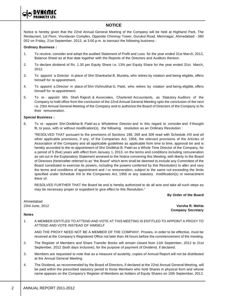

# **NOTICE**

Notice is hereby given that the 22nd Annual General Meeting of the Company will be held at Highland Park, The Restaurant, 1st Floor, Vrundavan Complex, Opposite Chinmay Tower, Gurukul Road, Memnagar, Ahmedabad - 380 052 on Friday, 21st September, 2012, at 3.00 p.m. to transact the following business :

#### **Ordinary Business :**

- 1. To receive, consider and adopt the audited Statement of Profit and Loss for the year ended 31st March, 2012, Balance Sheet as at that date together with the Reports of the Directors and Auditors thereon.
- 2. To declare dividend of Rs. 1.30 per Equity Share i.e. 13% per Equity Share for the year ended 31st March, 2012.
- 3. To appoint a Director in place of Shri Shankarlal B. Mundra, who retires by rotation and being eligible, offers himself for re-appointment.
- 4. To appoint a Director in place of Shri Vishnubhai G. Patel, who retires by rotation and being eligible, offers himself for re-appointment.
- 5. To re appoint M/s Shah Rajesh & Associates, Chartered Accountants, as Statutory Auditors of the Company to hold office from the conclusion of the 22nd Annual General Meeting upto the conclusion of the next i.e. 23rd Annual General Meeting of the Company and to authorize the Board of Directors of the Company to fix their remuneration.

# **Special Business :**

6. To re - appoint Shri Dixitbhai B. Patel as a Wholetime Director and in this regard to consider and if thought fit, to pass, with or without modification(s), the following resolution as an Ordinary Resolution :

"RESOLVED THAT pursuant to the provisions of Sections 198, 269 and 309 read with Schedule XIII and all other applicable provisions, if any, of the Companies Act, 1956, the relevant provisions of the Articles of Association of the Company and all applicable guidelines as applicable from time to time, approval be and is hereby accorded to the re-appointment of Shri Dixitbhai B. Patel as a Whole Time Director of the Company, for a period of 5 (five) years with effect from January 1, 2013, on the terms and conditions including remuneration as set out in the Explanatory Statement annexed to the Notice convening this Meeting, with liberty to the Board of Directors (hereinafter referred to as "the Board" which term shall be deemed to include any Committee of the Board constituted to exercise its powers, including the powers conferred by this Resolution) to alter and vary the terms and conditions of appointment and / or remuneration, subject to the same not exceeding the limits specified under Schedule XIII to the Companies Act, 1956 or any statutory modification(s) or reenactment there of.

RESOLVED FURTHER THAT the Board be and is hereby authorized to do all acts and take all such steps as may be necessary proper or expedient to give effect to this Resolution."

**By Order of the Board**

Ahmedabad

**Notes**

23rd June, 2012 **Varsha R. Mehta Company Secretary**

# 1. A MEMBER ENTITLED TO ATTEND AND VOTE AT THIS MEETING IS ENTITLED TO APPOINT A PROXY TO ATTEND AND VOTE INSTEAD OF HIMSELF

AND THE PROXY NEED NOT BE A MEMBER OF THE COMPANY. Proxies, in order to be effective, must be received at the Company's Registered Office not later than 48 hours before the commencement of the meeting.

- 2. The Register of Members and Share Transfer Books will remain closed from 11th September, 2012 to 21st September, 2012 (both days inclusive), for the purpose of payment of Dividend, if declared.
- 3. Members are requested to note that as a measure of austerity, copies of Annual Report will not be distributed at the Annual General Meeting.
- 4. The Dividend, as recommended by the Board of Directors, if declared at the 22nd Annual General Meeting, will be paid within the prescribed statutory period to those Members who hold Shares in physical form and whose name appears on the Company's Register of Members as holders of Equity Shares on 10th September, 2012.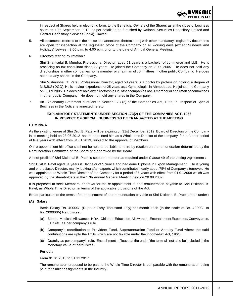

In respect of Shares held in electronic form, to the Beneficial Owners of the Shares as at the close of business hours on 10th September, 2012, as per details to be furnished by National Securities Depository Limited and Central Depository Services (India) Limited.

- 5. All documents referred to in the notice and annexures thereto along with other mandatory registers / documents are open for inspection at the registered office of the Company on all working days (except Sundays and Holidays) between 2.00 p.m. to 4.00 p.m. prior to the date of Annual General Meeting.
- 6. Directors retiring by rotation :

Shri Shankarlal B. Mundra, Professional Director, aged 51 years is a bachelor of commerce and LLB. He is practicing as tax consultant since 22 years. He joined the Company on 29.09.2005. He does not hold any directorships in other companies nor is member or chairman of committees in other public Company. He does not hold any shares in the Company.

Shri Vishnubhai G. Patel, Professional Director, aged 58 years is a doctor by profession holding a degree of M.B.B.S (DGO). He is having experience of 25 years as a Gynecologist in Ahmedabad. He joined the Company on 08.09.2005. He does not hold any directorships in other companies nor is member or chairman of committees in other public Company. He does not hold any shares in the Company.

7. An Explanatory Statement pursuant to Section 173 (2) of the Companies Act, 1956, in respect of Special Business in the Notice is annexed hereto.

#### **EXPLANATORY STATEMENTS UNDER SECTION 173(2) OF THE COMPANIES ACT, 1956 IN RESPECT OF SPECIAL BUSINESS TO BE TRANSACTED AT THE MEETING**

#### **ITEM No. 6**

As the existing tenure of Shri Dixit B. Patel will be expiring on 31st December 2012, Board of Directors of the Company in its meeting held on 23.06.2012 has re-appointed him as a Whole-time Director of the company for a further period of five years with effect from 01.01.2013, subject to the approval of Members.

On re-appointment his office shall not be held to be liable to retire by rotation on the remuneration determined by the Remuneration Committee of the Board and approved by the Board.

A brief profile of Shri Dixitbhai B. Patel is setout hereunder as required under Clause 49 of the Listing Agreement :-

Shri Dixit B. Patel aged 31 years is Bachelor of Science and had done Diploma in Export Management. He is young and enthusiastic Director, mainly looking after exports which contributes nearly about 75% of Company's turnover. He was appointed as Whole Time Director of the Company for a period of 5 years with effect from 01.01.2008 which was approved by the shareholders in the 17th Annual General Meeting held on 20.08.2007.

It is proposed to seek Members' approval for the re-appointment of and remuneration payable to Shri Dixitbhai B. Patel, as Whole Time Director, in terms of the applicable provisions of the Act.

Broad particulars of the terms of re-appointment of and remuneration payable to Shri Dixitbhai B. Patel are as under :

**(A) Salary :**

Basic Salary Rs. 40000/- (Rupees Forty Thousand only) per month each (in the scale of Rs. 40000/- to Rs. 200000/-) Perquisites :

- (a) Bonus, Medical Allowance, HRA, Children Education Allowance, Entertainment Expenses, Conveyance, LTC etc. as per company's rule.
- (b) Company's contribution to Provident Fund, Superannuation Fund or Annuity Fund where the said contributions are upto the limits which are not taxable under the income-tax Act, 1961.
- (c) Gratuity as per company's rule. Encashment of leave at the end of the term will not also be included in the monetary value of perquisites.

#### **Period :**

From 01.01.2013 to 31.12.2017

The remuneration proposed to be paid to the Whole Time Director is comparable with the remuneration being paid for similar assignments in the industry.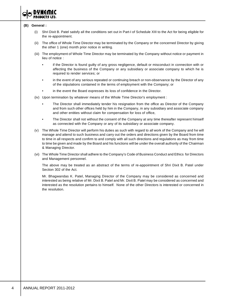

#### **(B) General :**

- (i) Shri Dixit B. Patel satisfy all the conditions set out in Part-I of Schedule XIII to the Act for being eligible for the re-appointment.
- (ii) The office of Whole Time Director may be terminated by the Company or the concerned Director by giving the other 1 (one) month prior notice in writing.
- (iii) The employment of Whole Time Director may be terminated by the Company without notice or payment in lieu of notice :
	- if the Director is found guilty of any gross negligence, default or misconduct in connection with or affecting the business of the Company or any subsidiary or associate company to which he is required to render services; or
	- in the event of any serious repeated or continuing breach or non-observance by the Director of any of the stipulations contained in the terms of employment with the Company; or
	- in the event the Board expresses its loss of confidence in the Director.
- (iv) Upon termination by whatever means of the Whole Time Director's employment :
	- The Director shall immediately tender his resignation from the office as Director of the Company and from such other offices held by him in the Company, in any subsidiary and associate company and other entities without claim for compensation for loss of office,
	- The Director shall not without the consent of the Company at any time thereafter represent himself as connected with the Company or any of its subsidiary or associate company.
- (v) The Whole Time Director will perform his duties as such with regard to all work of the Company and he will manage and attend to such business and carry out the orders and directions given by the Board from time to time in all respects and confirm to and comply with all such directions and regulations as may from time to time be given and made by the Board and his functions will be under the overall authority of the Chairman & Managing Director.
- (vi) The Whole Time Director shall adhere to the Company's Code of Business Conduct and Ethics for Directors and Management personnel.

The above may be treated as an abstract of the terms of re-appointment of Shri Dixit B. Patel under Section 302 of the Act.

Mr. Bhagwandas K. Patel, Managing Director of the Company may be considered as concerned and interested as being relative of Mr. Dixit B. Patel and Mr. Dixit B. Patel may be considered as concerned and interested as the resolution pertains to himself. None of the other Directors is interested or concerned in the resolution.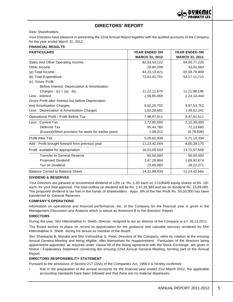# **DIRECTORS' REPORT**

Dear Shareholders,

Your Directors have pleasure in presenting the 22nd Annual Report together with the audited accounts of the Company for the year ended March 31, 2012.

#### **FINANCIAL RESULTS**

| <b>PARTICULARS</b>                                   | <b>YEAR ENDED ON</b>  | <b>YEAR ENDED ON</b>  |  |
|------------------------------------------------------|-----------------------|-----------------------|--|
|                                                      | <b>MARCH 31, 2012</b> | <b>MARCH 31, 2011</b> |  |
| Sales And Other Operating Income                     | 82,93,53,122          | 64, 95, 77, 225       |  |
| Other Income                                         | 29,60,299             | 43,02,683             |  |
| (a) Total Income:                                    | 83,23,13,421          | 65,38,79,909          |  |
| (b) Total Expenditure :                              | 72,01,01,751          | 54, 17, 11, 713       |  |
| (c) Gross Profit:                                    |                       |                       |  |
| Before Interest, Depreciation & Amortisation         |                       |                       |  |
| Charges : $(c) = (a) - (b)$                          | 11,22,11,670          | 11,21,68,196          |  |
| Less: Interest                                       | 1,59,85,968           | 1,24,14,444           |  |
| Gross Profit after Interest but before Depreciation  |                       |                       |  |
| and Amortisation Charges                             | 9,62,25,702           | 9,97,53,752           |  |
| Less: Depreciation & Amortisation Charges            | 1,63,28,691           | 1,49,62,241           |  |
| Operational Profit / Profit Before Tax               | 7,98,97,011           | 8,47,91,511           |  |
| Less: Current Tax                                    | 1,72,80,000           | 2,10,39,000           |  |
| Deferred Tax                                         | 95,44,760             | 72,13,685             |  |
| (Excess)/Short provision for taxes for earlier years | 1,09,312              | (5,79,508)            |  |
| Profit After Tax                                     | 5,29,62,939           | 5,71,18,334           |  |
| Add : Profit brought forward from previous year      | 11,23,42,564          | 8,00,39,175           |  |
| Profit available for appropriation                   | 16,53,05,503          | 13,71,57,509          |  |
| <b>Transfer to General Reserve</b>                   | 50,00,000             | 50,00,000             |  |
| Proposed Dividend                                    | 1,47,26,984           | 1,69,92,674           |  |
| Tax on Dividend                                      | 23,89,085             | 28,22,271             |  |
| <b>Balance Carried to Balance Sheet</b>              | 14,31,89,434          | 11,23,42,564          |  |

#### **DIVIDEND & RESERVES**

Your Directors are pleased to recommend dividend of 13% i.e. Rs. 1.30 each on 11328449 equity shares of Rs. 10/ each, for your final approval. The total outflow on dividend will be Rs. 1,47,26,984 and tax on dividend Rs. 23,89,085. The proposed dividend is tax free in the hands of shareholders. Appx. 9% of the Net Profit Rs. 50,00,000 has been transferred to General Reserves.

#### **COMPANY'S OPERATIONS**

Information on operational and financial performance, etc. of the Company for the financial year is given in the Management Discussion and Analysis which is setout as Annexure B to the directors' Report.

#### **DIRECTORS**

During the year, Shri Hitendrabhai H. Sheth, Director, resigned to act as director of the Company w.e.f. 26.12.2011.

The Board wishes to place on record its appreciation for the guidance and valuable services rendered by Shri Hitendrabhai H. Sheth during his tenure as member of the Board.

Shri Shankarlal B. Mundra and Shri Vishnubhai G. Patel, Directors of the Company, retire by rotation at the ensuing Annual General Meeting and being eligible, offer themselves for reappointment. Particulars of the directors being appointed/re-appointed, as required under clause 49 of the listing agreement with the Stock Exchange, are given in Notice / Explanatory Statement convening the ensuing 22nd Annual General Meeting, forming part of the Annual Report.

#### **DIRECTORS RESPONSIBILITY STATEMENT**

Pursuant to the provisions of Section 217 (2AA) of the Companies Act, 1956 it is hereby confirmed :

• that in the preparation of the annual accounts for the financial year ended 31st March 2012, the applicable accounting standards have been followed and that there are no material departures;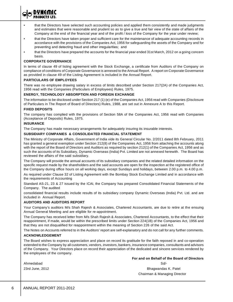

- that the Directors have taken proper and sufficient care for the maintenance of adequate accounting records in accordance with the provisions of the Companies Act, 1956 for safeguarding the assets of the Company and for preventing and detecting fraud and other irregularities; and
- that the Directors have prepared the accounts for the financial year ended 31st March, 2012 on a going concern basis.

#### **CORPORATE GOVERNANCE**

In terms of clause 49 of listing agreement with the Stock Exchange, a certificate from Auditors of the Company on compliance of conditions of Corporate Governance is annexed to the Annual Report. A report on Corporate Governance as provided in clause 49 of the Listing Agreement is included in the Annual Report.

#### **PARTICULARS OF EMPLOYEES**

There was no employee drawing salary in excess of limits described under Section 217(2A) of the Companies Act, 1956 read with the Companies (Particulars of Employees) Rules, 1975.

#### **ENERGY, TECHNOLOGY ABSORPTION AND FOREIGN EXCHANGE**

The information to be disclosed under Section 217 (1) (e) of the Companies Act, 1956 read with Companies (Disclosure of Particulars in The Report of Board of Directors) Rules, 1988, are set out in Annexure A to this Report.

#### **FIXED DEPOSITS**

The company has complied with the provisions of Section 58A of the Companies Act, 1956 read with Companies (Acceptance of Deposits) Rules, 1975.

#### **INSURANCE**

The Company has made necessary arrangements for adequately insuring its insurable interests.

#### **SUBSIDIARY COMPANIES & CONSOLIDATED FINANCIAL STATEMENT**

The Ministry of Corporate Affairs, Government of India vide its General Circular No. 2/2011 dated 8th February, 2011 has granted a general exemption under Section 212(8) of the Companies Act, 1956 from attaching the accounts along with the report of the Board of Directors and Auditors as required by section 212(1) of the Companies Act, 1956 and as such the accounts of its Subsidiary, Dynamic Overseas (India) Pvt. Limited are not annexed herewith. The Board has reviewed the affairs of the said subsidiary.

The Company will provide the annual accounts of its subsidiary companies and the related detailed information on the specific request made by the shareholders and the said accounts are open for the inspection at the registered office of the Company during office hours on all working days, except Sundays and holidays, between 2.00 p.m. to 4.00 p.m.

As required under Clause 32 of Listing Agreement with the Bombay Stock Exchange Limited and in accordance with the requirements of Accounting

Standard AS-21, 23 & 27 issued by the ICAI, the Company has prepared Consolidated Financial Statements of the Company. The audited

consolidated financial results include results of its subsidiary company Dynamic Overseas (India) Pvt. Ltd. and are included in Annual Report.

#### **AUDITORS AND AUDITORS REPORT**

Your Company's auditors M/s Shah Rajesh & Associates, Chartered Accountants, are due to retire at the ensuing Annual General Meeting and are eligible for re-appointment.

The Company has received letter from M/s Shah Rajesh & Associates, Chartered Accountants, to the effect that their reappointment, if made, would be within the prescribed limits under Section 224(1B) of the Companies Act, 1956 and that they are not disqualified for reappointment within the meaning of Section 226 of the said Act.

The Notes on Accounts referred to in the Auditors' report are self-explanatory and do not call for any further comments.

#### **ACKNOWLEDGEMENT**

The Board wishes to express appreciation and place on record its gratitude for the faith reposed in and co-operation extended to the Company by all customers, vendors, investors, bankers, insurance companies, consultants and advisors of the Company. Your Directors place on record their appreciation of the dedicated and sincere services rendered by the employees of the company.

**For and on Behalf of the Board of Directors**

Ahmedabad Sd/-

23rd June, 2012 Bhagwandas K. Patel Chairman & Managing Director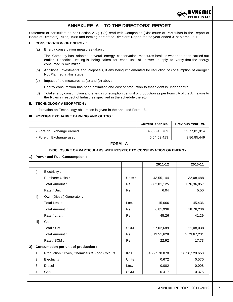

# **ANNEXURE A - TO THE DIRECTORS' REPORT**

Statement of particulars as per Section 217(1) (e) read with Companies (Disclosure of Particulars in the Report of Board of Directors) Rules, 1988 and forming part of the Directors' Report for the year ended 31st March, 2012.

#### **I. CONSERVATION OF ENERGY :**

(a) Energy conservation measures taken :

The Company has adopted several energy conservation measures besides what had been carried out earlier. Periodical testing is being taken for each unit of power supply to verify that the energy consumed is minimized.

- (b) Additional Investments and Proposals, if any being implemented for reduction of consumption of energy : Not Planned at this stage.
- (c) Impact of the measures at (a) and (b) above :

Energy consumption has been optimized and cost of production to that extent is under control.

(d) Total energy consumption and energy consumption per unit of production as per Form : A of the Annexure to the Rules in respect of Industries specified in the schedule thereto

#### **II. TECHNOLOGY ABSORPTION :**

Information on Technology absorption is given in the annexed Form : B.

#### **III. FOREIGN EXCHANGE EARNING AND OUTGO :**

|                           | <b>Current Year Rs.</b> | <b>Previous Year Rs.</b> |
|---------------------------|-------------------------|--------------------------|
| » Foreign Exchange earned | 45,05,45,789            | 33,77,81,914             |
| » Foreign Exchange used   | 6.54.59.413             | 3,86,85,449              |

#### **FORM - A**

#### **DISCLOSURE OF PARTICULARS WITH RESPECT TO CONSERVATION OF ENERGY :**

#### **1] Power and Fuel Consumption :**

|    |      |                                             |            | 2011-12       | 2010-11       |
|----|------|---------------------------------------------|------------|---------------|---------------|
|    | i]   | Electricity:                                |            |               |               |
|    |      | Purchase Units:                             | Units:     | 43,55,144     | 32,08,488     |
|    |      | Total Amount:                               | Rs.        | 2,63,01,125   | 1,76,36,857   |
|    |      | Rate / Unit:                                | Rs.        | 6.04          | 5.50          |
|    | ii]  | Own (Diesel) Generator:                     |            |               |               |
|    |      | Total Ltrs.:                                | Ltrs.      | 15,066        | 45,436        |
|    |      | Total Amount:                               | Rs.        | 6,81,936      | 18,76,236     |
|    |      | Rate / Ltrs.:                               | Rs.        | 45.26         | 41.29         |
|    | iii] | Gas:                                        |            |               |               |
|    |      | Total SCM:                                  | <b>SCM</b> | 27,02,689     | 21,08,038     |
|    |      | Total Amount:                               | Rs.        | 6,19,51,628   | 3,73,67,231   |
|    |      | Rate / SCM:                                 | Rs.        | 22.92         | 17.73         |
| 2] |      | Consumption per unit of production :        |            |               |               |
|    | 1    | Production : Dyes, Chemicals & Food Colours | Kgs.       | 64,79,578.870 | 56,26,129.650 |
|    | 2    | Electricity                                 | Units      | 0.672         | 0.570         |
|    | 3    | Diesel                                      | Ltrs.      | 0.002         | 0.008         |
|    | 4    | Gas                                         | <b>SCM</b> | 0.417         | 0.375         |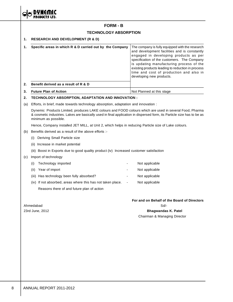

# **FORM - B TECHNOLOGY ABSORPTION 1. RESEARCH AND DEVELOPMENT (R & D) 1. Specific areas in which R & D carried out by the Company** The company is fully equipped with the research and development facilities and is constantly engaged in developing products as per specification of the customers. The Company is updating manufacturing process of the existing products leading to reduction in process time and cost of production and also in developing new products. **2. Benefit derived as a result of R & D 3. Future Plan of Action** Not Planned at this stage **2. TECHNOLOGY ABSORPTION, ADAPTATION AND INNOVATION :** (a) Efforts, in brief, made towards technology absorption, adaptation and innovation : Dynemic Products Limited, produces LAKE colours and FOOD colours which are used in several Food, Pharma & cosmetic industries. Lakes are basically used in final application in dispersed form, its Particle size has to be as minimum as possible. Hence, Company installed JET MILL, at Unit 2, which helps in reducing Particle size of Lake colours. (b) Benefits derived as a result of the above efforts :- (i) Deriving Small Particle size (ii) Increase in market potential (iii) Boost in Exports due to good quality product (iv) Increased customer satisfaction (c) Import of technology (i) Technology imported and a new Not applicable (ii) Year of import  $\qquad \qquad \qquad$  Not applicable (iii) Has technology been fully absorbed? The Contract that the Not applicable (iv) If not absorbed, areas where this has not taken place. - Not applicable Reasons there of and future plan of action **For and on Behalf of the Board of Directors** Ahmedabad Sd/-23rd June, 2012 **Bhagwandas K. Patel** Chairman & Managing Director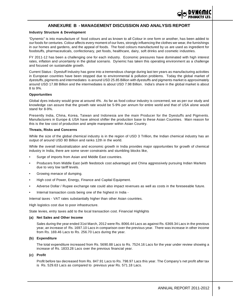

# **ANNEXURE B - MANAGEMENT DISCUSSION AND ANALYSIS REPORT**

#### **Industry Structure & Development**

"Dynemic" is into manufacture of food colours and as known to all Colour in one form or another, has been added to our foods for centuries. Colour affects every moment of our lives, strongly influencing the clothes we wear, the furnishings in our homes and gardens, and the appeal of foods. The food colours manufactured by us are used as ingredient for foodstuffs, pharmaceuticals, confectionary, pet foods, healthcare, dairy, soft drinks and cosmetic industries.

FY 2011-12 has been a challenging one for each industry. Economic pressures have dominated with high interest rates, inflation and uncertainty in the global scenario. Dynemic has taken this operating environment as a challenge and focused on sustainable growth.

Current Status : Dyestuff Industry has gone into a tremendous change during last ten years as manufacturing activities in European countries have been stopped due to environmental & pollution problems. Today the global market of dyestuffs, pigments and intermediates is around USD 25.85 Billion with dyestuffs and pigments market is approximately around USD 17.88 Billion and the intermediates is about USD 7.98 Billion. India's share in the global market is about 8 to 9%.

#### **Opportunities**

Global dyes industry would grow at around 4%. As far as food colour industry is concerned, we as per our study and knowledge can assure that the growth rate would be 5-9% per annum for entire world and that of USA alone would stand for 8-9%.

Presently India, China, Korea, Taiwan and Indonesia are the main Producer for the Dyestuffs and Pigments. Manufacturers in Europe & USA have almost shifter the production base to these Asian Countries. Main reason for this is the low cost of production and ample manpower within Asian Country.

#### **Threats, Risks and Concerns**

While the size of the global chemical industry is in the region of USD 3 Trillion, the Indian chemical industry has an output of around USD 80 Billion and ranks 12th in the world.

While the overall industrialization and economic growth in India provides major opportunities for growth of chemical industry in India, there are some sever constraints and stumbling blocks like,

- Surge of imports from Asian and Middle East countries.
- Producers from Middle East (with feedstock cost advantage) and China aggressively pursuing Indian Markets due to very low tariff levels.
- Growing menace of dumping.
- High cost of Power, Energy, Finance and Capital Equipment.
- Adverse Dollar / Rupee exchange rate could also impact revenues as well as costs in the foreseeable future.
- Internal transaction costs being one of the highest in India -

Internal taxes - VAT rates substantially higher than other Asian countries.

High logistics cost due to poor infrastructure.

State levies, entry taxes add to the local transaction cost. Financial Highlights

#### **(a) Net Sales and Other Income**

Sales during the year ended 31st March, 2012 were Rs. 8066.44 Lacs as against Rs. 6369.34 Lacs in the previous year, an increase of Rs. 1697.10 Lacs in comparison over the previous year. There was increase in other income from Rs. 169.46 Lacs to Rs. 256.70 Lacs during the year.

#### **(b) Expenditure**

The total expenditure increased from Rs. 5690.88 Lacs to Rs. 7524.16 Lacs for the year under review showing a increase of Rs. 1833.28 Lacs over the previous financial year.

#### **(c) Profit**

Profit before tax decreased from Rs. 847.91 Lacs to Rs. 798.97 Lacs this year. The Company's net profit after tax is Rs. 529.63 Lacs as compared to previous year Rs. 571.18 Lacs.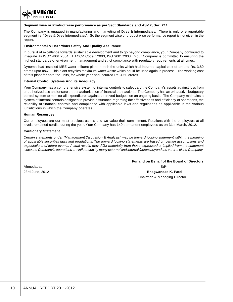

#### **Segment wise or Product wise performance as per Sect Standards and AS-17, Sec. 211**

The Company is engaged in manufacturing and marketing of Dyes & Intermediates. There is only one reportable segment i.e. "Dyes & Dyes Intermediates". So the segment wise or product wise performance report is not given in the report.

#### **Environmental & Hazardous Safety And Quality Assurance**

In pursuit of excellence towards sustainable development and to go beyond compliance, your Company continued to integrate its ISO:14001:2004, HACCP Code : 2003, ISO 9001:2008. Your Company is committed to ensuring the highest standards of environment management and strict compliance with regulatory requirements at all times.

Dynemic had installed MEE water effluent plant in both the units which had incurred capital cost of around Rs. 3.80 crores upto now. This plant recycles maximum water waste which could be used again in process. The working cost of this plant for both the units, for whole year had incurred Rs. 4.50 crores.

#### **Internal Control Systems And its Adequacy**

Your Company has a comprehensive system of internal controls to safeguard the Company's assets against loss from unauthorized use and ensure proper authorization of financial transactions. The Company has an exhaustive budgetary control system to monitor all expenditures against approved budgets on an ongoing basis. The Company maintains a system of internal controls designed to provide assurance regarding the effectiveness and efficiency of operations, the reliability of financial controls and compliance with applicable laws and regulations as applicable in the various jurisdictions in which the Company operates.

#### **Human Resources**

Our employees are our most precious assets and we value their commitment. Relations with the employees at all levels remained cordial during the year. Your Company has 140 permanent employees as on 31st March, 2012.

#### **Cautionary Statement**

*Certain statements under "Management Discussion & Analysis" may be forward looking statement within the meaning of applicable securities laws and regulations. The forward looking statements are based on certain assumptions and expectations of future events. Actual results may differ materially from those expressed or implied from the statement since the Company's operations are influenced by many external and internal factors beyond the control of the Company.*

**For and on Behalf of the Board of Directors**

Ahmedabad Sd/- 23rd June, 2012 **Bhagwandas K. Patel** Chairman & Managing Director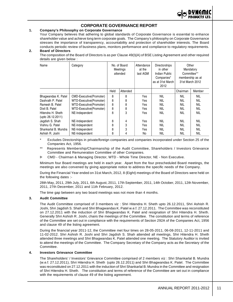

# **CORPORATE GOVERNANCE REPORT**

#### **1. Company's Philosophy on Corporate Governance**

Your Company believes that adhering to global standards of Corporate Governance is essential to enhance shareholder value and achieve long term corporate goals. The Company's philosophy on Corporate Governance stresses the importance of transparency, accountability and protection of shareholder interests. The Board conducts periodic review of business plans, monitors performance and compliance to regulatory requirements.

# **2. Board of Directors**

The composition of the Board of Directors is as per Clause 49(I)(A) of BSE Listing Agreement and other required details are given below :

| Name                 | Category                       | No. of Board<br>Meetings<br>attended |          | Attendance<br>at the<br>last AGM | Directorships<br>in other<br>Indian Public<br>Companies*<br>as at 31st March<br>2012 | Other<br>Mandatory<br>Committee**<br>membership as at<br>31st March 2012 |            |
|----------------------|--------------------------------|--------------------------------------|----------|----------------------------------|--------------------------------------------------------------------------------------|--------------------------------------------------------------------------|------------|
|                      |                                | Held                                 | Attended |                                  |                                                                                      | Chairman                                                                 | Member     |
| Bhagwandas K. Patel  | <b>CMD-Executive(Promoter)</b> | 8                                    | 8        | Yes                              | nil                                                                                  | NIL                                                                      | <b>NIL</b> |
| Dashrath P. Patel    | WTD-Executive(Promoter)        | 8                                    | 8        | Yes                              | NIL                                                                                  | NIL                                                                      | <b>NIL</b> |
| Ramesh B. Patel      | WTD-Executive(Promoter)        | 8                                    | 8        | Yes                              | NIL                                                                                  | NIL                                                                      | <b>NIL</b> |
| Dixit B. Patel       | WTD-Executive(Promoter)        | 8                                    | 8        | Yes                              | NIL                                                                                  | NIL                                                                      | <b>NIL</b> |
| Hitendra H. Sheth    | NE-Independent                 | 8                                    | 3        | Yes                              | NIL                                                                                  | NIL                                                                      | NIL        |
| (upto $26.12.2011$ ) |                                |                                      |          |                                  |                                                                                      |                                                                          |            |
| Jagdish S. Shah      | NE-Independent                 | 8                                    | 4        | Yes                              | NIL                                                                                  | <b>NIL</b>                                                               | <b>NIL</b> |
| Vishnu G. Patel      | NE-Independent                 | 8                                    | 3        | Yes                              | NIL                                                                                  | NIL                                                                      | <b>NIL</b> |
| Shankarlal B. Mundra | NE-Independent                 | 8                                    | 3        | Yes                              | NIL                                                                                  | <b>NIL</b>                                                               | <b>NIL</b> |
| Ashish R. Joshi      | NE-Independent                 | 8                                    | 4        | No                               | NIL                                                                                  | NIL                                                                      | NIL        |

Excludes Directorships in private/foreign companies and companies incorporated under Section 25 of the Companies Act, 1956.

Represents Membership/Chairmanship of the Audit Committee, Shareholders / Investors Grievance Committee and Remuneration Committee of other Companies.

Þ CMD - Chairman & Managing Director, WTD - Whole Time Director, NE - Non Executive.

Minimum four Board meetings are held in each year. Apart from the four prescheduled Board meetings, the meetings are also convened by giving appropriate notice to address the specific needs of the Company.

During the Financial Year ended on 31st March, 2012, 8 (Eight) meetings of the Board of Directors were held on the following dates :-

28th May, 2011, 29th July, 2011, 6th August, 2011, 17th September, 2011, 14th October, 2011, 12th November, 2011, 27th December, 2011 and 11th February, 2012.

The time gap between any two board meetings was not more than 4 months.

#### **3. Audit Committee**

The Audit Committee comprised of 3 members viz : Shri Hitendra H. Sheth upto 26.12.2011, Shri Ashish R. Joshi, Shri Jagdish S. Shah and Shri Bhagwandas K. Patel w.e.f. 27.12.2011. The Committee was reconstituted on 27.12.2011 with the induction of Shri Bhagwandas K. Patel and resignation of Shri Hitendra H. Sheth. Generally Shri Ashish R. Joshi, chairs the meetings of the Committee. The constitution and terms of reference of the Committee are set out in compliance with the requirements of Section 292A of the Companies Act, 1956 and clause 49 of the listing agreement.

During the financial year 2011-12, the Committee met four times on 28-05-2011, 06-08-2011, 12-11-2011 and 11-02-2012. Shri Ashish R. Joshi and Shri Jagdish S. Shah attended all meetings, Shri Hitendra H. Sheth attended three meetings and Shri Bhagwandas K. Patel attended one meeting. The Statutory Auditor is invited to attend the meetings of the Committee. The Company Secretary of the Company acts as the Secretary of the Committee.

#### **4. Investors Grievance Committee**

The Shareholders' / Investors' Grievance Committee comprised of 2 members viz : Shri Shankarlal B. Mundra (w.e.f. 27.12.2011), Shri Hitendra H. Sheth (upto 26.12.2011) and Shri Bhagwandas K. Patel. The Committee was reconstituted on 27.12.2011 with the induction of Shri Shankarlal B. Mundra in the Committee and resignation of Shri Hitendra H. Sheth. The constitution and terms of reference of the Committee are set out in compliance with the requirements of clause 49 of the listing agreement.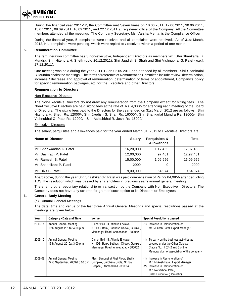

During the financial year 2011-12, the Committee met Seven times on 10.06.2011, 17.06.2011, 30.06.2011, 15.07.2011, 09.09.2011, 16.09.2011, and 22.12.2011 at registered office of the Company. All the Committee members attended all the meetings The Company Secretary, Ms. Varsha Mehta, is the Compliance Officer.

During the financial year, 5 complaints were received and all complaints were resolved. As of 31st March, 2012, NIL complaints were pending, which were replied to / resolved within a period of one month.

#### **5. Remuneration Committee**

The remuneration committee has 3 non-executive, Independent Directors as members viz : Shri Shankarlal B. Mundra, Shri Hitendra H. Sheth (upto 26.12.2011), Shri Jagdish S. Shah and Shri Vishnubhai G. Patel (w.e.f. 27.12.2011).

One meeting was held during the year 2011-12 on 02.05.2011 and attended by all members. Shri Shankarlal B. Mundra chairs the meetings. The terms of reference of Remuneration Committee include review, determination, increase / decrease and approval of remuneration, determination of terms of appointment, Company's policy for specific remuneration packages, etc. for the Executive and other Directors.

#### **Remuneration to Directors**

#### Non-Executive Directors

The Non-Executive Directors do not draw any remuneration from the Company except for sitting fees. The Non-Executive Directors are paid sitting fees at the rate of Rs. 4,000/- for attending each meeting of the Board of Directors. The sitting fees paid to the Directors for the year ended on 31st March 2012 are as follows : Shri Hitendra H. Sheth Rs. 12000/-; Shri Jagdish S. Shah Rs. 16000/-; Shri Shankarlal Mundra Rs. 12000/-; Shri Vishnubhai G. Patel Rs. 12000/-; Shri Ashishbhai R. Joshi Rs. 16000/-.

#### Executive Directors

The salary, perquisites and allowances paid for the year ended March 31, 2012 to Executive Directors are :

| <b>Name of Director</b> | <b>Salary</b> | <b>Perquisites &amp;</b><br><b>Allowances</b> | Total     |
|-------------------------|---------------|-----------------------------------------------|-----------|
| Mr. Bhagwandas K. Patel | 16,20,000     | 1,17,453                                      | 17,37,453 |
| Mr. Dashrath P. Patel   | 12,00,000     | 97.461                                        | 12,97,461 |
| Mr. Ramesh B. Patel     | 15,00,000     | 1,09,956                                      | 16,09,956 |
| Mr. Shashikant P. Patel | 2000          |                                               | 2000      |
| Mr. Dixit B. Patel      | 9,00,000      | 64.974                                        | 9,64,974  |

Apart above, during the year Shri Shashikant P. Patel was paid compensation of Rs. 29,04,985/- after deducting TDS, the resolution which was passed by shareholders in previous year's annual general meeting.

There is no other pecuniary relationship or transaction by the Company with Non Executive Directors. The Company does not have any scheme for grant of stock option to its Directors or Employees.

#### **6. General Body Meeting**

#### (a) Annual General Meetings

The date, time and venue of the last three Annual General Meetings and special resolutions passed at the meetings are given below :

| Year    | Category - Date and Time                                   | Venue                                                                                                               | <b>Special Resolutions passed</b>                                                                                                                                     |
|---------|------------------------------------------------------------|---------------------------------------------------------------------------------------------------------------------|-----------------------------------------------------------------------------------------------------------------------------------------------------------------------|
| 2010-11 | Annual General Meeting<br>18th August, 2011at 4.00 p.m.    | Dinner Bell - II, Atlantis Enclave,<br>Nr. IDBI Bank, Subhash Chowk, Gurukul.<br>Memnagar Road, Ahmedabad - 380052. | Increase in Remuneration of<br>(1)<br>Mr. Mukesh Patel, Export Manager.                                                                                               |
| 2009-10 | Annual General Meeting<br>13th August, 2010at 3.00 p.m.    | Dinner Bell - II, Atlantis Enclave,<br>Nr. IDBI Bank, Subhash Chowk, Gurukul,<br>Memnagar Road, Ahmedabad - 380052. | To carry on the business activities as<br>(1)<br>covered under the Other Objects<br>Clause No. III (C) 2 and 3 of the<br>Memorandum of association of the company.    |
| 2008-09 | Annual General Meeting<br>22nd September, 2009at 3.00 p.m. | Flash Banquet at First Floor, Shailly<br>Complex, Surdhara Circle, Nr. Sal<br>Hospital, Ahmedabad - 380054.         | Increase in Remuneration of<br>(1)<br>Mr. Mukesh Patel, Export Manager.<br>Increase in Remuneration of<br>(2)<br>M r. Natvarbhai Patel.<br>Sales Executive (Domestic) |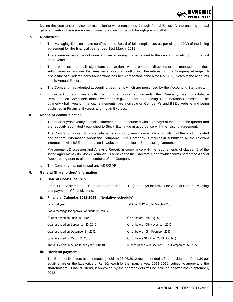During the year under review no resolution(s) were transacted through Postal Ballot. At the ensuing annual general meeting there are no resolutions proposed to be put through postal ballot.

#### **7. Disclosures :**

- i. The Managing Director have certified to the Board of full compliances as per clause 49(V) of the listing agreement for the financial year ended 31st March, 2012.
- ii. There were no instances of non-compliance on any matter related to the capital markets, during the last three years.
- iii. There were no materially significant transactions with promoters, directors or the management, their subsidiaries or relatives that may have potential conflict with the interest of the Company at large. A disclosure of all related party transactions has been presented in the Note No. 28.3, Notes to the accounts of this Annual Report.
- iv. The Company has adopted accounting treatments which are prescribed by the Accounting Standards.
- v. In respect of compliance with the non-mandatory requirements, the Company has constituted a Remuneration Committee, details whereof are given under the heading, Remuneration Committee. The quarterly / half yearly financial statements are available on Company's and BSE's website and being published in Financial Express and Indian Express.

#### **8. Means of communication**

- i. The quarterly/half yearly financial statements are announced within 45 days of the end of the quarter and are regularly submitted / published to Stock Exchange in accordance with the Listing agreement.
- ii. The Company has its official website namely www.dynemic.com which is providing all the product related and general information about the Company. The Company is regular in submitting all the relevant information with BSE and updating in website as per clause 54 of Listing Agreement.
- iii. Management Discussion and Analysis Report, in compliance with the requirements of clause 49 of the listing agreement with Stock Exchange, is annexed to the Directors' Report which forms part of the Annual Report being sent to all the members of the Company.
- iv. The Company has not issued any ADR/GDR.

#### **9. General Shareholders' Information**

#### **i. Date of Book Closure :-**

From 11th September, 2012 to 21st September, 2012 (both days inclusive) for Annual General Meeting and payment of final dividend.

#### **ii. Financial Calendar 2012-2013 :- (tentative schedule)**

| Financial year                                   | ٠<br>$\blacksquare$ | 1st April 2012 to 31st March 2013.                     |
|--------------------------------------------------|---------------------|--------------------------------------------------------|
| Board meetings for approval of quarterly results |                     |                                                        |
| Quarter ended on June 30, 2012                   | ÷                   | On or before 15th August, 2012                         |
| Quarter ended on September 30, 2012              | ÷                   | On or before 15th November, 2012                       |
| Quarter ended on December 31, 2012               | ÷                   | On or before 15th February, 2013                       |
| Quarter ended on March 31, 2013                  | ÷                   | On or before 31st May, 2013 (Audited)                  |
| Annual General Meeting for the year 2012-13      | ÷                   | In accordance with Section 166 of Companies Act, 1956. |

#### **iii. Dividend payment :-**

The Board of Directors at their meeting held on 23/06/2012 recommended a final dividend of Rs. 1.30 per equity share on the face value of Rs. 10/- each for the financial year 2011-2012, subject to approval of the shareholders. Final dividend, if approved by the shareholders will be paid on or after 26th September, 2012.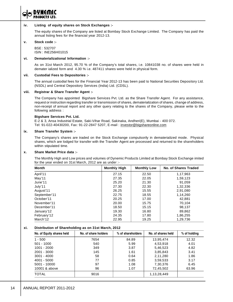

#### **iv. Listing of equity shares on Stock Exchanges :-**

The equity shares of the Company are listed at Bombay Stock Exchange Limited. The Company has paid the annual listing fees for the financial year 2012-13.

#### **v. Stock code :-**

BSE : 532707 ISIN : INE256H01015

#### **vi. Dematerializational Information :-**

As on 31st March 2012, 95.70 % of the Company's total shares, i.e. 10841038 no. of shares were held in demater ialized form and 4.30 % i.e. 487411 shares were held in physical form.

#### **vii. Custodial Fees to Depositories :-**

The annual custodial fees for the Financial Year 2012-13 has been paid to National Securities Depository Ltd. (NSDL) and Central Depository Services (India) Ltd. (CDSL).

#### **viii. Registrar & Share Transfer Agent :-**

The Company has appointed Bigshare Services Pvt. Ltd. as the Share Transfer Agent. For any assistance, request or instruction regarding transfer or transmission of shares, dematerialization of shares, change of address, non-receipt of annual report and any other query relating to the shares of the Company, please write to the following address :

#### **Bigshare Services Pvt. Ltd.**

E-2 & 3, Ansa Industrial Estate, Saki-Vihar Road, Sakinaka, Andheri(E), Mumbai - 400 072. Tel: 91-022-40430200, Fax: 91-22-2847 5207, E-mail : investor@bigshareonline.com

#### **ix. Share Transfer System :-**

The Company's shares are traded on the Stock Exchange compulsorily in dematerialized mode. Physical shares, which are lodged for transfer with the Transfer Agent are processed and returned to the shareholders within stipulated time.

#### **x. Share Market Price data :-**

The Monthly High and Low prices and volumes of Dynemic Products Limited at Bombay Stock Exchange imited for the year ended on 31st March, 2012 are as under :-

| <b>Month</b> | <b>Monthly High</b> | <b>Monthly Low</b> | <b>No. of Shares Traded</b> |
|--------------|---------------------|--------------------|-----------------------------|
| April'11     | 27.15               | 22.50              | 1,17,963                    |
| May'11       | 27.35               | 22.05              | 1,59,123                    |
| June'11      | 25.20               | 21.30              | 91.059                      |
| July'11      | 27.30               | 22.30              | 1,32,336                    |
| August'11    | 26.25               | 15.55              | 2,91,080                    |
| September'11 | 22.75               | 18.55              | 1,14,260                    |
| October'11   | 20.25               | 17.00              | 42.881                      |
| November'11  | 20.00               | 15.75              | 70.104                      |
| December'11  | 18.50               | 15.15              | 98.137                      |
| January'12   | 19.30               | 16.80              | 89,862                      |
| February'12  | 24.35               | 17.80              | 1,86,255                    |
| March'12     | 22.95               | 19.25              | 1,29,736                    |

#### **xi. Distribution of Shareholding as on 31st March, 2012**

| No. of Equity shares held | No. of share holders | % of shareholders | No. of shares held | % of holding |
|---------------------------|----------------------|-------------------|--------------------|--------------|
| $1 - 500$                 | 7654                 | 84.89             | 13,95,474          | 12.32        |
| $501 - 1000$              | 540                  | 5.99              | 4,53,918           | 4.01         |
| 1001 - 2000               | 349                  | 3.87              | 5,46,523           | 4.82         |
| $2001 - 3000$             | 145                  | 1.61              | 3,85,843           | 3.41         |
| $3001 - 4000$             | 58                   | 0.64              | 2,11,280           | 1.86         |
| $4001 - 5000$             | 77                   | 0.85              | 3,59,533           | 3.17         |
| 5001 - 10000              | 97                   | 1.08              | 7,30,376           | 6.45         |
| 10001 & above             | 96                   | 1.07              | 72,45,502          | 63.96        |
| <b>TOTAL</b>              | 9016                 |                   | 1,13,28,449        |              |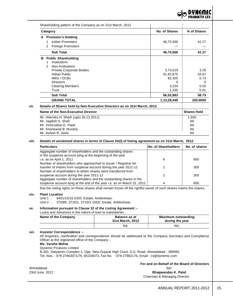

|   | Category                                                                 | No. of Shares | % of Shares        |  |  |  |  |
|---|--------------------------------------------------------------------------|---------------|--------------------|--|--|--|--|
|   | A Promoter's Holding                                                     |               |                    |  |  |  |  |
|   | Indian Promoters<br>1                                                    | 46,75,566     | 41.27              |  |  |  |  |
|   | <b>Foreign Promoters</b><br>2                                            |               |                    |  |  |  |  |
|   | <b>Sub Total</b>                                                         | 46,75,566     | 41.27              |  |  |  |  |
| в | <b>Public Shareholding</b>                                               |               |                    |  |  |  |  |
|   | Institutions<br>1                                                        |               |                    |  |  |  |  |
|   | Non-Institutions<br>2                                                    |               |                    |  |  |  |  |
|   | Private Corporate Bodies                                                 | 3,73,019      | 3.29               |  |  |  |  |
|   | Indian Public                                                            | 61,92,875     | 54.67              |  |  |  |  |
|   | NRIs / OCBs                                                              | 82,420        | 0.73               |  |  |  |  |
|   | <b>Directors</b>                                                         | 0             | 0                  |  |  |  |  |
|   | <b>Clearing Members</b>                                                  | 3,234         | 0.03               |  |  |  |  |
|   | Trust                                                                    | 1,335         | 0.01               |  |  |  |  |
|   | <b>Sub Total</b>                                                         | 66,52,883     | 58.73              |  |  |  |  |
|   | <b>GRAND TOTAL</b>                                                       | 1,13,28,449   | 100.0000           |  |  |  |  |
|   | Details of Shares held by Non-Executive Directors as on 31st March, 2012 |               |                    |  |  |  |  |
|   | Name of the Non-Executive Director                                       |               | <b>Shares Held</b> |  |  |  |  |
|   | Mr. Hitendra H. Sheth (upto 26.12.2011)                                  |               | 1,500              |  |  |  |  |
|   | Mr. Jagdish S. Shah                                                      |               | Nil                |  |  |  |  |
|   | Mr. Vishnubhai G. Patel                                                  |               | Nil                |  |  |  |  |
|   | Mr. Shankarlal B. Mundra                                                 |               | Nil                |  |  |  |  |
|   | Mr. Ashish R. Joshi                                                      |               |                    |  |  |  |  |

#### **xiii. Details of unclaimed shares in terms of Clause 5A(I) of listing agreement as on 31st March, 2012**

| <b>Particulars</b>                                                                                                        | <b>No. of Shareholders</b> | No. of shares |
|---------------------------------------------------------------------------------------------------------------------------|----------------------------|---------------|
| Aggregate number of shareholders and the outstanding shares<br>in the suspense account lying at the beginning of the year |                            |               |
| i.e. as on April 1, 2011                                                                                                  | 6                          | 900           |
| Number of shareholders who approached to Issuer / Registrar for                                                           |                            |               |
| transfer of shares from suspense account during the year 2011-12                                                          |                            | 300           |
| Number of shareholders to whom shares were transferred from                                                               |                            |               |
| suspense account during the year 2011-12                                                                                  |                            | 300           |
| Aggregate number of shareholders and the outstanding shares in the                                                        |                            |               |
| suspense account lying at the end of the year i.e. as on March 31, 2012                                                   | Δ                          | 600           |

that the voting rights on these shares shall remain frozen till the rightful owner of such shares claims the shares.

#### **xiv. Plant Location**

Unit-1 : 6401/15/16 GIDC Estate, Ankleshwar.

Unit-2 : 3709/6, 3710/1, 3710/3, GIDC Estate, Ankleshwar.

#### **xv. Information pursuant to Clause 32 of the Listing Agreement :-**

Loans and Advances in the nature of loan to subsidiaries :

| Name of the Company | <b>Balance as at</b><br>31st March, 2012 | Maximum outstanding<br>during the year |
|---------------------|------------------------------------------|----------------------------------------|
|                     | <b>NIL</b>                               | <b>NIL</b>                             |

# **xvi. Investor Correspondence :-**

All enquiries, clarification and correspondence should be addressed to the Company Secretary and Compliance Officer at the registered office of the Company :-

# **Ms. Varsha Mehta**

Dynemic Products Limited

B-301, Satyamev Complex-1, Opp. New Gujarat High Court, S.G. Road, Ahmedabad - 380060. Tel. Nos. : 079-27663071/76, 65233073, Fax No. : 079-27662176, Email : cs@dynemic.com

**For and on Behalf of the Board of Directors**

Ahmedabad Sd/- 23rd June, 2012 **Bhagwandas K. Patel**

Chairman & Managing Director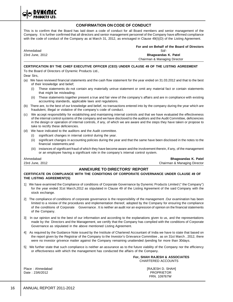**CONFIRMATION ON CODE OF CONDUCT** This is to confirm that the Board has laid down a code of conduct for all Board members and senior management of the Company. It is further confirmed that all directors and senior management personnel of the Company have affirmed compliance with the code of conduct of the Company as at March 31, 2012, as envisaged in Clause 49(I)(D) of the Listing Agreement. **For and on Behalf of the Board of Directors** Ahmedabad Sd/- 23rd June, 2012 **Bhagwandas K. Patel** Chairman & Managing Director **CERTIFICATION BY THE CHIEF EXECUTIVE OFFICER (CEO) UNDER CLAUSE 49 OF THE LISTING AGREEMENT** To the Board of Directors of Dynemic Products Ltd., Dear Sirs, (a) We have reviewed financial statements and the cash flow statement for the year ended on 31.03.2012 and that to the best of their knowledge and belief; (i) These statements do not contain any materially untrue statement or omit any material fact or contain statements that might be misleading; (ii) These statements together present a true and fair view of the company's affairs and are in compliance with existing accounting standards, applicable laws and regulations. (b) There are, to the best of our knowledge and belief, no transactions entered into by the company during the year which are fraudulent, illegal or violative of the company's code of conduct. (c) We accept responsibility for establishing and maintaining internal controls and that we have evaluated the effectiveness of the internal control systems of the company and we have disclosed to the auditors and the Audit Committee, deficiencies in the design or operation of internal controls, if any, of which we are aware and the steps they have taken or propose to take to rectify these deficiencies. (d) We have indicated to the auditors and the Audit committee. (i) significant changes in internal control during the year. (ii) significant changes in accounting policies during the year and that the same have been disclosed in the notes to the financial statements;and (iii) instances of significant fraud of which they have become aware and the involvement therein, if any, of the management or an employee having a significant role in the company's internal control system. Ahmedabad **Bhagwandas K. Patel** 23rd June, 2012 Chairman & Managing Director **ANNEXURE TO DIRECTORS' REPORT CERTIFICATE ON COMPLIANCE WITH THE CONDITIONS OF CORPORATE GOVERNANCE UNDER CLAUSE 49 OF THE LISTING AGREEMENT(S)** 1] We have examined the Compliance of conditions of Corporate Governance by Dynemic Products Limited (" the Company") for the year ended 31st March,2012 as stipulated in Clause 49 of the Listing Agreement of the said Company with the stock exchange. 2] The compliance of conditions of corporate governance is the responsibility of the management .Our examination has been limited to a review of the procedures and implementation thereof, adopted by the Company for ensuring the compliance of the conditions of Corporate Governance . It is neither an audit nor an expression of opinion on the financial statements of the Company. 3] In our opinion and to the best of our information and according to the explanations given to us, and the representations made by the Directors and the Management, we certify that the Company has complied with the conditions of Corporate Governance as stipulated in the above mentioned Listing Agreement. 4] As required by the Guidance Note issued by the Institute of Chartered Accountant of India we have to state that based on the report given by the Registrar of the Company to the Investor's Grievance Committee , as on 31st March , 2012, there were no investor grivence matter against the Company remaining unattended /pending for more than 30days. 5] We further state that such compliance is neither an assurance as to the future viability of the Company nor the efficiency or effectiveness with which the management has conducted the affairs of the Company. **For, SHAH RAJESH & ASSOCIATES**

Date : 23/6/2012 **PROPRIETOR** 

Place : Ahmedabad **[RAJESH D. SHAH]** FRN. 109767W

CHARTERED ACCOUNTS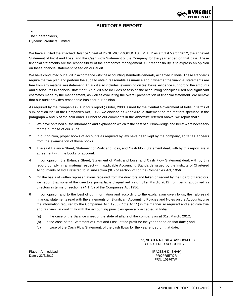

# **AUDITOR'S REPORT**

To The Shareholders, Dynemic Products Limited

We have audited the attached Balance Sheet of DYNEMIC PRODUCTS LIMITED as at 31st March 2012, the annexed Statement of Profit and Loss, and the Cash Flow Statement of the Company for the year ended on that date. These financial statements are the responsibility of the company's management. Our responsibility is to express an opinion on these financial statement based on our audit.

We have conducted our audit in accordance with the accounting standards generally accepted in India. These standards require that we plan and perform the audit to obtain reasonable assurance about whether the financial statements are free from any material misstatement. An audit also includes, examining on test basis, evidence supporting the amounts and disclosures in financial statement. An audit also includes assessing the accounting principles used and significant estimates made by the management, as well as evaluating the overall presentation of financial statement .We believe that our audit provides reasonable basis for our opinion.

As required by the Companies ( Auditor's report ) Order, 2003 issued by the Central Government of India in terms of sub- section 227 of the Companies Act, 1956, we enclose as Annexure, a statement on the matters specified in the paragraph 4 and 5 of the said order. Further to our comments in the Annexure referred above, we report that :

- 1 We have obtained all the information and explanation which to the best of our knowledge and belief were necessary for the purpose of our Audit.
- 2 In our opinion, proper books of accounts as required by law have been kept by the company, so far as appears from the examination of those books.
- 3 The said Balance Sheet, Statement of Profit and Loss, and Cash Flow Statement dealt with by this report are in agreement with the books of account.
- 4 In our opinion, the Balance Sheet, Statement of Profit and Loss, and Cash Flow Statement dealt with by this report, comply in all material respect with applicable Accounting Standards issued by the Institute of Chartered Accountants of India referred to in subsection (3C) of section 211of the Companies Act, 1956.
- 5 On the basis of written representations received from the directors and taken on record by the Board of Directors, we report that none of the directors prima facie disqualified as on 31st March, 2012 from being appointed as directors in terms of section 274(1)(g) of the Companies Act,1956.
- 6 In our opinion and to the best of our information and according to the explanation given to us, the aforesaid financial statements read with the statements on Significant Accounting Policies and Notes on the Accounts, give the information required by the Companies Act, 1956 ( " the Act " ) in the manner so required and also give true and fair view, in confirmity with the accounting principles generally accepted in India.:
	- (a) in the case of the Balance sheet of the state of affairs of the company as at 31st March, 2012,
	- (b) in the case of the Statement of Profit and Loss, of the profit for the year ended on that date ; and
	- (c) in case of the Cash Flow Statement, of the cash flows for the year ended on that date.

**For, SHAH RAJESH & ASSOCIATES** CHARTERED ACCOUNTS

Place : Ahmedabad [RAJESH D. SHAH] Date : 23/6/2012 PROPRIETOR

FRN. 109767W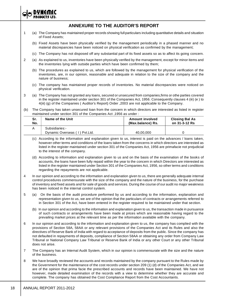

# **ANNEXURE TO THE AUDITOR'S REPORT**

- 1 (a) The Company has maintained proper records showing full particulars including quantitative details and situation of Fixed Assets;
	- (b) Fixed Assets have been physically verified by the management periodically in a phased manner and no material discrepancies have been noticed on physical verification as confirmed by the management;
	- (c) The Company has not disposed off any substantial part of its fixed assets so as to affect its going concern.
- 2 (a) As explained to us, inventories have been physically verified by the management, except for minor items and the inventories lying with outside parties which have been confirmed by them;
	- (b) The procedures as explained to us, which are followed by the management for physical verification of the inventories, are, in our opinion, reasonable and adequate in relation to the size of the company and the nature of business;
	- (c) The company has maintained proper records of inventories. No material discrepancies were noticed on physical verification.
- 3 (a) The Company has not granted any loans, secured or unsecured from companies,firms or othe parties covered in the register maintained under section 301 of the Companies Act, 1956. Consequently clauses 4 (iii) (e ) to 4(iii) (g) of the Companies ( Auditor's Report) Order ,2003 are not applicable to the Company.
- (b) The Company has taken unsecured loan from the concern in which directors are interested as listed in register maintained under section 301 of the Companies Act ,1956 as under :

| Sr. | Name of the Unit                                | <b>Amount involved</b> | <b>Closing Bal As</b> |
|-----|-------------------------------------------------|------------------------|-----------------------|
| No. |                                                 | (Max.balance) Rs.      | on 31-3-12 Rs         |
|     | Subsidiaries:-<br>Dynamic Overseas (1) Pvt.Ltd. | 40.00.000              |                       |

- (c) According to the information and explanation given to us, interest is paid on the advances / loans taken, however other terms and conditions of the loans taken from the concerns in which directors are interested as listed in the register maintained under section 301 of the Companies Act, 1956 are primafacie not prejudicial to the interest of the company.
- (d) According to information and explanation given to us and on the basis of the examination of the books of accounts, the loans have been fully repaid within the year to the concern in which Directors are interested as listed in the register maintained under Section 301 of the Companies Act, 1956, so other terms and conditions regarding the repayments are not applicable.
- 4 In our opinion and according to the information and explanation given to us, there are generally adequate internal control procedures commensurate with the size of the company and the nature of the business, for the purchase of inventory and fixed assets and for sale of goods and services. During the course of our audit no major weakness has been noticed in the internal control system.
- 5 (a) On the basis of the audit procedure performed by us and according to the information, explanation and representation given to us, we are of the opinion that the particulars of contracts or arrangements referred to in Section 301 of the Act, have been entered in the register required to be maintained under that section.
	- (b) In our opinion and according to the information and explanation given to us, the transaction made in pursuance of such contracts or arrangements have been made at prices which are reasonable having regard to the prevailing market prices at the relevant time as per the information available with the company.
- 6 In our opinion and according to the information and explanation given to us, the company has complied with the provisions of Section 58A, 58AA or any relevant provisions of the Companies Act and its Rules and also the directives of Reserve Bank of India with regard to acceptance of deposits from the public. Since the company has not defaulted in repayments of deposits, compliance of Section 58AA or obtaining any order from Company Law Tribunal or National Company Law Tribunal or Reserve Bank of India or any other Court or any other Tribunal does not arise.
- 7 The Company has an Internal Audit System, which in our opinion is commensurate with the size and the nature of the business.
- 8 We have broadly reviewed the accounts and records maintained by the company pursuant to the Rules made by the Government for the maintenance of the cost records under section 209 (1) (d) of the Companies Act, and we are of the opinion that prima facie the prescribed accounts and records have been maintained. We have not however, made detailed examination of the records with a view to determine whether they are accurate and complete. The company has obtained the Cost Compliance Report from the Cost Accountants.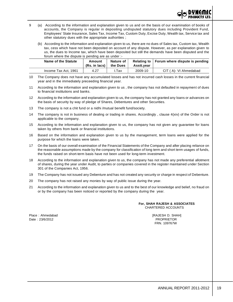

- 9 (a) According to the information and explanation given to us and on the basis of our examination of books of accounts, the Company is regular in depositing undisputed statutory dues including Provident Fund, Employees' State Insurance, Sales Tax, Income Tax, Custom Duty, Excise Duty, Wealth tax, Service tax and other statutory dues with the appropriate authorities ;
	- (b) According to the information and explanation given to us, there are no dues of Sales tax, Custom tax, Wealth tax, cess which have not been deposited on account of any dispute. However, as per explanation given to us, the dues to Income tax, which have been deposited but still the demands have been disputed and the forum where the dispute is pending are as under :-

| Name of the Statute  | Amount<br>$(Rs. in lacs)$ | Nature of<br>the Dues | Asstt.vear | Relating to $\vert$ Forum where dispute is pending |
|----------------------|---------------------------|-----------------------|------------|----------------------------------------------------|
| Income Tax Act, 1961 | 4.27                      | Tax                   | 2009-10    | CIT (A)- VI Ahmedabad                              |

<sup>10</sup> The Company does not have any accumulated losses and has not incurred cash losses in the current financial year and in the immediately preceeding financial year.

- 11 According to the information and explanation given to us , the company has not defaulted in repayment of dues to financial institutions and banks.
- 12 According to the information and explanation given to us, the company has not granted any loans or advances on the basis of security by way of pledge of Shares, Debentures and other Securities.
- 13 The company is not a chit fund or a nidhi /mutual benefit fund/society.
- 14 The company is not in business of dealing or trading in shares. Accordingly , clause 4(xiv) of the Order is not applicable to the company.
- 15 According to the information and explanation given to us, the company has not given any guarantee for loans taken by others from bank or financial institutions.
- 16 Based on the information and explanation given to us by the management, term loans were applied for the purpose for which the loans were taken.
- 17 On the basis of our overall examination of the Financial Statements of the Company and after placing reliance on the reasonable assumptions made by the company for classification of long term and short term usages of funds, the funds raised on short-term basis have not been used for long-term investment.
- 18 According to the information and explanation given to us, the company has not made any preferential allotment of shares, during the year under Audit, to parties or companies covered in the register maintained under Section 301 of the Companies Act, 1956.
- 19 The Company has not issued any Debenture and has not created any security or charge in respect of Debenture.
- 20 The company has not raised any monies by way of public issue during the year.
- 21 According to the information and explanation given to us and to the best of our knowledge and belief, no fraud on or by the company has been noticed or reported by the company during the year.

#### **For, SHAH RAJESH & ASSOCIATES** CHARTERED ACCOUNTS

Place : Ahmedabad [RAJESH D. SHAH] FRN. 109767W

Date : 23/6/2012 PROPRIETOR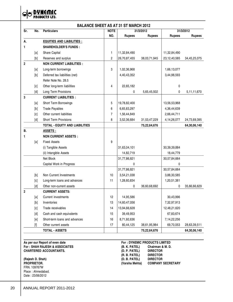

| $\overline{\mathsf{Sr.}}$ | No.                                                                                                                                                                                                                                                                                                                                                                                                                                                                                                                                                                         | <b>BALANCE SHEET AS AT 31 ST MARCH 2012</b><br><b>Particulars</b> | <b>NOTE</b> |               | 31/3/2012     | 31/3/2012       |               |
|---------------------------|-----------------------------------------------------------------------------------------------------------------------------------------------------------------------------------------------------------------------------------------------------------------------------------------------------------------------------------------------------------------------------------------------------------------------------------------------------------------------------------------------------------------------------------------------------------------------------|-------------------------------------------------------------------|-------------|---------------|---------------|-----------------|---------------|
|                           |                                                                                                                                                                                                                                                                                                                                                                                                                                                                                                                                                                             |                                                                   | NO.         | <b>Rupees</b> | <b>Rupees</b> | <b>Rupees</b>   | <b>Rupees</b> |
| А.                        |                                                                                                                                                                                                                                                                                                                                                                                                                                                                                                                                                                             | <b>EQUITIES AND LIABILITIES:</b>                                  |             |               |               |                 |               |
| $\mathbf{1}$              |                                                                                                                                                                                                                                                                                                                                                                                                                                                                                                                                                                             | <b>SHAREHOLDER'S FUNDS:</b>                                       |             |               |               |                 |               |
|                           | [a]                                                                                                                                                                                                                                                                                                                                                                                                                                                                                                                                                                         | Share Capital                                                     | 1           | 11,32,84,490  |               | 11,32,84,490    |               |
|                           | [b]                                                                                                                                                                                                                                                                                                                                                                                                                                                                                                                                                                         | Reserves and surplus                                              | 2           | 26,70,87,455  | 38,03,71,945  | 23, 12, 40, 585 | 34,45,25,075  |
| $\overline{2}$            |                                                                                                                                                                                                                                                                                                                                                                                                                                                                                                                                                                             | <b>NON CURRENT LIABILITIES :</b>                                  |             |               |               |                 |               |
|                           | [a]                                                                                                                                                                                                                                                                                                                                                                                                                                                                                                                                                                         | Long-term borrowings                                              | 3           | 1,02,36,968   |               | 1,66,13,077     |               |
|                           | $[b] \centering% \includegraphics[width=1.0\textwidth]{figs/fig_0a}% \includegraphics[width=1.0\textwidth]{figs/fig_0b}% \includegraphics[width=1.0\textwidth]{figs/fig_0b}% \includegraphics[width=1.0\textwidth]{figs/fig_0b}% \includegraphics[width=1.0\textwidth]{figs/fig_0b}% \includegraphics[width=1.0\textwidth]{figs/fig_0b}% \includegraphics[width=1.0\textwidth]{figs/fig_0b}% \includegraphics[width=1.0\textwidth]{figs/fig_0b}% \includegraphics[width=1.0\textwidth]{figs/fig_0b}% \includegraphics[width=1.0\textwidth]{figs/fig_0b}% \includegraphics[$ | Deferred tax liabilities (net)                                    |             | 4,40,43,352   |               | 3,44,98,593     |               |
|                           |                                                                                                                                                                                                                                                                                                                                                                                                                                                                                                                                                                             | Refer Note No. 28.5                                               |             |               |               |                 |               |
|                           | [c]                                                                                                                                                                                                                                                                                                                                                                                                                                                                                                                                                                         | Other long-term liabilities                                       | 4           | 22,65,182     |               | 0               |               |
|                           | [d]                                                                                                                                                                                                                                                                                                                                                                                                                                                                                                                                                                         | Long Term Provisions                                              |             | 0             | 5,65,45,502   | 0               | 5,11,11,670   |
| 3                         |                                                                                                                                                                                                                                                                                                                                                                                                                                                                                                                                                                             | <b>CURRENT LIABILITIES:</b>                                       |             |               |               |                 |               |
|                           | [a]                                                                                                                                                                                                                                                                                                                                                                                                                                                                                                                                                                         | Short Term Borrowings                                             | 5           | 19,78,82,400  |               | 13,56,53,968    |               |
|                           | [b]                                                                                                                                                                                                                                                                                                                                                                                                                                                                                                                                                                         | <b>Trade Payables</b>                                             | 6           | 6,65,83,297   |               | 4,36,44,639     |               |
|                           | [c]                                                                                                                                                                                                                                                                                                                                                                                                                                                                                                                                                                         | Other current liabilities                                         | 7           | 1,56,44,849   |               | 2,66,44,711     |               |
|                           | [d]                                                                                                                                                                                                                                                                                                                                                                                                                                                                                                                                                                         | Short Term Provisions                                             | 8           | 3,52,36,684   | 31,53,47,229  | 4, 14, 26, 077  | 24,73,69,395  |
|                           |                                                                                                                                                                                                                                                                                                                                                                                                                                                                                                                                                                             | <b>TOTAL - EQUITY AND LIABILITIES</b>                             |             |               | 75,22,64,676  |                 | 64,30,06,140  |
| <b>B.</b>                 |                                                                                                                                                                                                                                                                                                                                                                                                                                                                                                                                                                             | <b>ASSETS:</b>                                                    |             |               |               |                 |               |
| 1                         |                                                                                                                                                                                                                                                                                                                                                                                                                                                                                                                                                                             | <b>NON CURRENT ASSETS:</b>                                        |             |               |               |                 |               |
|                           | [a]                                                                                                                                                                                                                                                                                                                                                                                                                                                                                                                                                                         | <b>Fixed Assets</b>                                               | 9           |               |               |                 |               |
|                           |                                                                                                                                                                                                                                                                                                                                                                                                                                                                                                                                                                             | (i) Tangible Assets                                               |             | 31,63,04,101  |               | 30, 39, 39, 884 |               |
|                           |                                                                                                                                                                                                                                                                                                                                                                                                                                                                                                                                                                             | (ii) Intangible Assets                                            |             | 14,82,719     |               | 18,44,779       |               |
|                           |                                                                                                                                                                                                                                                                                                                                                                                                                                                                                                                                                                             | Net Block                                                         |             | 31,77,86,821  |               | 30,57,84,664    |               |
|                           |                                                                                                                                                                                                                                                                                                                                                                                                                                                                                                                                                                             | Capital Work in Progress                                          |             | 0             |               | 0               |               |
|                           |                                                                                                                                                                                                                                                                                                                                                                                                                                                                                                                                                                             |                                                                   |             | 31,77,86,821  |               | 30,57,84,664    |               |
|                           | [b]                                                                                                                                                                                                                                                                                                                                                                                                                                                                                                                                                                         | Non Current Investments                                           | 10          | 3,54,21,038   |               | 3,88,30,585     |               |
|                           | [c]                                                                                                                                                                                                                                                                                                                                                                                                                                                                                                                                                                         | Long-term loans and advances                                      | 11          | 1,28,60,834   |               | 1,20,51,381     |               |
|                           | [d]                                                                                                                                                                                                                                                                                                                                                                                                                                                                                                                                                                         | Other non-current assets                                          |             | $\mathbf 0$   | 36,60,68,692  | 0               | 35,66,66,629  |
| 2                         |                                                                                                                                                                                                                                                                                                                                                                                                                                                                                                                                                                             | <b>CURRENT ASSETS:</b>                                            |             |               |               |                 |               |
|                           | [a]                                                                                                                                                                                                                                                                                                                                                                                                                                                                                                                                                                         | Current investments                                               | 12          | 14,95,586     |               | 30,43,996       |               |
|                           |                                                                                                                                                                                                                                                                                                                                                                                                                                                                                                                                                                             | Inventories                                                       | 13          | 14,60,47,056  |               | 7,32,97,913     |               |
|                           | [c]                                                                                                                                                                                                                                                                                                                                                                                                                                                                                                                                                                         | Trade receivables                                                 | 14          | 13,94,66,628  |               | 12,48,21,620    |               |
|                           | [d]                                                                                                                                                                                                                                                                                                                                                                                                                                                                                                                                                                         | Cash and cash equivalents                                         | 15          | 39,49,953     |               | 67,83,674       |               |
|                           | [e]                                                                                                                                                                                                                                                                                                                                                                                                                                                                                                                                                                         | Short-term loans and advances                                     | 16          | 8,71,92,636   |               | 7,14,22,256     |               |
|                           | $[{\mathsf f}]$                                                                                                                                                                                                                                                                                                                                                                                                                                                                                                                                                             | Other current assets                                              | 17          | 80,44,125     | 38,61,95,984  | 69,70,053       | 28,63,39,511  |
|                           |                                                                                                                                                                                                                                                                                                                                                                                                                                                                                                                                                                             | TOTAL - ASSETS                                                    |             |               | 75,22,64,676  |                 | 64,30,06,140  |

**As per our Report of even date For : DYNEMIC PRODUCTS LIMITED CHARTERED ACCOUNTANTS.** (D. P. PATEL)

**(Rajesh D. Shah) (D. B. PATEL) DIRECTOR** FRN. 109767W Place : Ahmedabad. Date : 23/06/2012

**For : SHAH RAJESH & ASSOCIATES (B. K. PATEL) Chairman & M. D. (R. B. PATEL) DIRECTOR PROPRIETOR. (Varsha Mehta) COMPANY SECRETARY**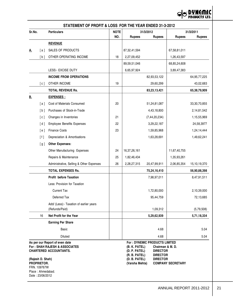

|                                                                             |      |                                                                                                  | STATEMENT OF PROFIT & LOSS FOR THE YEAR ENDED 31-3-2012 |                                                                  |                                                                                                                   |                          |               |  |  |  |
|-----------------------------------------------------------------------------|------|--------------------------------------------------------------------------------------------------|---------------------------------------------------------|------------------------------------------------------------------|-------------------------------------------------------------------------------------------------------------------|--------------------------|---------------|--|--|--|
| Sr.No.                                                                      |      | <b>Particulars</b>                                                                               | <b>NOTE</b>                                             |                                                                  | 31/3/2012                                                                                                         |                          | 31/3/2011     |  |  |  |
|                                                                             |      |                                                                                                  | NO.                                                     | <b>Rupees</b>                                                    | <b>Rupees</b>                                                                                                     | <b>Rupees</b>            | <b>Rupees</b> |  |  |  |
|                                                                             |      | <b>REVENUE</b>                                                                                   |                                                         |                                                                  |                                                                                                                   |                          |               |  |  |  |
| <u>A.</u>                                                                   | [a ] | SALES OF PRODUCTS                                                                                |                                                         | 87, 32, 41, 594                                                  |                                                                                                                   | 67,58,81,011             |               |  |  |  |
|                                                                             | [b]  | OTHER OPERATING INCOME                                                                           | 18                                                      | 2,27,09,452                                                      |                                                                                                                   | 1,26,43,597              |               |  |  |  |
|                                                                             |      |                                                                                                  |                                                         | 89,59,51,046                                                     |                                                                                                                   | 68,85,24,608             |               |  |  |  |
|                                                                             |      | LESS:- EXCISE DUTY                                                                               |                                                         | 6,65,97,924                                                      |                                                                                                                   | 3,89,47,383              |               |  |  |  |
|                                                                             |      | <b>INCOME FROM OPERATIONS</b>                                                                    |                                                         |                                                                  | 82,93,53,122                                                                                                      |                          | 64,95,77,225  |  |  |  |
|                                                                             | [c]  | OTHER INCOME                                                                                     | 19                                                      |                                                                  | 29,60,299                                                                                                         |                          | 43,02,683     |  |  |  |
|                                                                             |      | TOTAL REVENUE Rs.                                                                                |                                                         |                                                                  | 83,23,13,421                                                                                                      |                          | 65,38,79,909  |  |  |  |
| <u>B.</u>                                                                   |      | EXPENSES :                                                                                       |                                                         |                                                                  |                                                                                                                   |                          |               |  |  |  |
|                                                                             | [a]  | Cost of Materials Consumed                                                                       | 20                                                      |                                                                  | 51,24,81,087                                                                                                      |                          | 33,30,70,855  |  |  |  |
|                                                                             | [b]  | Purchases of Stock-in-Trade                                                                      |                                                         |                                                                  | 4,43,18,800                                                                                                       |                          | 2,14,81,542   |  |  |  |
|                                                                             | [c]  | Changes in Inventories                                                                           | 21                                                      |                                                                  | (7, 44, 20, 234)                                                                                                  |                          | 1,15,55,969   |  |  |  |
|                                                                             | [d]  | <b>Employee Benefits Expenses</b>                                                                | 22                                                      |                                                                  | 3,29,22,187                                                                                                       |                          | 24,58,3977    |  |  |  |
|                                                                             | [e]  | <b>Finance Costs</b>                                                                             | 23                                                      |                                                                  | 1,59,85,968                                                                                                       |                          | 1,24,14,444   |  |  |  |
|                                                                             | [1]  | Depreciation & Amortisations                                                                     |                                                         |                                                                  | 1,63,28,691                                                                                                       |                          | 1,49,62,241   |  |  |  |
|                                                                             | [g]  | <b>Other Expenses:</b>                                                                           |                                                         |                                                                  |                                                                                                                   |                          |               |  |  |  |
|                                                                             |      | Other Manufacturing Expenses                                                                     | 24                                                      | 16, 37, 26, 161                                                  |                                                                                                                   | 11,67,40,755             |               |  |  |  |
|                                                                             |      | Repairs & Maintenance                                                                            | 25                                                      | 1,82,46,434                                                      |                                                                                                                   | 1,35,93,261              |               |  |  |  |
|                                                                             |      | Administrative, Selling & Other Expenses                                                         | 26                                                      | 2,28,27,315                                                      | 20,47,99,911                                                                                                      | 2,06,85,354              | 15,10,19,370  |  |  |  |
|                                                                             |      | <b>TOTAL EXPENSES Rs.</b>                                                                        |                                                         |                                                                  | 75,24,16,410                                                                                                      |                          | 56,90,88,398  |  |  |  |
|                                                                             |      | Profit before Taxation                                                                           |                                                         |                                                                  | 7,98,97,011                                                                                                       |                          | 8,47,91,511   |  |  |  |
|                                                                             |      | Less: Provision for Taxation                                                                     |                                                         |                                                                  |                                                                                                                   |                          |               |  |  |  |
|                                                                             |      | <b>Current Tax</b>                                                                               |                                                         |                                                                  | 1,72,80,000                                                                                                       |                          | 2,10,39,000   |  |  |  |
|                                                                             |      | Deferred Tax                                                                                     |                                                         |                                                                  | 95,44,759                                                                                                         |                          | 72,13,685     |  |  |  |
|                                                                             |      | Add/ (Less):- Taxation of earlier years                                                          |                                                         |                                                                  |                                                                                                                   |                          |               |  |  |  |
|                                                                             |      | (Refunds/Paid)                                                                                   |                                                         |                                                                  | 1,09,312                                                                                                          |                          | (5,79,508)    |  |  |  |
|                                                                             | 16   | Net Profit for the Year                                                                          |                                                         |                                                                  | 5,29,62,939                                                                                                       |                          | 5,71,18,334   |  |  |  |
|                                                                             |      | <b>Earning Per Share</b>                                                                         |                                                         |                                                                  |                                                                                                                   |                          |               |  |  |  |
|                                                                             |      | <b>Basic</b>                                                                                     |                                                         |                                                                  | 4.68                                                                                                              |                          | 5.04          |  |  |  |
|                                                                             |      | Diluted                                                                                          |                                                         |                                                                  | 4.68                                                                                                              |                          | 5.04          |  |  |  |
| (Rajesh D. Shah)                                                            |      | As per our Report of even date<br>For: SHAH RAJESH & ASSOCIATES<br><b>CHARTERED ACCOUNTANTS.</b> |                                                         | (B. K. PATEL)<br>(D. P. PATEL)<br>(R. B. PATEL)<br>(D. B. PATEL) | <b>For: DYNEMIC PRODUCTS LIMITED</b><br>Chairman & M. D.<br><b>DIRECTOR</b><br><b>DIRECTOR</b><br><b>DIRECTOR</b> |                          |               |  |  |  |
| <b>PROPRIETOR.</b><br>FRN. 109767W<br>Place: Ahmedabad.<br>Date: 23/06/2012 |      |                                                                                                  |                                                         | (Varsha Mehta)                                                   |                                                                                                                   | <b>COMPANY SECRETARY</b> |               |  |  |  |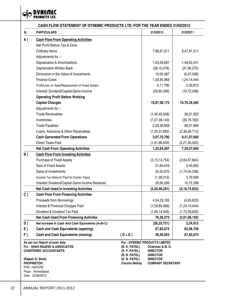**OO DYNEMIC** 

|       | CASH FLOW STATEMENT OF DYNEMIC PRODUCTS LTD. FOR THE YEAR ENDED 31/03/2012 |                                |                                      |                  |  |
|-------|----------------------------------------------------------------------------|--------------------------------|--------------------------------------|------------------|--|
| Sr.   | <b>PARTICULARS</b>                                                         |                                | 31/3/2012                            | 31/3/2011        |  |
| A]    | <b>Cash Flow From Operating Activities</b>                                 |                                |                                      |                  |  |
|       | Net Profit Before Tax & Extra                                              |                                |                                      |                  |  |
|       | Ordinary Items                                                             |                                | 7,98,97,011                          | 8,47,91,511      |  |
|       | Adjustments for :-                                                         |                                |                                      |                  |  |
|       | Depreciation & Amortisations                                               |                                | 1,63,28,691                          | 1,49,62,241      |  |
|       | <b>Depreciation Written Back</b>                                           |                                | (28, 10, 078)                        | (27, 90, 270)    |  |
|       | Diminution in the Value of Investments                                     |                                | 15,05,087                            | (6,07,099)       |  |
|       | <b>Finance Costs</b>                                                       |                                | 1,59,85,968                          | 1,24,14,444      |  |
|       | Profit/Loss on Sale/Replacement of Fixed Assets                            |                                | 8,11,796                             | 2,35,813         |  |
|       | Interest/ Dividend/Capital Gains Income                                    |                                | (29, 60, 299)                        | (10, 72, 298)    |  |
|       | <b>Operating Profit Before Working</b>                                     |                                |                                      |                  |  |
|       | <b>Capital Changes</b>                                                     |                                | 10,87,58,175                         | 10,79,34,343     |  |
|       | Adjustments for :-                                                         |                                |                                      |                  |  |
|       | <b>Trade Receivables</b>                                                   |                                | (1,46,45,008)                        | 36,01,922        |  |
|       | Inventories                                                                |                                | (7, 27, 49, 143)                     | (35, 76, 782)    |  |
|       | <b>Trade Payables</b>                                                      |                                | 2,29,38,658                          | 98,07,869        |  |
|       | Loans, Advances & Other Receivables                                        |                                | (1,35,31,892)                        | (2,36,59,713)    |  |
|       | <b>Cash Generated From Operations</b>                                      |                                | 3,07,70,790                          | 9,41,07,640      |  |
|       | <b>Direct Taxes Paid</b>                                                   |                                | (1,81,86,503)                        | (2,21,00,000)    |  |
|       | <b>Net Cash From Operating Activities</b>                                  |                                | 1,25,84,287                          | 7,20,07,640      |  |
| $B$ ] | <b>Cash Flow From Investing Activities</b>                                 |                                |                                      |                  |  |
|       | <b>Purchase of Fixed Assets</b>                                            |                                | (3, 15, 14, 754)                     | (2,64,67,864)    |  |
|       | Sale of Fixed Assets                                                       |                                | 21,64,616                            | 5,45,693         |  |
|       | Sales of Investments                                                       |                                | 34,52,870                            | (1,74,04,258)    |  |
|       | Income Tax Refund/ Paid for Earlier Years                                  |                                | (1,09,312)                           | 5,79,508         |  |
|       | Interest/Dividend/Capital Gains Income Received                            |                                | 29,60,299                            | 10,72,298        |  |
|       | Net Cash Used In Investing Activities                                      |                                | (2,30,46,281)                        | (4, 16, 74, 623) |  |
| $C_1$ | <b>Cash Flow From Financing Activities</b>                                 |                                |                                      |                  |  |
|       | Proceeds from Borrowings                                                   |                                | 4,34,29,185                          | (4,63,823)       |  |
|       | Interest & Financial Charges Paid                                          |                                | (1,59,85,968)                        | (1, 24, 14, 444) |  |
|       | Dividend & Dividend Tax Paid                                               |                                | (1,98,14,945)                        | (1,72,29,835)    |  |
|       | <b>Net Cash Used From Financing Activites</b>                              |                                | 76,28,273                            | (3,01,08,102)    |  |
| D]    | Net Increase In Cash And Cash Equivalents (A+B+C)                          |                                | (28, 33, 721)                        | 2,24,915         |  |
| E]    | <b>Cash and Cash Equivalents (opening)</b>                                 |                                | 67,83,674                            | 65,58,758        |  |
| F]    | <b>Cash and Cash Equivalents (closing)</b>                                 | $(D+E)$                        | 39,49,953                            | 67,83,674        |  |
|       | As per our Report of even date                                             |                                | <b>For: DYNEMIC PRODUCTS LIMITED</b> |                  |  |
|       | For: SHAH RAJESH & ASSOCIATES                                              | (B. K. PATEL)                  | Chairman & M.D.                      |                  |  |
|       | <b>CHARTERED ACCOUNTANTS.</b>                                              | (D. P. PATEL)<br>(R. B. PATEL) | <b>DIRECTOR</b><br><b>DIRECTOR</b>   |                  |  |
|       | (Rajesh D. Shah)                                                           | (D. B. PATEL)                  | <b>DIRECTOR</b>                      |                  |  |
|       | PROPRIETOR.                                                                | (Varsha Mehta)                 | <b>COMPANY SECRETARY</b>             |                  |  |
|       | FRN. 109767W<br>Place: Ahmedabad.                                          |                                |                                      |                  |  |
|       | Date: 23/06/2012                                                           |                                |                                      |                  |  |
|       |                                                                            |                                |                                      |                  |  |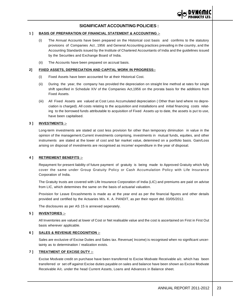

# **SIGNIFICANT ACCOUNTING POLICIES :**

#### **1 ] BASIS OF PREPARATION OF FINANCIAL STATEMENT & ACCOUNTING :-**

- (i) The Annual Accounts have been prepared on the Historical cost basis and confirms to the statutory provisions of Companies Act , 1956 and General Accounting practices prevailing in the country, and the Accounting Standards issued by the Institute of Chartered Accountants of India and the guidelines issued by the Securities and Exchange Board of India.
- (ii) The Accounts have been prepared on accrual basis.

#### **2] FIXED ASSETS, DEPRECIATION AND CAPITAL WORK IN PROGRESS:-**

- (i) Fixed Assets have been accounted for at their Historical Cost.
- (ii) During the year, the company has provided the depreciation on straight line method at rates for single shift specified in Schedule XIV of the Companies Act,1956 on the prorata basis for the additions from Fixed Assets.
- (iii) All Fixed Assets are valued at Cost Less Accumulated depreciation ( Other than land where no depreciation is charged). All costs relating to the acquisition and installations and initial financing costs relating to the borrowed funds attributable to acquisition of Fixed Assets up to date, the assets is put to use, have been capitalised.

#### **3 ] INVESTMENTS :-**

Long-term investments are stated at cost less provision for other than temporary diminution in value in the opinion of the management.Current investments comprising, investments in mutual funds, equities, and other instruments are stated at the lower of cost and fair market value, detemined on a portfolio basis. Gain/Loss arising on disposal of investments are recognised as income/ expenditure in the year of disposal.

#### **4 ] RETIREMENT BENEFITS :-**

Repayment for present liability of future payment of gratuity is being made to Approved Gratuity which fully cover the same under Group Gratuity Policy or Cash Accumulation Policy with Life Insurance Corporation of India.

The Gratuity trusts are covered with Life Insurance Corporation of India (LIC) and premiums are paid on advise from LIC, which determines the same on the basis of actuarial valuation.

Provision for Leave Encashments is made as at the year end as per the financial figures and other details provided and certified by the Actuaries M/s. K. A. PANDIT, as per their report dtd. 03/05/2012.

The disclosures as per AS 15 is annexed seperately.

#### **5 ] INVENTORIES :-**

All Inventories are valued at lower of Cost or Net realisable value and the cost is ascertained on First in First Out basis wherever applicable.

#### **6 ] SALES & REVENUE RECOGNITION :-**

Sales are exclusive of Excise Duties and Sales tax. Revenue( Income) is recognised when no significant uncertainty as to determination / realization exists.

#### **7 ] TREATMENT OF EXCISE DUTY :-**

Excise Modvate credit on purchase have been transferred to Excise Modvate Receivable a/c. which has been transferred or set off against Excise duties payable on sales and balance have been shown as Excise Modvate Receivable A/c. under the head Current Assets, Loans and Advances in Balance sheet.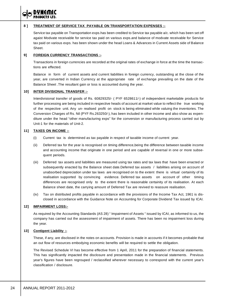#### **8 ] TREATMENT OF SERVICE TAX PAYABLE ON TRANSPORTATION EXPENSES :-**

Service tax payable on Transportation exps.has been credited to Service tax payable a/c. which has been set off agaist Modvate receivable for service tax paid on various exps.and balance of modvate receivable for Service tax paid on various exps. has been shown under the head Loans & Advances in Current Assets side of Balance Sheet.

#### **9] FOREIGN CURRENCY TRANSACTIONS :-**

Transactions in foreign currencies are recorded at the original rates of exchange in force at the time the transactions are effected.

Balance in form of current assets and current liabilities in foreign currency, outstanding at the close of the year, are converted in Indian Currency at the appropriate rate of exchange prevailing on the date of the Balance Sheet .The resultant gain or loss is accounted during the year.

#### **10] INTER DIVISIONAL TRANSFER :-**

Interdivisional transfer of goods of Rs. 60829325/- ( PYF 6528611/-) of independent marketable products for further processing are being included in respective heads of account at market value to reflect the true working of the respective unit. Any un- realised profit on stock is being eliminated while valuing the inventories. The Conversion Charges of Rs. Nil (PYF Rs.263250/-), has been included in other income and also show as expenditure under the head "other manufacturing exps" for the conversion or manufacturing process carried out by Unit-1 for the materials of Unit-2.

#### **11] TAXES ON INCOME :-**

- (i) Current tax is determined as tax payable in respect of taxable income of current year.
- (ii) Deferred tax for the year is recognised on timing difference,being the difference between taxable income and accounting income that originate in one period and are capable of reversal in one or more subsequent periods.
- (iii) Deferred tax assets and liabilities are measured using tax rates and tax laws that have been enacted or subsequently enacted by the Balance sheet date.Deferred tax assets / liabilities arising on account of unabsorbed depreciation under tax laws are recognised on to the extent there is virtual certainity of its realisation supported by convincing evidence. Deferred tax assets on account of other timing differences are recognised only to the extent there is reasonable certainity of its realisation. At each Balance sheet date, the carrying amount of Deferred Tax are revived to reassure realisation.
- (iv) Tax on distributed profits payable in accordance with the provisions of the Income Tax Act, 1961 is disclosed in accordance with the Guidance Note on Accounting for Corporate Dividend Tax issued by ICAI.

#### **12] IMPAIRMENT LOSS:-**

As required by the Accounting Standards (AS 28) " Impairment of Assets " issued by ICAI, as informed to us, the company has carried out the assessment of impairment of assets. There has been no impairment loss during the year.

#### **13] Contigent Liability :-**

These, if any, are disclosed in the notes on accounts. Provision is made in accounts if it becomes probable that an out flow of resources embodying economic benefits will be required to settle the obligation.

The Revised Schedule VI has become effective from 1 April, 2011 for the preparation of financial statements. This has significantly impacted the disclosure and presentation made in the financial statements. Previous year's figures have been regrouped / reclassified wherever necessary to correspond with the current year's classification / disclosure.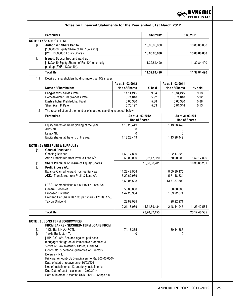

|              | <b>Particulars</b>                                                         |                                          | 31/3/2012       |                                          | 31/3/2011       |
|--------------|----------------------------------------------------------------------------|------------------------------------------|-----------------|------------------------------------------|-----------------|
|              | <b>NOTE: 1: SHARE CAPITAL:</b>                                             |                                          |                 |                                          |                 |
| [a]          | <b>Authorised Share Capital</b>                                            |                                          | 13,00,00,000    |                                          | 13,00,00,000    |
|              | [13000000 Equity Share of Rs. 10/- each]                                   |                                          |                 |                                          |                 |
|              | [PYF 13000000 Equity Shares]                                               | 13,00,00,000                             |                 | 13,00,00,000                             |                 |
| [b]          | Issued, Subscribed and paid up:                                            |                                          |                 |                                          |                 |
|              | [11328449 Equity Shares of Rs. 10/- each fully<br>paid up (PYF 11328449)]. |                                          | 11,32,84,490    |                                          | 11,32,84,490    |
|              |                                                                            |                                          |                 |                                          |                 |
|              | <b>Total Rs.</b>                                                           |                                          | 11,32,84,490    |                                          | 11,32,84,490    |
| 1.1          | Details of shareholders holding more than 5% shares                        |                                          |                 |                                          |                 |
|              |                                                                            | As at 31-03-2012                         |                 | As at 31-03-2011                         |                 |
|              | <b>Name of Shareholder</b>                                                 | <b>Nos of Shares</b>                     | % held          | <b>Nos of Shares</b>                     | $%$ held        |
|              | Bhagwandas Kalidas Patel                                                   | 11,14,245                                | 9.84            | 10,34,245                                | 9.13            |
|              | Rameshkumar Bhagwandas Patel                                               | 6,71,018                                 | 5.92            | 6,71,018                                 | 5.92            |
|              | Dashrathbhai Prahladbhai Patel<br>Shashikant P Patel                       | 6,66,330                                 | 5.88            | 6,66,330                                 | 5.88            |
|              |                                                                            | 5,70,127                                 | 5.03            | 5,81,344                                 | 5.13            |
| 1.2          | The reconciliation of the number of share outstanding is set out below     |                                          |                 |                                          |                 |
|              | <b>Particulars</b>                                                         | As at 31-03-2012<br><b>Nos of Shares</b> |                 | As at 31-03-2011<br><b>Nos of Shares</b> |                 |
|              |                                                                            |                                          |                 |                                          |                 |
|              | Equity shares at the beginning of the year<br>Add:- NIL                    | 1,13,28,449<br>0                         |                 | 1,13,28,449<br>0                         |                 |
|              | Less:- NIL                                                                 | 0                                        |                 | 0                                        |                 |
|              | Equity shares at the end of the year                                       | 1,13,28,449                              |                 | 1,13,28,449                              |                 |
|              |                                                                            |                                          |                 |                                          |                 |
|              | <b>NOTE: 2: RESERVES &amp; SURPLUS:</b>                                    |                                          |                 |                                          |                 |
| [a]          | <b>General Reserves :-</b>                                                 |                                          |                 |                                          |                 |
|              | Opening Balance<br>Add: Transferred from Profit & Loss A/c.                | 1,52,17,820<br>50,00,000                 | 2,02,17,820     | 1,02,17,820<br>50,00,000                 | 1,52,17,820     |
|              |                                                                            |                                          |                 |                                          |                 |
| $[b]$<br>[c] | Share Premium on issue of Equity Shares<br>Profit & Loss A/c.              |                                          | 10,36,80,201    |                                          | 10,36,80,201    |
|              | Balance Carried forward from earlier year                                  | 11,23,42,564                             |                 | 8,00,39,175                              |                 |
|              | ADD:- Transferred from Profit & Loss A/c                                   | 5,29,62,939                              |                 | 5,71,18,334                              |                 |
|              |                                                                            | 16,53,05,503                             |                 | 13,71,57,509                             |                 |
|              | LESS:- Appropriations out of Profit & Loss A/c                             |                                          |                 |                                          |                 |
|              | <b>General Reserves</b>                                                    | 50,00,000                                |                 | 50,00,000                                |                 |
|              | Proposed Dividend                                                          | 1,47,26,984                              |                 | 1,69,92,674                              |                 |
|              | Dividend Per Share Rs.1.30 per share (PY Rs. 1.50)                         |                                          |                 |                                          |                 |
|              | Tax on Dividend                                                            | 23,89,085                                |                 | 28,22,271                                |                 |
|              |                                                                            | 2,21,16,069                              | 14, 31, 89, 434 | 2,48,14,945                              | 11,23,42,564    |
|              | <b>Total Rs.</b>                                                           |                                          | 26,70,87,455    |                                          | 23, 12, 40, 585 |
|              |                                                                            |                                          |                 |                                          |                 |
|              | <b>NOTE : 3 : LONG TERM BORROWINGS :</b>                                   |                                          |                 |                                          |                 |
|              | <b>FROM BANKS:- SECURED- TERM LOANS FROM</b><br>* Citi Bank N.A.- FCTL     | 74,18,335                                |                 |                                          |                 |
| [a]<br>[b]   | * Axis Bank Ltd.- TL                                                       | 0                                        |                 | 1,30,14,387<br>0                         |                 |
|              | [HP. C.C. A/c. Secured against pari passu                                  |                                          |                 |                                          |                 |
|              | mortgage/ charge on all immovable properties &                             |                                          |                 |                                          |                 |
|              | stocks of Raw Materials, Stores, Finished                                  |                                          |                 |                                          |                 |
|              | Goods etc. & personal guarantee of Directors. ]                            |                                          |                 |                                          |                 |
|              | Defaults:- NIL                                                             |                                          |                 |                                          |                 |
|              | Principal Amount- USD equivalent to Rs. 200,00,000/-                       |                                          |                 |                                          |                 |
|              | Date of start of repayments- 10/03/2011                                    |                                          |                 |                                          |                 |
|              | Nos of Installments- 12 quarterly installments                             |                                          |                 |                                          |                 |
|              | Due Date of Last Installment- 10/02/2014                                   |                                          |                 |                                          |                 |
|              | Rate of Interest- 3 months USD Libor + 355bps p.a.                         |                                          |                 |                                          |                 |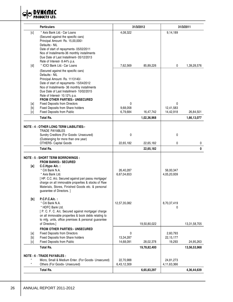

|            | <b>Particulars</b>                                                                                                                                                                                                                                                                                        | 31/3/2012                |              |                          | 31/3/2011       |  |
|------------|-----------------------------------------------------------------------------------------------------------------------------------------------------------------------------------------------------------------------------------------------------------------------------------------------------------|--------------------------|--------------|--------------------------|-----------------|--|
| [c]        | * Axis Bank Ltd.- Car Loans<br>(Secured against the specific cars)<br>Principal Amount- Rs. 15,00,000/-<br>Defaults:- NIL<br>Date of start of repayments- 05/02/2011<br>Nos of Installments-36 monthly installments<br>Due Date of Last Installment- 05/12/2013                                           | 4,08,322                 |              | 9,14,189                 |                 |  |
| [d]        | Rate of Interest- 8.44% p.a.<br>* ICICI Bank Ltd.- Car Loans                                                                                                                                                                                                                                              | 7,62,569                 | 85,89,226    | 0                        | 1,39,28,576     |  |
|            | (Secured against the specific cars)<br>Defaults:- NIL<br>Principal Amount- Rs. 1113140/-<br>Date of start of repayments- 15/04/2012<br>Nos of Installments- 36 monthly installments<br>Due Date of Last Installment- 10/02/2015<br>Rate of Interest- 10.12% p.a.<br><b>FROM OTHER PARTIES:- UNSECURED</b> |                          |              |                          |                 |  |
| [a]        | <b>Fixed Deposits from Directors</b>                                                                                                                                                                                                                                                                      | 0                        |              | $\mathbf{0}$             |                 |  |
| [b]<br>[c] | Fixed Deposits from Share holders<br><b>Fixed Deposits from Public</b>                                                                                                                                                                                                                                    | 9,68,058<br>6,79,684     | 16,47,742    | 12,41,583<br>14,42,918   | 26,84,501       |  |
|            | <b>Total Rs.</b>                                                                                                                                                                                                                                                                                          |                          | 1,02,36,968  |                          | 1,66,13,077     |  |
|            | <b>NOTE : 4 : OTHER LONG TERM LIABILITIES:-</b>                                                                                                                                                                                                                                                           |                          |              |                          |                 |  |
|            | TRADE PAYABLES                                                                                                                                                                                                                                                                                            |                          |              |                          |                 |  |
|            | Sundry Creditors (For Goods- Unsecured)<br>(Outstanging for more than one year)                                                                                                                                                                                                                           | 0                        |              | 0                        |                 |  |
|            | <b>OTHERS- Capital Goods</b>                                                                                                                                                                                                                                                                              | 22,65,182                | 22,65,182    | $\mathbf 0$              | 0               |  |
|            | <b>Total Rs.</b>                                                                                                                                                                                                                                                                                          |                          | 22,65,182    |                          | 0               |  |
|            | <b>NOTE: 5: SHORT TERM BORROWINGS:</b>                                                                                                                                                                                                                                                                    |                          |              |                          |                 |  |
| [a]        | <b>FROM BANKS:- SECURED</b><br>C.C.Hypo A/c.:                                                                                                                                                                                                                                                             |                          |              |                          |                 |  |
|            | * Citi Bank N.A.                                                                                                                                                                                                                                                                                          | 26,40,287                |              | 56,00,347                |                 |  |
|            | * Axis Bank Ltd.<br>[HP. C.C. A/c. Secured against pari passu mortgage/<br>charge on all immovable properties & stocks of Raw<br>Materials, Stores, Finished Goods etc. & personal<br>guarantee of Directors. ]                                                                                           | 6,67,04,653              |              | 4,05,20,939              |                 |  |
| [b]        | $P.C.F.C.A/c.$ :                                                                                                                                                                                                                                                                                          |                          |              |                          |                 |  |
|            | * Citi Bank N.A.<br>* HDFC Bank Ltd.<br>[ P. C. F. C. A/c. Secured against mortgage/ charge<br>on all immovable properties & book debts relating to<br>to mfg. units, office premises & personal guarantee                                                                                                | 12,57,35,082             |              | 8,70,37,419<br>0         |                 |  |
|            | of Directors.]                                                                                                                                                                                                                                                                                            |                          | 19,50,80,022 |                          | 13, 31, 58, 705 |  |
|            | <b>FROM OTHER PARTIES:- UNSECURED</b>                                                                                                                                                                                                                                                                     |                          |              |                          |                 |  |
| [a]        | <b>Fixed Deposits from Directors</b>                                                                                                                                                                                                                                                                      | 0                        |              | 2,60,793                 |                 |  |
| [b]<br>[c] | Fixed Deposits from Share holders<br>Fixed Deposits from Public                                                                                                                                                                                                                                           | 13,34,287<br>14,68,091   | 28,02,378    | 22,15,177<br>19,293      | 24,95,263       |  |
|            | <b>Total Rs.</b>                                                                                                                                                                                                                                                                                          |                          | 19,78,82,400 |                          | 13,56,53,968    |  |
|            | <b>NOTE: 6: TRADE PAYABLES:</b>                                                                                                                                                                                                                                                                           |                          |              |                          |                 |  |
| $\star$    | Micro, Small & Medium Enter. (For Goods- Unsecured)<br>Others (For Goods- Unsecured)                                                                                                                                                                                                                      | 22,70,988<br>6,43,12,309 |              | 24,81,273<br>4,11,63,366 |                 |  |
|            | <b>Total Rs.</b>                                                                                                                                                                                                                                                                                          |                          | 6,65,83,297  |                          | 4,36,44,639     |  |
|            |                                                                                                                                                                                                                                                                                                           |                          |              |                          |                 |  |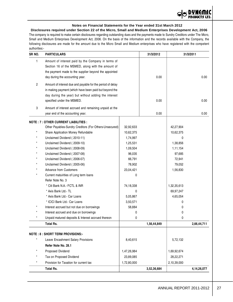

# **Notes on Financial Statements for the Year ended 31st March 2012**

**Disclosures required under Section 22 of the Micro, Small and Medium Enterprises Development Act, 2006** The company is required to make certain disclosures regarding outstanding dues and the payments made to Sundry Creditors under The Micro, Small and Medium Enterprises Development Act, 2006. On the basis of the information and the records available with the Company, the following disclosures are made for the amount due to the Micro Small and Medium enterprises who have registered with the competent authorities:-

| SR NO.  | <b>PARTICULARS</b>                                                                                                                                                                                  |             | 31/3/2012   |             | 31/3/2011   |
|---------|-----------------------------------------------------------------------------------------------------------------------------------------------------------------------------------------------------|-------------|-------------|-------------|-------------|
| 1       | Amount of interest paid by the Company in terms of<br>Section 16 of the MSMED, along with the amount of<br>the payment made to the supplier beyond the appointed<br>day during the accounting year. |             | 0.00        |             | 0.00        |
| 2       | Amount of interest due and payable for the period of delay<br>in making payment (which have been paid but beyond the<br>day during the year) but without adding the interest                        |             |             |             |             |
| 3       | specified under the MSMED.<br>Amount of interest accrued and remaining unpaid at the                                                                                                                |             | 0.00        |             | 0.00        |
|         | year end of the accounting year.                                                                                                                                                                    |             | 0.00        |             | 0.00        |
|         | <b>NOTE: 7: OTHER CURRENT LIABILITIES:</b>                                                                                                                                                          |             |             |             |             |
|         | Other Payables-Sundry Creditors (For Others-Unsecured)                                                                                                                                              | 32,92,633   |             | 42,27,904   |             |
| $\star$ | Share Application Money Refundable                                                                                                                                                                  | 10,62,375   |             | 10,62,375   |             |
| $\star$ | Unclaimed Dividend (2010-11)                                                                                                                                                                        | 1,74,997    |             | 0           |             |
| $\star$ | Unclaimed Dividend (2009-10)                                                                                                                                                                        | 1,25,531    |             | 1,38,856    |             |
|         | Unclaimed Dividend (2008-09)                                                                                                                                                                        | 1,09,504    |             | 1,11,154    |             |
|         | Unclaimed Dividend (2007-08)                                                                                                                                                                        | 96,035      |             | 97,685      |             |
|         | Unclaimed Dividend (2006-07)                                                                                                                                                                        | 66,791      |             | 72,941      |             |
|         | Unclaimed Dividend (2005-06)                                                                                                                                                                        | 78,902      |             | 79,052      |             |
|         | <b>Advance from Customers</b>                                                                                                                                                                       | 23,04,421   |             | 1,56,830    |             |
|         | Current matuirities of Long term loans                                                                                                                                                              | 0           |             |             |             |
|         | Refer Note No. 3                                                                                                                                                                                    |             |             |             |             |
|         | * Citi Bank N.A.- FCTL & INR                                                                                                                                                                        | 74,18,338   |             | 1,32,35,613 |             |
|         | * Axis Bank Ltd.- TL                                                                                                                                                                                | 0           |             | 69,97,247   |             |
|         | * Axis Bank Ltd.- Car Loans                                                                                                                                                                         | 5,05,867    |             | 4,65,054    |             |
|         | * ICICI Bank Ltd.- Car Loans                                                                                                                                                                        | 3,50,571    |             | 0           |             |
|         | Interest accrued but not due on borrowings                                                                                                                                                          | 58,884      |             | 0           |             |
|         | Interest accrued and due on borrowings                                                                                                                                                              | 0           |             | 0           |             |
|         | Unpaid matured deposits & Interest accrued thereon                                                                                                                                                  | 0           |             | 0           |             |
|         | <b>Total Rs.</b>                                                                                                                                                                                    |             | 1,56,44,849 |             | 2,66,44,711 |
|         | <b>NOTE: 8: SHORT TERM PROVISIONS:-</b>                                                                                                                                                             |             |             |             |             |
|         |                                                                                                                                                                                                     |             |             |             |             |
|         | Leave Encashment Salary Provisions                                                                                                                                                                  | 8,40,615    |             | 5,72,132    |             |
|         | Refer Note No. 28.1                                                                                                                                                                                 |             |             |             |             |
|         | Proposed Dividend                                                                                                                                                                                   | 1,47,26,984 |             | 1,69,92,674 |             |
|         | Tax on Proposed Dividend                                                                                                                                                                            | 23,89,085   |             | 28,22,271   |             |
|         | Provision for Taxation for current tax                                                                                                                                                              | 1,72,80,000 |             | 2,10,39,000 |             |
|         | <b>Total Rs.</b>                                                                                                                                                                                    |             | 3,52,36,684 |             | 4,14,26,077 |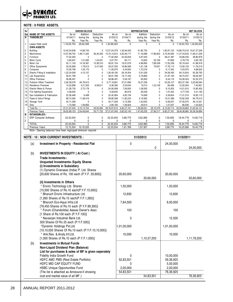

#### **NOTE : 9 FIXED ASSETS.**

| Sr             |                                                               |              | <b>GROSS BLOCK</b> |              |              |             | <b>DEPRECIATION</b> |              |             |              | <b>NET BLOCK</b>          |
|----------------|---------------------------------------------------------------|--------------|--------------------|--------------|--------------|-------------|---------------------|--------------|-------------|--------------|---------------------------|
| No             | <b>NAME OF THE ASSETS</b>                                     | As on        | Addition           | Deduction    | As on        | As on       | Addition            | Deduction    | As on       | As on        | As on                     |
| $\overline{A}$ | <b>TANGIBLES</b>                                              | 01/04/11     | during the         | during the   | 31/03/12     | 01/04/11    | during the          | during the   | 31/03/12    | 31/03/11     | 31/03/12                  |
|                |                                                               | Rs.          | Year Rs.           | Year Rs.     | Rs.          | Rs.         | Year Rs.            | Year Rs.     | Rs.         | Rs.          | Rs.                       |
|                | Lease Hold Land                                               | 1,16,03,723  | 26,62,500          | 0            | 1,42,66,223  | 0           | $\mathbf{0}$        | $\mathbf{0}$ | 0           | 1,16,03,723  | 1,42,66,223               |
|                | <b>OWN ASSETS</b>                                             |              |                    |              |              |             |                     |              |             |              |                           |
| $\overline{c}$ | <b>Building</b>                                               | 12,42,54,636 | 14,69,743          | $\mathbf 0$  | 12,57,24,379 | 1,53,84,420 | 41,82,703           | 0            | 1,95,67,123 |              | 10,88,70,216 10,61,57,256 |
| 3              | <b>Machineries</b>                                            | 14,57,89,752 | 1.48.71.320        | 36,45,262    | 15,70,15,810 | 3.20.46.717 | 71,16,688           | 17.68.822    | 3.73.94.584 |              | 11,37,43,035 11,96,21,226 |
| $\overline{4}$ | Furniture                                                     | 77,02,263    | $\Omega$           | $\Omega$     | 77,02,263    | 43,33,833   | 4,87,553            | $\Omega$     | 48,21,387   | 33,68,430    | 28,80,876                 |
| 5              | Motor Cycle                                                   | 3.60.947     | 1.01.095           | 1,54,251     | 3.07.791     | 82.171      | 15,604              | 50,169       | 47.606      | 2.78.776     | 2,60,185                  |
| 6              | Motor Car                                                     | 55, 11, 103  | 14, 18, 361        | 10,38,310    | 58,91,154    | 19,91,679   | 4,98,895            | 7,88,338     | 17,02,236   | 35, 19, 424  | 41,88,918                 |
| 17             | Office Equipments                                             | 30,25,669    | 1,79,013           | 2,47,350     | 29,57,332    | 16,66,566   | 1,91,138            | 79,591       | 17,78,113   | 13,59,103    | 11,79,219                 |
| 8              | Computer                                                      | 10,00,799    | 1,05,175           | $\mathbf{0}$ | 11,05,974    | 4,44,824    | 1,72,518            | $\mathbf 0$  | 6,17,342    | 5,55,975     | 4,88,632                  |
| 9              | Electric Fitting & Installation                               | 1,22,34,058  | 4,15,137           | 0            | 1,26,49,195  | 28,18,404   | 5,91,026            | $\mathbf 0$  | 34,09,430   | 94, 15, 654  | 92, 39, 765               |
| 10             | Lab Equipments                                                | 58,91,789    | 0                  | 0            | 58,91,789    | 19, 17, 332 | 2,79,860            | $\mathbf 0$  | 21,97,192   | 39,74,457    | 36,94,597                 |
| 11             | <b>Office Premises</b>                                        | 58,86,491    | 0                  | $\Omega$     | 58,86,491    | 5,58,167    | 95,950              | $\mathbf 0$  | 6,54,116    | 53,28,324    | 52, 32, 375               |
| 12             | <b>Pollution Effect Treatment</b>                             | 2,92,39,076  | 84,79,615          | $\Omega$     | 3.77.18.691  | 37,01,890   | 16,27,236           | $\Omega$     | 53,29,127   | 255, 37, 186 | 3,23,89,564               |
| 13             | <b>Residence Premises</b>                                     | 14,23,898    | 3,21,303           | 9,08,811     | 8,36,390     | 2,03,634    | 15,013              | 1,23,158     | ,95,489     | 12,20,264    | 7,40,901                  |
| 14             | Electric Motor & Pumps                                        | 21,28,730    | 2,72,178           | $\Omega$     | 24.00.908    | 7,06,920    | 1,08,583            | 0            | 8,15,503    | 14,21,810    | 15,85,405                 |
| 15             | Fire fighting Equipments                                      | 5,58,645     | $\Omega$           | $\Omega$     | 5,58,645     | 80,916      | 26,536              | 0            | 1,07,452    | 4,77,729     | 4,51,193                  |
| 16             | Gas Installation & Fabrication                                | 22,36,466    | 6,498              | $\Omega$     | 22,42,964    | 4,85,156    | 74,698              | 0            | 5,59,854    | 17,51,310    | 16,83,110                 |
| 17             | Pipes & Valve Fittings                                        | 88,74,582    | 11,06,016          | $\Omega$     | 99,80,598    | 11,82,224   | 3,19,362            | 0            | 15,01,586   | 76,92,358    | 84,79,012                 |
| 18             | Storage Tank                                                  | 42,71,058    | $\Omega$           | $\Omega$     | 42,71,058    | 5,15,383    | 1,42,653            | 0            | 6,58,037    | 37,55,675    | 36, 13, 021               |
| 19             | Dies                                                          | 1.73.360     | 1.06.800           | $\Omega$     | 2,80,160     | 1,06,924    | 20.614              | $\Omega$     | 1.27.537    | 66.436       | 1,52,623                  |
|                | Total Rs. ::::                                                | 37,21,67,045 | 3, 15, 14, 754     | 59,93,984    | 39,76,87,815 | 6,82,27,161 | 1,59,66,631         | 28,10,078    | 8,13,83,714 |              | 30,39,39,884 31,63,04,101 |
|                | Previous Years                                                | 35,02,89,123 | 2.54.49.644        | 35.71.722    | 37.21.67.045 | 5.62.52.143 | 1,47,65,235         | 27,90,217    | 6,82,27,161 |              | 29,40,36,980 30,39,39,884 |
| B              | <b>INTANGIBLES:-</b>                                          |              |                    |              |              |             |                     |              |             |              |                           |
|                | <b>ERP Computer Software</b>                                  | 22,33,554    | 0                  | 0            | 22,33,554    | 3,88,775    | 3,62,060            | 0            | 7,50,835    | 18,44,779    | 14,82,719                 |
| $\overline{2}$ |                                                               | 0            | 0                  | 0            | $\mathbf{0}$ | 0           | 0                   | 0            | 0           | 0            | $\Omega$                  |
|                | <b>TOTAL</b>                                                  | 22,33,554    | $\mathbf{0}$       | $\mathbf{0}$ | 22,33,554    | 3,88,775    | 3,62,060            | $\Omega$     | 7,50,835    | 18,44,779    | 14,82,719                 |
|                | Previous Years                                                | 12, 15, 334  | 10.18.220          | $\mathbf{0}$ | 22,33,554    | 1,91,768    | 1,97,007            | $\mathbf{0}$ | 3,88,775    | 10,23,566    | 18,44,779                 |
|                | Note:- Opening balances have been regrouped wherever required |              |                    |              |              |             |                     |              |             |              |                           |

#### **NOTE : 10 : NON CURRENT INVESTMENTS : 31/3/2012 31/3/2011** [a] **Investment In Property - Residential Flat** 0 24,00,000  $0 | 24,00,000$ [b] **INVESTMENTS IN EQUITY ( At Cost ) Trade Investments:- Unquoted Investments- Equity Shares (i) Investments in Subsidiary** (1) Dynamic Overseas (India) P. Ltd. Shares [20,600 Shares of Rs. 100 each (P.Y.F. 20,600)] 20,60,000 20,60,000 20,60,000 20,60,000 **(ii) Investments in Others** \* Enviro Technology Ltd. Shares 1,50,000 1,50,000 1,50,000 1,50,000 [15,000 Shares of Rs.10 each(P.Y.F.15,000)] Bharuch Enviro Infrastructure Ltd. 12,600 12,600 12,600 [1,260 Shares of Rs.10 each(P.Y.F.1,260)] **Bharuch Eco-Aqua Infra.Ltd**  1 2,84,500 8,93,000 8,93,000 [78,450 Shares of Rs.10 each (P.Y.F.89,300)] Forum (Chandolidia) Aawas Owner's Asso. 100 100 100 100 [1 Share of Rs.100 each (P.Y.F.100)] Navsarjan Industrial Bank Ltd. 12,500 500 Shares Of Rs 25 each (P.Y.F.500)] \*Dynemic Holdings Pvt.Ltd. 1,01,00,000 1,01,00,000 1,01,00,000 1,01,00,000 [10,10,000 Shares Of Rs.10 each (P.Y.F.10,10,000)] Ank.Res. &.Analy.Inf.Ltd. 10,000 10,000 10,000 10,000 [1,000 Shares of Rs.10 each (P.Y.F.1,000)] 1,10,57,200 1,11,78,200 [b] **Investments in Mutual Funds Non-Liquid Dividend Plan (Balance) List for purchases & sales of MF is given seperately** Fidelity India Growth Fund **10,00000** 10,000,000 HDFC AMC PMS (Real Estate Portfolio)  $\begin{array}{|c|c|c|c|c|c|c|c|c|} \hline 59,36,925 \hline \end{array}$ HDFC MID CAP EQUITY FUND **1.8 AU CONTROLLER SUBSET AT A CONTROL** 1 S,00,000 HSBC Unique Opportunities Fund 2,00,000 2,00,000 2,00,000 2,00,000 The list is attached as Annexure-II showing 54,83,501 76,36,925 cost and market value of all MF )  $\overline{54,83,501}$   $\overline{76,36,925}$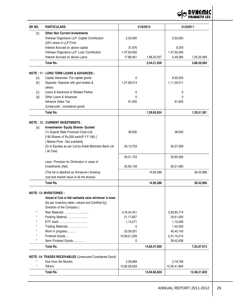

| SR NO.  | <b>PARTICULARS</b>                                                      |              | 31/3/2012    |              | 31/3/2011    |
|---------|-------------------------------------------------------------------------|--------------|--------------|--------------|--------------|
| [c]     | <b>Other Non Current Investments</b>                                    |              |              |              |              |
|         | Vishwas Organisors LLP- Capital Contribution<br>(25% share in LLP Firm) | 2,50,000     |              | 2,50,000     |              |
|         | Interest Accrued on above capital                                       | 31,876       |              | 9,376        |              |
|         | Vishwas Organisors LLP- Loan Contribution                               | 1,47,50,000  |              | 1,47,50,000  |              |
|         | Interest Accrued on above Loans                                         | 17,88,461    | 1,68,20,337  | 5,46,084     | 1,55,55,460  |
|         | <b>Total Rs.</b>                                                        |              | 3,54,21,038  |              | 3,88,30,585  |
|         | <b>NOTE: 11: LONG TERM LOANS &amp; ADVANCES:-</b>                       |              |              |              |              |
| [a]     | Capital Advances- For capital goods                                     | 0            |              | 8,30,250     |              |
| [b]     | Deposits- Deposits with govt bodies &                                   | 1,27,99,214  |              | 1,11,59,511  |              |
|         | others                                                                  |              |              |              |              |
| [c]     | Loans & Advances to Related Parties                                     | 0            |              | 0            |              |
| $[d]$   | Other Loans & Advances                                                  | 0            |              | 0            |              |
|         | <b>Advance Sales Tax</b>                                                | 61,620       |              | 61,620       |              |
|         | (Unsecured, considered good)                                            |              |              |              |              |
|         | <b>Total Rs.</b>                                                        |              | 1,28,60,834  |              | 1,20,51,381  |
|         |                                                                         |              |              |              |              |
|         | <b>NOTE: 12: CURRENT INVESTMENTS:</b>                                   |              |              |              |              |
| [a]     | <b>Investments- Equity Shares- Quoted</b>                               |              |              |              |              |
|         | (1) Gujarat State Financial Corpn.Ltd.                                  | 38,000       |              | 38,000       |              |
|         | [190 Shares of Rs.200 each(P.Y.F.190)]                                  |              |              |              |              |
|         | [Market Price : Not available]                                          |              |              |              |              |
|         | (2) In Equities as per List by Kotak Mahindra Bank Ltd<br>(At Cost)     | 50,13,733    |              | 50,57,056    |              |
|         |                                                                         | 50,51,733    |              | 50,95,056    |              |
|         | Less:- Provision for Diminution in value of                             |              |              |              |              |
|         | Investments (Net)                                                       | 35,56,148    |              | 20,51,060    |              |
|         | (The list is attached as Annexure-I showing                             |              | 14,95,586    |              | 30,43,996    |
|         | cost and market value of all the shares)                                |              |              |              |              |
|         | <b>Total Rs.</b>                                                        |              | 14,95,586    |              | 30,43,996    |
|         | <b>NOTE: 13: INVENTORIES :</b>                                          |              |              |              |              |
|         | Valued at Cost or Net realisable value whichever is lower               |              |              |              |              |
|         | [As per Inventory taken, valued and Certified by]                       |              |              |              |              |
|         | Directors of the Company ]                                              |              |              |              |              |
|         | Raw Materials                                                           | 3,76,54,451  |              | 3,93,85,714  |              |
|         | Packing Material                                                        | 21,17,607    |              | 20,61,500    |              |
|         | ETP stock                                                               | 1,14,271     |              | 1,10,206     |              |
|         | Trading Materials                                                       | 0            |              | 1,42,500     |              |
|         | Work in progress                                                        | 53,59,501    |              | 45,45,143    |              |
|         | Finished Goods                                                          | 10,08,01,226 |              | 2,31,10,214  |              |
|         | Semi Finished Goods                                                     | 0            |              | 39,42,636    |              |
|         | <b>Total Rs.</b>                                                        |              | 14,60,47,056 |              | 7,32,97,913  |
|         |                                                                         |              |              |              |              |
|         | NOTE:14: TRADES RECEIVABLES (Unsecured Considered Good)                 |              |              |              |              |
|         | Due Over Six Months.                                                    | 2,39,999     |              | 2,79,756     |              |
| $\star$ | Others                                                                  | 13,92,26,629 |              | 12,45,41,864 |              |
|         | <b>Total Rs.</b>                                                        |              | 13,94,66,628 |              | 12,48,21,620 |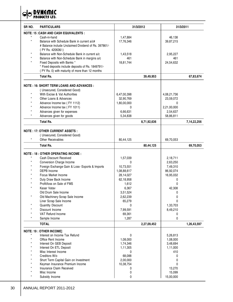**OO DYNEMIC** 

| <b>NOTE: 15 : CASH AND CASH EQUIVALENTS :</b><br>Cash-in-hand<br>1,47,884<br>46,138<br>$^\star$<br>Balance with Schedule Bank in current a/c#<br>17,76,346<br>39,87,215<br># Balance include Unclaimed Dividend of Rs. 397861/-<br>(PY Rs. 420636/-)<br>Balance with Non-Schedule Bank in current a/c<br>1,43,518<br>2,95,227<br>Balance with Non-Schedule Bank in margins a/c<br>461<br>461<br>Fixed Deposits with Banks *<br>18,81,744<br>24,54,632<br>* Fixed deposits include deposits of Rs. 1849791/-<br>(PY Rs. 0) with maturity of more than 12 months<br><b>Total Rs.</b><br>39,49,953<br><b>NOTE : 16: SHORT TERM LOANS AND ADVANCES :</b><br>(Unsecured, Considered Good)<br>With Excise & Vat Authorities<br>6,47,00,398<br>4,08,21,736<br>Other Loans & Advances<br>32,90,769<br>23,59,072<br>Advance Income tax (FY 1112)<br>1,80,00,000<br>$\Omega$<br>Advance Income tax (FY 1011)<br>2,21,00,000<br>0<br>Advances given for expenses<br>6,66,631<br>2,54,637<br>Advances given for goods<br>5,34,838<br>58,86,811<br><b>Total Rs.</b><br>8,71,92,636<br><b>NOTE : 17: OTHER CURRENT ASSETS :</b><br>(Unsecured, Considered Good)<br><b>Other Receivables</b><br>80,44,125<br>69,70,053<br><b>Total Rs.</b><br>80,44,125<br><b>NOTE : 18 : OTHER OPERATING INCOME :</b><br>Cash Discount Received<br>1,57,039<br>2,18,711<br>Conversion Charge Income<br>$\mathbf{0}$<br>2,63,250<br>Foreign Exchange Gain & Loss- Exports & Imports<br>10,73,551<br>7,49,310<br>DEPB Income<br>1,08,88,617<br>86,92,074<br>Focus Market Income<br>28,14,027<br>16,95,032<br>Duty Draw Back Income<br>62,18,958<br>0<br>Profit/loss on Sale of FMS<br>1,612<br>0<br>Kasar Vatav<br>42,308<br>6,367<br>Old Drum Sale Income<br>3,51,524<br>0<br>$\star$<br>Old Machinery Scrap Sale Income<br>2,62,239<br>0<br>Liner Scrap Sale Income<br>65,279<br>0<br><b>Quantity Discount</b><br>1,33,703<br>0<br>Discount Income<br>7,99,591<br>8,49,210<br>VAT Refund Income<br>69,361<br>0<br>Sample Income<br>1,287<br>0<br><b>TOTAL</b><br>2,27,09,452<br><b>NOTE: 19 : OTHER INCOME]</b><br>Interest on Income Tax Refund<br>0<br>5,26,813<br>Office Rent Income<br>1,08,000<br>1,08,000<br>Interest On GEB Deposit<br>1,74,346<br>3,48,694<br>Interest On ETL Deposit<br>1,11,305<br>1,11,000<br>Misc Interest Income<br>$\mathbf{0}$<br>410<br>68,088<br>Creditors W/o<br>0<br>Short Term Capital Gain on Investment<br>2,00,000<br>0<br>Keyman Insurance Premium Income<br>10,38,754<br>0<br>Insurance Claim Received<br>13,270<br>0<br>Misc Income<br>15,099<br>0<br>0 | SR NO.<br><b>PARTICULARS</b> |                | 31/3/2012 | 31/3/2011 |             |  |
|---------------------------------------------------------------------------------------------------------------------------------------------------------------------------------------------------------------------------------------------------------------------------------------------------------------------------------------------------------------------------------------------------------------------------------------------------------------------------------------------------------------------------------------------------------------------------------------------------------------------------------------------------------------------------------------------------------------------------------------------------------------------------------------------------------------------------------------------------------------------------------------------------------------------------------------------------------------------------------------------------------------------------------------------------------------------------------------------------------------------------------------------------------------------------------------------------------------------------------------------------------------------------------------------------------------------------------------------------------------------------------------------------------------------------------------------------------------------------------------------------------------------------------------------------------------------------------------------------------------------------------------------------------------------------------------------------------------------------------------------------------------------------------------------------------------------------------------------------------------------------------------------------------------------------------------------------------------------------------------------------------------------------------------------------------------------------------------------------------------------------------------------------------------------------------------------------------------------------------------------------------------------------------------------------------------------------------------------------------------------------------------------------------------------------------------------------------------------------------------------------------------------------------------------------------------------|------------------------------|----------------|-----------|-----------|-------------|--|
|                                                                                                                                                                                                                                                                                                                                                                                                                                                                                                                                                                                                                                                                                                                                                                                                                                                                                                                                                                                                                                                                                                                                                                                                                                                                                                                                                                                                                                                                                                                                                                                                                                                                                                                                                                                                                                                                                                                                                                                                                                                                                                                                                                                                                                                                                                                                                                                                                                                                                                                                                                     |                              |                |           |           |             |  |
|                                                                                                                                                                                                                                                                                                                                                                                                                                                                                                                                                                                                                                                                                                                                                                                                                                                                                                                                                                                                                                                                                                                                                                                                                                                                                                                                                                                                                                                                                                                                                                                                                                                                                                                                                                                                                                                                                                                                                                                                                                                                                                                                                                                                                                                                                                                                                                                                                                                                                                                                                                     |                              |                |           |           |             |  |
|                                                                                                                                                                                                                                                                                                                                                                                                                                                                                                                                                                                                                                                                                                                                                                                                                                                                                                                                                                                                                                                                                                                                                                                                                                                                                                                                                                                                                                                                                                                                                                                                                                                                                                                                                                                                                                                                                                                                                                                                                                                                                                                                                                                                                                                                                                                                                                                                                                                                                                                                                                     |                              |                |           |           |             |  |
|                                                                                                                                                                                                                                                                                                                                                                                                                                                                                                                                                                                                                                                                                                                                                                                                                                                                                                                                                                                                                                                                                                                                                                                                                                                                                                                                                                                                                                                                                                                                                                                                                                                                                                                                                                                                                                                                                                                                                                                                                                                                                                                                                                                                                                                                                                                                                                                                                                                                                                                                                                     |                              |                |           |           |             |  |
|                                                                                                                                                                                                                                                                                                                                                                                                                                                                                                                                                                                                                                                                                                                                                                                                                                                                                                                                                                                                                                                                                                                                                                                                                                                                                                                                                                                                                                                                                                                                                                                                                                                                                                                                                                                                                                                                                                                                                                                                                                                                                                                                                                                                                                                                                                                                                                                                                                                                                                                                                                     |                              |                |           |           |             |  |
|                                                                                                                                                                                                                                                                                                                                                                                                                                                                                                                                                                                                                                                                                                                                                                                                                                                                                                                                                                                                                                                                                                                                                                                                                                                                                                                                                                                                                                                                                                                                                                                                                                                                                                                                                                                                                                                                                                                                                                                                                                                                                                                                                                                                                                                                                                                                                                                                                                                                                                                                                                     |                              |                |           |           |             |  |
|                                                                                                                                                                                                                                                                                                                                                                                                                                                                                                                                                                                                                                                                                                                                                                                                                                                                                                                                                                                                                                                                                                                                                                                                                                                                                                                                                                                                                                                                                                                                                                                                                                                                                                                                                                                                                                                                                                                                                                                                                                                                                                                                                                                                                                                                                                                                                                                                                                                                                                                                                                     |                              |                |           |           |             |  |
|                                                                                                                                                                                                                                                                                                                                                                                                                                                                                                                                                                                                                                                                                                                                                                                                                                                                                                                                                                                                                                                                                                                                                                                                                                                                                                                                                                                                                                                                                                                                                                                                                                                                                                                                                                                                                                                                                                                                                                                                                                                                                                                                                                                                                                                                                                                                                                                                                                                                                                                                                                     |                              |                |           |           |             |  |
|                                                                                                                                                                                                                                                                                                                                                                                                                                                                                                                                                                                                                                                                                                                                                                                                                                                                                                                                                                                                                                                                                                                                                                                                                                                                                                                                                                                                                                                                                                                                                                                                                                                                                                                                                                                                                                                                                                                                                                                                                                                                                                                                                                                                                                                                                                                                                                                                                                                                                                                                                                     |                              |                |           |           |             |  |
|                                                                                                                                                                                                                                                                                                                                                                                                                                                                                                                                                                                                                                                                                                                                                                                                                                                                                                                                                                                                                                                                                                                                                                                                                                                                                                                                                                                                                                                                                                                                                                                                                                                                                                                                                                                                                                                                                                                                                                                                                                                                                                                                                                                                                                                                                                                                                                                                                                                                                                                                                                     |                              |                |           |           |             |  |
|                                                                                                                                                                                                                                                                                                                                                                                                                                                                                                                                                                                                                                                                                                                                                                                                                                                                                                                                                                                                                                                                                                                                                                                                                                                                                                                                                                                                                                                                                                                                                                                                                                                                                                                                                                                                                                                                                                                                                                                                                                                                                                                                                                                                                                                                                                                                                                                                                                                                                                                                                                     |                              |                |           |           | 67,83,674   |  |
|                                                                                                                                                                                                                                                                                                                                                                                                                                                                                                                                                                                                                                                                                                                                                                                                                                                                                                                                                                                                                                                                                                                                                                                                                                                                                                                                                                                                                                                                                                                                                                                                                                                                                                                                                                                                                                                                                                                                                                                                                                                                                                                                                                                                                                                                                                                                                                                                                                                                                                                                                                     |                              |                |           |           |             |  |
|                                                                                                                                                                                                                                                                                                                                                                                                                                                                                                                                                                                                                                                                                                                                                                                                                                                                                                                                                                                                                                                                                                                                                                                                                                                                                                                                                                                                                                                                                                                                                                                                                                                                                                                                                                                                                                                                                                                                                                                                                                                                                                                                                                                                                                                                                                                                                                                                                                                                                                                                                                     |                              |                |           |           |             |  |
|                                                                                                                                                                                                                                                                                                                                                                                                                                                                                                                                                                                                                                                                                                                                                                                                                                                                                                                                                                                                                                                                                                                                                                                                                                                                                                                                                                                                                                                                                                                                                                                                                                                                                                                                                                                                                                                                                                                                                                                                                                                                                                                                                                                                                                                                                                                                                                                                                                                                                                                                                                     |                              |                |           |           |             |  |
|                                                                                                                                                                                                                                                                                                                                                                                                                                                                                                                                                                                                                                                                                                                                                                                                                                                                                                                                                                                                                                                                                                                                                                                                                                                                                                                                                                                                                                                                                                                                                                                                                                                                                                                                                                                                                                                                                                                                                                                                                                                                                                                                                                                                                                                                                                                                                                                                                                                                                                                                                                     |                              |                |           |           |             |  |
|                                                                                                                                                                                                                                                                                                                                                                                                                                                                                                                                                                                                                                                                                                                                                                                                                                                                                                                                                                                                                                                                                                                                                                                                                                                                                                                                                                                                                                                                                                                                                                                                                                                                                                                                                                                                                                                                                                                                                                                                                                                                                                                                                                                                                                                                                                                                                                                                                                                                                                                                                                     |                              |                |           |           |             |  |
|                                                                                                                                                                                                                                                                                                                                                                                                                                                                                                                                                                                                                                                                                                                                                                                                                                                                                                                                                                                                                                                                                                                                                                                                                                                                                                                                                                                                                                                                                                                                                                                                                                                                                                                                                                                                                                                                                                                                                                                                                                                                                                                                                                                                                                                                                                                                                                                                                                                                                                                                                                     |                              |                |           |           |             |  |
|                                                                                                                                                                                                                                                                                                                                                                                                                                                                                                                                                                                                                                                                                                                                                                                                                                                                                                                                                                                                                                                                                                                                                                                                                                                                                                                                                                                                                                                                                                                                                                                                                                                                                                                                                                                                                                                                                                                                                                                                                                                                                                                                                                                                                                                                                                                                                                                                                                                                                                                                                                     |                              |                |           |           |             |  |
|                                                                                                                                                                                                                                                                                                                                                                                                                                                                                                                                                                                                                                                                                                                                                                                                                                                                                                                                                                                                                                                                                                                                                                                                                                                                                                                                                                                                                                                                                                                                                                                                                                                                                                                                                                                                                                                                                                                                                                                                                                                                                                                                                                                                                                                                                                                                                                                                                                                                                                                                                                     |                              |                |           |           |             |  |
|                                                                                                                                                                                                                                                                                                                                                                                                                                                                                                                                                                                                                                                                                                                                                                                                                                                                                                                                                                                                                                                                                                                                                                                                                                                                                                                                                                                                                                                                                                                                                                                                                                                                                                                                                                                                                                                                                                                                                                                                                                                                                                                                                                                                                                                                                                                                                                                                                                                                                                                                                                     |                              |                |           |           |             |  |
|                                                                                                                                                                                                                                                                                                                                                                                                                                                                                                                                                                                                                                                                                                                                                                                                                                                                                                                                                                                                                                                                                                                                                                                                                                                                                                                                                                                                                                                                                                                                                                                                                                                                                                                                                                                                                                                                                                                                                                                                                                                                                                                                                                                                                                                                                                                                                                                                                                                                                                                                                                     |                              |                |           |           | 7,14,22,256 |  |
|                                                                                                                                                                                                                                                                                                                                                                                                                                                                                                                                                                                                                                                                                                                                                                                                                                                                                                                                                                                                                                                                                                                                                                                                                                                                                                                                                                                                                                                                                                                                                                                                                                                                                                                                                                                                                                                                                                                                                                                                                                                                                                                                                                                                                                                                                                                                                                                                                                                                                                                                                                     |                              |                |           |           |             |  |
|                                                                                                                                                                                                                                                                                                                                                                                                                                                                                                                                                                                                                                                                                                                                                                                                                                                                                                                                                                                                                                                                                                                                                                                                                                                                                                                                                                                                                                                                                                                                                                                                                                                                                                                                                                                                                                                                                                                                                                                                                                                                                                                                                                                                                                                                                                                                                                                                                                                                                                                                                                     |                              |                |           |           |             |  |
|                                                                                                                                                                                                                                                                                                                                                                                                                                                                                                                                                                                                                                                                                                                                                                                                                                                                                                                                                                                                                                                                                                                                                                                                                                                                                                                                                                                                                                                                                                                                                                                                                                                                                                                                                                                                                                                                                                                                                                                                                                                                                                                                                                                                                                                                                                                                                                                                                                                                                                                                                                     |                              |                |           |           |             |  |
|                                                                                                                                                                                                                                                                                                                                                                                                                                                                                                                                                                                                                                                                                                                                                                                                                                                                                                                                                                                                                                                                                                                                                                                                                                                                                                                                                                                                                                                                                                                                                                                                                                                                                                                                                                                                                                                                                                                                                                                                                                                                                                                                                                                                                                                                                                                                                                                                                                                                                                                                                                     |                              |                |           |           | 69,70,053   |  |
|                                                                                                                                                                                                                                                                                                                                                                                                                                                                                                                                                                                                                                                                                                                                                                                                                                                                                                                                                                                                                                                                                                                                                                                                                                                                                                                                                                                                                                                                                                                                                                                                                                                                                                                                                                                                                                                                                                                                                                                                                                                                                                                                                                                                                                                                                                                                                                                                                                                                                                                                                                     |                              |                |           |           |             |  |
|                                                                                                                                                                                                                                                                                                                                                                                                                                                                                                                                                                                                                                                                                                                                                                                                                                                                                                                                                                                                                                                                                                                                                                                                                                                                                                                                                                                                                                                                                                                                                                                                                                                                                                                                                                                                                                                                                                                                                                                                                                                                                                                                                                                                                                                                                                                                                                                                                                                                                                                                                                     |                              |                |           |           |             |  |
|                                                                                                                                                                                                                                                                                                                                                                                                                                                                                                                                                                                                                                                                                                                                                                                                                                                                                                                                                                                                                                                                                                                                                                                                                                                                                                                                                                                                                                                                                                                                                                                                                                                                                                                                                                                                                                                                                                                                                                                                                                                                                                                                                                                                                                                                                                                                                                                                                                                                                                                                                                     |                              |                |           |           |             |  |
|                                                                                                                                                                                                                                                                                                                                                                                                                                                                                                                                                                                                                                                                                                                                                                                                                                                                                                                                                                                                                                                                                                                                                                                                                                                                                                                                                                                                                                                                                                                                                                                                                                                                                                                                                                                                                                                                                                                                                                                                                                                                                                                                                                                                                                                                                                                                                                                                                                                                                                                                                                     |                              |                |           |           |             |  |
|                                                                                                                                                                                                                                                                                                                                                                                                                                                                                                                                                                                                                                                                                                                                                                                                                                                                                                                                                                                                                                                                                                                                                                                                                                                                                                                                                                                                                                                                                                                                                                                                                                                                                                                                                                                                                                                                                                                                                                                                                                                                                                                                                                                                                                                                                                                                                                                                                                                                                                                                                                     |                              |                |           |           |             |  |
|                                                                                                                                                                                                                                                                                                                                                                                                                                                                                                                                                                                                                                                                                                                                                                                                                                                                                                                                                                                                                                                                                                                                                                                                                                                                                                                                                                                                                                                                                                                                                                                                                                                                                                                                                                                                                                                                                                                                                                                                                                                                                                                                                                                                                                                                                                                                                                                                                                                                                                                                                                     |                              |                |           |           |             |  |
|                                                                                                                                                                                                                                                                                                                                                                                                                                                                                                                                                                                                                                                                                                                                                                                                                                                                                                                                                                                                                                                                                                                                                                                                                                                                                                                                                                                                                                                                                                                                                                                                                                                                                                                                                                                                                                                                                                                                                                                                                                                                                                                                                                                                                                                                                                                                                                                                                                                                                                                                                                     |                              |                |           |           |             |  |
|                                                                                                                                                                                                                                                                                                                                                                                                                                                                                                                                                                                                                                                                                                                                                                                                                                                                                                                                                                                                                                                                                                                                                                                                                                                                                                                                                                                                                                                                                                                                                                                                                                                                                                                                                                                                                                                                                                                                                                                                                                                                                                                                                                                                                                                                                                                                                                                                                                                                                                                                                                     |                              |                |           |           |             |  |
|                                                                                                                                                                                                                                                                                                                                                                                                                                                                                                                                                                                                                                                                                                                                                                                                                                                                                                                                                                                                                                                                                                                                                                                                                                                                                                                                                                                                                                                                                                                                                                                                                                                                                                                                                                                                                                                                                                                                                                                                                                                                                                                                                                                                                                                                                                                                                                                                                                                                                                                                                                     |                              |                |           |           |             |  |
|                                                                                                                                                                                                                                                                                                                                                                                                                                                                                                                                                                                                                                                                                                                                                                                                                                                                                                                                                                                                                                                                                                                                                                                                                                                                                                                                                                                                                                                                                                                                                                                                                                                                                                                                                                                                                                                                                                                                                                                                                                                                                                                                                                                                                                                                                                                                                                                                                                                                                                                                                                     |                              |                |           |           |             |  |
|                                                                                                                                                                                                                                                                                                                                                                                                                                                                                                                                                                                                                                                                                                                                                                                                                                                                                                                                                                                                                                                                                                                                                                                                                                                                                                                                                                                                                                                                                                                                                                                                                                                                                                                                                                                                                                                                                                                                                                                                                                                                                                                                                                                                                                                                                                                                                                                                                                                                                                                                                                     |                              |                |           |           |             |  |
|                                                                                                                                                                                                                                                                                                                                                                                                                                                                                                                                                                                                                                                                                                                                                                                                                                                                                                                                                                                                                                                                                                                                                                                                                                                                                                                                                                                                                                                                                                                                                                                                                                                                                                                                                                                                                                                                                                                                                                                                                                                                                                                                                                                                                                                                                                                                                                                                                                                                                                                                                                     |                              |                |           |           |             |  |
|                                                                                                                                                                                                                                                                                                                                                                                                                                                                                                                                                                                                                                                                                                                                                                                                                                                                                                                                                                                                                                                                                                                                                                                                                                                                                                                                                                                                                                                                                                                                                                                                                                                                                                                                                                                                                                                                                                                                                                                                                                                                                                                                                                                                                                                                                                                                                                                                                                                                                                                                                                     |                              |                |           |           |             |  |
|                                                                                                                                                                                                                                                                                                                                                                                                                                                                                                                                                                                                                                                                                                                                                                                                                                                                                                                                                                                                                                                                                                                                                                                                                                                                                                                                                                                                                                                                                                                                                                                                                                                                                                                                                                                                                                                                                                                                                                                                                                                                                                                                                                                                                                                                                                                                                                                                                                                                                                                                                                     |                              |                |           |           |             |  |
|                                                                                                                                                                                                                                                                                                                                                                                                                                                                                                                                                                                                                                                                                                                                                                                                                                                                                                                                                                                                                                                                                                                                                                                                                                                                                                                                                                                                                                                                                                                                                                                                                                                                                                                                                                                                                                                                                                                                                                                                                                                                                                                                                                                                                                                                                                                                                                                                                                                                                                                                                                     |                              |                |           |           |             |  |
|                                                                                                                                                                                                                                                                                                                                                                                                                                                                                                                                                                                                                                                                                                                                                                                                                                                                                                                                                                                                                                                                                                                                                                                                                                                                                                                                                                                                                                                                                                                                                                                                                                                                                                                                                                                                                                                                                                                                                                                                                                                                                                                                                                                                                                                                                                                                                                                                                                                                                                                                                                     |                              |                |           |           |             |  |
|                                                                                                                                                                                                                                                                                                                                                                                                                                                                                                                                                                                                                                                                                                                                                                                                                                                                                                                                                                                                                                                                                                                                                                                                                                                                                                                                                                                                                                                                                                                                                                                                                                                                                                                                                                                                                                                                                                                                                                                                                                                                                                                                                                                                                                                                                                                                                                                                                                                                                                                                                                     |                              |                |           |           |             |  |
|                                                                                                                                                                                                                                                                                                                                                                                                                                                                                                                                                                                                                                                                                                                                                                                                                                                                                                                                                                                                                                                                                                                                                                                                                                                                                                                                                                                                                                                                                                                                                                                                                                                                                                                                                                                                                                                                                                                                                                                                                                                                                                                                                                                                                                                                                                                                                                                                                                                                                                                                                                     |                              |                |           |           | 1,26,43,597 |  |
|                                                                                                                                                                                                                                                                                                                                                                                                                                                                                                                                                                                                                                                                                                                                                                                                                                                                                                                                                                                                                                                                                                                                                                                                                                                                                                                                                                                                                                                                                                                                                                                                                                                                                                                                                                                                                                                                                                                                                                                                                                                                                                                                                                                                                                                                                                                                                                                                                                                                                                                                                                     |                              |                |           |           |             |  |
|                                                                                                                                                                                                                                                                                                                                                                                                                                                                                                                                                                                                                                                                                                                                                                                                                                                                                                                                                                                                                                                                                                                                                                                                                                                                                                                                                                                                                                                                                                                                                                                                                                                                                                                                                                                                                                                                                                                                                                                                                                                                                                                                                                                                                                                                                                                                                                                                                                                                                                                                                                     |                              |                |           |           |             |  |
|                                                                                                                                                                                                                                                                                                                                                                                                                                                                                                                                                                                                                                                                                                                                                                                                                                                                                                                                                                                                                                                                                                                                                                                                                                                                                                                                                                                                                                                                                                                                                                                                                                                                                                                                                                                                                                                                                                                                                                                                                                                                                                                                                                                                                                                                                                                                                                                                                                                                                                                                                                     |                              |                |           |           |             |  |
|                                                                                                                                                                                                                                                                                                                                                                                                                                                                                                                                                                                                                                                                                                                                                                                                                                                                                                                                                                                                                                                                                                                                                                                                                                                                                                                                                                                                                                                                                                                                                                                                                                                                                                                                                                                                                                                                                                                                                                                                                                                                                                                                                                                                                                                                                                                                                                                                                                                                                                                                                                     |                              |                |           |           |             |  |
|                                                                                                                                                                                                                                                                                                                                                                                                                                                                                                                                                                                                                                                                                                                                                                                                                                                                                                                                                                                                                                                                                                                                                                                                                                                                                                                                                                                                                                                                                                                                                                                                                                                                                                                                                                                                                                                                                                                                                                                                                                                                                                                                                                                                                                                                                                                                                                                                                                                                                                                                                                     |                              |                |           |           |             |  |
|                                                                                                                                                                                                                                                                                                                                                                                                                                                                                                                                                                                                                                                                                                                                                                                                                                                                                                                                                                                                                                                                                                                                                                                                                                                                                                                                                                                                                                                                                                                                                                                                                                                                                                                                                                                                                                                                                                                                                                                                                                                                                                                                                                                                                                                                                                                                                                                                                                                                                                                                                                     |                              |                |           |           |             |  |
|                                                                                                                                                                                                                                                                                                                                                                                                                                                                                                                                                                                                                                                                                                                                                                                                                                                                                                                                                                                                                                                                                                                                                                                                                                                                                                                                                                                                                                                                                                                                                                                                                                                                                                                                                                                                                                                                                                                                                                                                                                                                                                                                                                                                                                                                                                                                                                                                                                                                                                                                                                     |                              |                |           |           |             |  |
|                                                                                                                                                                                                                                                                                                                                                                                                                                                                                                                                                                                                                                                                                                                                                                                                                                                                                                                                                                                                                                                                                                                                                                                                                                                                                                                                                                                                                                                                                                                                                                                                                                                                                                                                                                                                                                                                                                                                                                                                                                                                                                                                                                                                                                                                                                                                                                                                                                                                                                                                                                     |                              |                |           |           |             |  |
|                                                                                                                                                                                                                                                                                                                                                                                                                                                                                                                                                                                                                                                                                                                                                                                                                                                                                                                                                                                                                                                                                                                                                                                                                                                                                                                                                                                                                                                                                                                                                                                                                                                                                                                                                                                                                                                                                                                                                                                                                                                                                                                                                                                                                                                                                                                                                                                                                                                                                                                                                                     |                              |                |           |           |             |  |
|                                                                                                                                                                                                                                                                                                                                                                                                                                                                                                                                                                                                                                                                                                                                                                                                                                                                                                                                                                                                                                                                                                                                                                                                                                                                                                                                                                                                                                                                                                                                                                                                                                                                                                                                                                                                                                                                                                                                                                                                                                                                                                                                                                                                                                                                                                                                                                                                                                                                                                                                                                     |                              |                |           |           |             |  |
|                                                                                                                                                                                                                                                                                                                                                                                                                                                                                                                                                                                                                                                                                                                                                                                                                                                                                                                                                                                                                                                                                                                                                                                                                                                                                                                                                                                                                                                                                                                                                                                                                                                                                                                                                                                                                                                                                                                                                                                                                                                                                                                                                                                                                                                                                                                                                                                                                                                                                                                                                                     |                              |                |           |           |             |  |
|                                                                                                                                                                                                                                                                                                                                                                                                                                                                                                                                                                                                                                                                                                                                                                                                                                                                                                                                                                                                                                                                                                                                                                                                                                                                                                                                                                                                                                                                                                                                                                                                                                                                                                                                                                                                                                                                                                                                                                                                                                                                                                                                                                                                                                                                                                                                                                                                                                                                                                                                                                     |                              | Subsidy Income |           | 15,00,000 |             |  |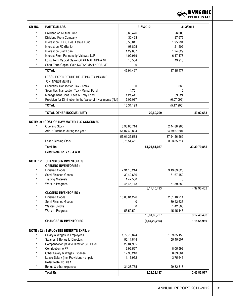

| SR NO.  | <b>PARTICULARS</b>                                         |              | 31/3/2012        |              | 31/3/2011      |
|---------|------------------------------------------------------------|--------------|------------------|--------------|----------------|
| $\star$ | Dividend on Mutual Fund                                    | 5,65,476     |                  | 26,000       |                |
|         | Dividend From Company                                      | 30,423       |                  | 27,675       |                |
|         | Interest on HDFC Real Estate Fund                          | 6,50,011     |                  | 1,95,294     |                |
|         | Interest on FD (Bank)                                      | 98,805       |                  | 1,21,502     |                |
|         | Interest on Staff Loan                                     | 1,29,807     |                  | 1,24,629     |                |
|         | Interest From Partnership-Vishwas LLP                      | 14,02,919    |                  | 6,17,178     |                |
|         | Long Term Capital Gain-KOTAK MAHINDRA MF                   | 13,564       |                  | 49,913       |                |
|         | Short Term Capital Gain-KOTAK MAHINDRA MF                  | 0            |                  | 0            |                |
|         | <b>TOTAL</b>                                               | 45,91,497    |                  | 37,85,477    |                |
|         | LESS:- EXPENDITURE RELATING TO INCOME                      |              |                  |              |                |
|         | ON INVESTMENTS                                             |              |                  |              |                |
|         | Securities Transaction Tax - Kotak                         | 0            |                  | 369          |                |
|         | Securities Transaction Tax - Mutual Fund                   | 4,701        |                  | 0            |                |
|         | Management Cons. Fees & Entry Load                         | 1,21,411     |                  | 89,524       |                |
|         | Provision for Diminution in the Value of Investments (Net) | 15,05,087    |                  | (6,07,099)   |                |
|         | <b>TOTAL</b>                                               | 16,31,199    |                  | (5, 17, 206) |                |
|         |                                                            |              |                  |              |                |
|         | <b>TOTAL OTHER INCOME ( NET)</b>                           |              | 29,60,299        |              | 43,02,683      |
|         | NOTE: 20 : COST OF RAW MATERIALS CONSUMED                  |              |                  |              |                |
|         | <b>Opening Stock</b>                                       | 3,93,85,714  |                  | 2,44,88,965  |                |
|         | Add.: Purchase during the year                             | 51,07,49,824 |                  | 34,79,67,604 |                |
|         |                                                            | 55,01,35,538 |                  | 37,24,56,569 |                |
|         | Less: Closing Stock                                        | 3,76,54,451  |                  | 3,93,85,714  |                |
|         | <b>Total Rs.</b>                                           |              | 51,24,81,087     |              | 33,30,70,855   |
|         | Refer Note No. 27.9 A & B                                  |              |                  |              |                |
|         |                                                            |              |                  |              |                |
|         | <b>NOTE: 21: CHANGES IN INVENTORIES</b>                    |              |                  |              |                |
|         | <b>OPENING INVENTORIES :</b>                               |              |                  |              |                |
| $\star$ | <b>Finished Goods</b>                                      | 2,31,10,214  |                  | 3,19,69,628  |                |
|         | Semi Finished Goods                                        | 39,42,636    |                  | 61,67,452    |                |
|         | <b>Trading Materials</b>                                   | 1,42,500     |                  | 0            |                |
|         | Work-in-Progress                                           | 45,45,143    |                  | 51,59,382    |                |
|         |                                                            |              | 3, 17, 40, 493   |              | 4,32,96,462    |
|         | <b>CLOSING INVENTORIES:</b>                                |              |                  |              |                |
| $\star$ | <b>Finished Goods</b>                                      | 10,08,01,226 |                  | 2,31,10,214  |                |
|         | Semi Finished Goods                                        | 0            |                  | 39,42,636    |                |
|         | <b>Wastes Stocks</b>                                       | 0            |                  | 1,42,500     |                |
|         | Work-in-Progress                                           | 53,59,501    |                  | 45,45,143    |                |
|         |                                                            |              | 10,61,60,727     |              | 3, 17, 40, 493 |
|         | <b>CHANGES IN INVENTORIES</b>                              |              | (7, 44, 20, 234) |              | 1,15,55,969    |
|         | <b>NOTE: 22 : EMPLOYEES BENEFITS EXPS. :-</b>              |              |                  |              |                |
|         | Salary & Wages to Employees                                | 1,72,73,874  |                  | 1,39,85,150  |                |
| $\star$ | Salaries & Bonus to Directors                              | 56,11,844    |                  | 55,45,607    |                |
|         | Compensation paid to Director S P Patel                    | 29,04,985    |                  | 0            |                |
|         | Contribution to PF                                         | 12,92,567    |                  | 8,05,592     |                |
|         | Other Salary & Wages Expense                               | 12,95,210    |                  | 8,89,664     |                |
|         | Leave Salary (Inc. Provisions - unpaid)                    | 11,16,952    |                  | 3,75,646     |                |
|         | Refer Note No. 28.1                                        |              |                  |              |                |
|         | Bonus & other expenses                                     | 34,26,755    |                  | 29,82,318    |                |
|         | Total Rs.                                                  |              | 3,29,22,187      |              | 2,45,83,977    |
|         |                                                            |              |                  |              |                |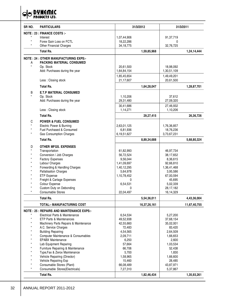**DYNEMIC**<br>PRODUCTS LTD.  $\mathcal{Q}$ 

| SR <sub>NO.</sub> | <b>PARTICULARS</b>                               | 31/3/2012   |              | 31/3/2011           |              |
|-------------------|--------------------------------------------------|-------------|--------------|---------------------|--------------|
|                   | <b>NOTE: 23 : FINANCE COSTS :-</b>               |             |              |                     |              |
| $\star$           | Interest                                         | 1,07,44,906 |              | 91,37,719           |              |
| $\star$           | Forex Gain Loss on FCTL                          | 18,22,286   |              | 0                   |              |
|                   | <b>Other Financial Charges</b>                   | 34, 18, 775 |              | 32,76,725           |              |
|                   | <b>Total Rs.</b>                                 |             | 1,59,85,968  |                     | 1,24,14,444  |
|                   | <b>NOTE: 24 : OTHER MANUFACTURING EXPS:-</b>     |             |              |                     |              |
| Α                 | <b>PACKING MATERIAL CONSUMED</b>                 |             |              |                     |              |
| $\star$           | Op. Stock                                        | 20,61,500   |              | 18,98,092           |              |
|                   | Add: Purchases during the year                   | 1,64,84,154 |              | 1,30,51,109         |              |
|                   |                                                  | 1,85,45,654 |              | 1,49,49,201         |              |
|                   | Less: Closing stock                              | 21,17,607   |              | 20,61,500           |              |
|                   | <b>Total Rs.</b>                                 |             | 1,64,28,047  |                     | 1,28,87,701  |
|                   |                                                  |             |              |                     |              |
| В<br>$\star$      | <b>E.T.P MATERIAL CONSUMED</b>                   |             |              |                     |              |
|                   | Op. Stock<br>Add: Purchases during the year      | 1,10,206    |              | 37,612<br>27,09,320 |              |
|                   |                                                  | 29,31,480   |              |                     |              |
|                   |                                                  | 30,41,686   |              | 27,46,932           |              |
|                   | Less: Closing stock                              | 1,14,271    |              | 1,10,206            |              |
|                   | <b>Total Rs.</b>                                 |             | 29,27,415    |                     | 26,36,726    |
| C                 | <b>POWER &amp; FUEL CONSUMED</b>                 |             |              |                     |              |
|                   | Electric Power & Burning                         | 2,63,01,125 |              | 1,76,36,857         |              |
| $\star$           | Fuel Purchased & Consumed                        | 6,81,936    |              | 18,76,236           |              |
| $^\star$          | <b>Gas Consumption Charges</b>                   | 6,19,51,627 |              | 3,73,67,231         |              |
|                   | <b>Total Rs.</b>                                 |             | 8,89,34,688  |                     | 5,68,80,324  |
| D                 | <b>OTHER MFGS, EXPENSES</b>                      |             |              |                     |              |
| $\star$           | Transportation                                   | 61,82,993   |              | 46,97,734           |              |
|                   | Conversion / Job Charges                         | 56,72,524   |              | 38,17,652           |              |
|                   | <b>Factory Expenses</b>                          | 9,56,044    |              | 8,36,615            |              |
|                   | Labour Charges                                   | 1,41,09,697 |              | 92,66,810           |              |
|                   | Forwarding & Handling Charges                    | 1,40,12,295 |              | 1,36,41,468         |              |
|                   | <b>Pallatisation Charges</b>                     | 5,64,978    |              | 3,95,586            |              |
|                   | ETP Expense                                      | 1,10,78,452 |              | 67,00,594           |              |
|                   | Freight & Cartage Expenses                       | 0           |              | 45,695              |              |
|                   | Colour Expense                                   | 6,54,531    |              | 5,02,339            |              |
|                   | Custom Duty on Debonding                         | 0           |              | 28,17,182           |              |
|                   | <b>Consumable Stores</b>                         | 22,04,497   |              | 16,14,329           |              |
|                   | <b>Total Rs.</b>                                 |             | 5,54,36,011  |                     | 4,43,36,004  |
|                   | <b>TOTAL:- MANUFACTURING COST</b>                |             | 16,37,26,161 |                     | 11,67,40,755 |
|                   | <b>NOTE: 25 : REPAIRS AND MAINTENANCE EXPS:-</b> |             |              |                     |              |
|                   | Electrical Parts & Maintenance                   | 6,54,534    |              | 5,27,200            |              |
|                   | <b>ETP Parts &amp; Maintenances</b>              | 49,52,938   |              | 37,68,154           |              |
|                   | Machinery Parts Repairs & Maintenance            | 42,55,660   |              | 35,02,001           |              |
|                   | A.C. Service Charges                             | 72,483      |              | 83,420              |              |
|                   | <b>Building Repairing</b>                        | 4,54,565    |              | 2,64,509            |              |
|                   | Computer Maintenance & Consumables               | 2,09,711    |              | 1,66,653            |              |
|                   | <b>EPABX Maintenance</b>                         | 6,250       |              | 2,600               |              |
|                   | Lab Equipment Reparing                           | 57,664      |              | 1,03,534            |              |
|                   | Furniture Repairing & Maintenance                | 66,706      |              | 52,438              |              |
|                   | Type, Fax & Zerox Maintenance                    | 5,700       |              | 1,830               |              |
|                   | Vehicle Repairing (Director)                     | 1,58,965    |              | 1,66,600            |              |
|                   | Vehicle Repairing Exp                            | 15,460      |              | 28,485              |              |
| $^\star$          | Consumable Stores (Plant)                        | 66,08,489   |              | 43,87,971           |              |
|                   | Consumable Stores(Electricals)                   | 7,27,310    |              | 5,37,867            |              |
|                   | Total Rs.                                        |             | 1,82,46,434  |                     | 1,35,93,261  |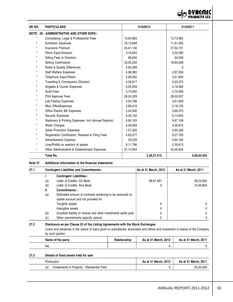

| SR NO.     | <b>PARTICULARS</b>                                    | 31/3/2012   | 31/3/2011   |
|------------|-------------------------------------------------------|-------------|-------------|
|            | <b>NOTE: 26 : ADMINISTRATIVE AND OTHER EXPS:-</b>     |             |             |
|            | Consultancy, Legal & Professional Fees                | 10,64,865   | 13,73,992   |
| $\star$    | <b>Exhibition Expenses</b>                            | 18,13,848   | 11,91,955   |
| $\star$    | Insurance Premium                                     | 24,41,140   | 27,50,731   |
| $^{\star}$ | Petrol Exps-Directors                                 | 3,16,640    | 3,32,590    |
| $\star$    | Sitting Fees to Directors                             | 68.000      | 64,000      |
| $^{\star}$ | Selling Commission                                    | 33,05,258   | 18,80,848   |
| $\star$    | Rates & Quality Differences                           | 4,82,399    | 0           |
| $\star$    | Staff Welfare Expenses                                | 4,98,360    | 2,87,034    |
| $\star$    | Telephone Exps-Others                                 | 2,98,562    | 3,51,834    |
| $\star$    | Travelling & Conveyance (Director)                    | 4,56,817    | 5,03,372    |
| $^{\star}$ | Angadia & Courier Expenses                            | 6,25,009    | 5,16,364    |
| $^{\star}$ | <b>Audit Fees</b>                                     | 3,75,000    | 3,75,000    |
| *          | <b>FDA Approval Fees</b>                              | 29,24,329   | 29,05,037   |
| $\star$    | Lab-Testing Expenses                                  | 4,55,798    | 3,61,659    |
| $\star$    | Misc OfficeExpenses                                   | 2,66,416    | 2,18,105    |
| $\star$    | Office Electric Bill Expenses                         | 2,44,506    | 2,66,370    |
| $\star$    | <b>Security Expenses</b>                              | 8,39,120    | 6,14,834    |
| $\star$    | Stationery & Printing Expenses- Incl (Annual Reports) | 6,95,183    | 8,97,106    |
| $^{\star}$ | <b>Water Charges</b>                                  | 4,36,958    | 3,36,815    |
| $\star$    | Sales Promotion Expenses                              | 1,57,302    | 2,85,326    |
|            | Registration Certification, Renewal & Filing Fees     | 4,83,577    | 6,27,783    |
| $\star$    | <b>Advertisement Expense</b>                          | 53,529      | 2,62,162    |
| $\star$    | Loss/Profits on sale/w/o of assets                    | 8,11,796    | 2,35,813    |
|            | Other Administrative & Establishment Expenses         | 37,12,904   | 40,46,624   |
|            | <b>Total Rs.</b>                                      | 2,28,27,315 | 2,06,85,354 |

**Note 27 Additional information to the financial statements**

| 27.1 |     | <b>Contingent Liabilities and Commitments:-</b>                                                   | As at 31 March, 2012 | As at 31 March, 2011 |
|------|-----|---------------------------------------------------------------------------------------------------|----------------------|----------------------|
|      |     | <b>Contingent Liabilities:-</b>                                                                   |                      |                      |
|      | (a) | Letter of Credits- Citi Bank                                                                      | 68,87,461            | 58,23,265            |
|      | (b) | Letter of Credits- Axis Bank                                                                      | 0                    | 74,99,803            |
|      | Ш   | Commitments:-                                                                                     |                      |                      |
|      | (a) | Estimated amount of contracts remaining to be executed on<br>capital account and not provided for |                      |                      |
|      |     | Tangible assets                                                                                   | 0                    |                      |
|      |     | Intangible assets                                                                                 | 0                    |                      |
|      | (b) | Uncalled liability on shares and other investments partly paid                                    | 0                    |                      |
|      | (c) | Other commitments (specify nature)                                                                | 0                    |                      |

#### **27.2 Disclosure as per Clause 32 of the Listing Agreements with the Stock Exchanges** Loans and advances in the nature of loans given to subsidiaries, associates and others and investment in shares of the Company by such parties:

| ---------------   |              |                      |                      |  |
|-------------------|--------------|----------------------|----------------------|--|
| Name of the party | Relationship | As at 31 March, 2012 | As at 31 March, 2011 |  |
| <b>NIL</b>        |              |                      |                      |  |

#### **27.3 Details of fixed assets held for sale**

| Particulars                                       | As at 31 March, 2012 | As at 31 March, 2011 |
|---------------------------------------------------|----------------------|----------------------|
| Investments in Property - Residential Flats<br>(a |                      | 24,00,000            |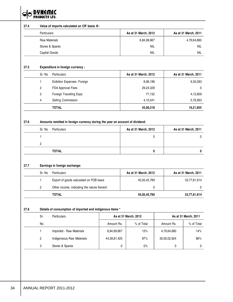

|      | Particulars                                               | Value of imports calculated on CIF basis @:  |              | As at 31 March, 2012 |              | As at 31 March, 2011 |  |  |  |  |  |
|------|-----------------------------------------------------------|----------------------------------------------|--------------|----------------------|--------------|----------------------|--|--|--|--|--|
|      | <b>Raw Materials</b>                                      |                                              |              | 6,84,99,667          |              | 4,79,64,680          |  |  |  |  |  |
|      |                                                           | Stores & Spares                              |              | <b>NIL</b>           |              | <b>NIL</b>           |  |  |  |  |  |
|      | Capital Goods                                             |                                              |              | <b>NIL</b>           |              | NIL                  |  |  |  |  |  |
|      |                                                           |                                              |              |                      |              |                      |  |  |  |  |  |
| 27.5 |                                                           | Expenditure in foreign currency :            |              |                      |              |                      |  |  |  |  |  |
|      | Sr. No                                                    | Particulars                                  |              | As at 31 March, 2012 |              | As at 31 March, 2011 |  |  |  |  |  |
|      | $\mathbf{1}$                                              | Exibition Expenses- Foreign                  |              | 8,96,196             |              | 9,30,283             |  |  |  |  |  |
|      | 2                                                         | FDA Approval Fees                            |              | 29,24,329            |              | 0                    |  |  |  |  |  |
|      | 3                                                         | Foreign Travelling Exps                      |              | 77,152               |              | 4,12,809             |  |  |  |  |  |
|      | 4                                                         | Selling Commission                           |              | 4,10,541             |              | 5,78,563             |  |  |  |  |  |
|      |                                                           | <b>TOTAL</b>                                 |              | 43,08,218            |              | 19,21,655            |  |  |  |  |  |
|      | 2                                                         | <b>TOTAL</b>                                 |              | 0                    |              | 0                    |  |  |  |  |  |
| 27.7 |                                                           | Earnings in foreign exchange:                |              |                      |              |                      |  |  |  |  |  |
|      | Sr. No                                                    | Particulars                                  |              | As at 31 March, 2012 |              | As at 31 March, 2011 |  |  |  |  |  |
|      | $\mathbf{1}$                                              | Export of goods calculated on FOB basis      |              | 45,05,45,789         |              | 33,77,81,914         |  |  |  |  |  |
|      | 2                                                         | Other income, indicating the nature thereof. |              | 0                    |              | 0                    |  |  |  |  |  |
|      |                                                           | <b>TOTAL</b>                                 |              | 45,05,45,789         |              | 33,77,81,914         |  |  |  |  |  |
| 27.8 | Details of consumption of imported and indigenous items * |                                              |              |                      |              |                      |  |  |  |  |  |
|      | Sr.                                                       | Particulars                                  |              | As at 31 March, 2012 |              | As at 31 March, 2011 |  |  |  |  |  |
|      | No.                                                       |                                              | Amount Rs.   | % of Total           | Amount Rs.   | % of Total           |  |  |  |  |  |
|      |                                                           | Imported - Raw Materials                     | 6,84,99,667  | 13%                  | 4,79,64,680  | 14%                  |  |  |  |  |  |
|      | 1                                                         |                                              |              |                      |              |                      |  |  |  |  |  |
|      | 2                                                         | Indigeneous Raw Materials                    | 44,39,81,420 | 87%                  | 30,00,02,924 | 86%                  |  |  |  |  |  |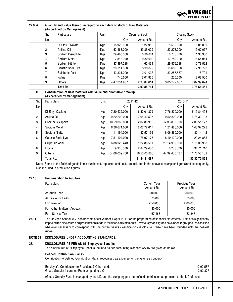

| $(100$ voralition by management, |                    |      |              |               |              |               |  |  |
|----------------------------------|--------------------|------|--------------|---------------|--------------|---------------|--|--|
| Sr.                              | <b>Particulars</b> | Unit |              | Opening Stock |              | Closing Stock |  |  |
| No                               |                    |      | Qtv          | Amount Rs.    | Qty          | Amount Rs.    |  |  |
|                                  | Di Ethyl Oxalate   | Kgs  | 18.922.000   | 15.27.953     | 8.500.000    | 8,01,809      |  |  |
| 2                                | Aniline Oil        | Kgs  | 52,463.000   | 39,85,029     | 23,273.000   | 19,67,077     |  |  |
| 3                                | Sodium Bisulphite  | Kgs  | 29.480.000   | 5,36,804      | 6.765.000    | 1,35,300      |  |  |
| 4                                | Sodium Metal       | Kgs  | 7,883.000    | 9,82,902      | 12,789.000   | 16,54,944     |  |  |
| 5                                | Sodium Nitrite     | Kgs  | 37,397.238   | 11,62,434     | 29,876.238   | 10,78,562     |  |  |
| 6                                | Caustic Soda Lye   | Kgs  | 20,111.000   | 3,99,079      | 10,602.000   | 2,95,793      |  |  |
|                                  | Sulphuric Acid     | Kgs  | 42,321.000   | 2,01,033      | 33,257.557   | 1,18,791      |  |  |
| 8                                | lodine             | Kgs  | 746.500      | 12,01,865     | 250,000      | 8,02,500      |  |  |
| 9                                | Others             | Kgs  | 4,47,234.987 | 2,93,88,614   | 3,05,272.637 | 3,07,99,674   |  |  |
|                                  | Total Rs.          |      |              | 3,93,85,714   |              | 3,76,54,451   |  |  |

#### **27.9 A. Quantity and Value there of in regard to each item of stock of Raw Materials (As certified by Management)**

#### **B. Consumption of Raw materials with value and quantative breakup (As certified by Management)**

| Sr.            | Particulars       | Unit | 2011-12       |              | 2010-11       |                 |
|----------------|-------------------|------|---------------|--------------|---------------|-----------------|
| No             |                   |      | Qty           | Amount Rs.   | Qty           | Amount Rs.      |
|                | Di Ethyl Oxalate  | Kgs  | 7,20,422.000  | 6,50,01,879  | 7,76,330.000  | 6,19,84,493     |
| $\overline{2}$ | Aniline Oil       | Kgs  | 9,22,200.000  | 7,05,42,538  | 9,52,800.000  | 6,76,32,128     |
| 3              | Sodium Bisulphite | Kgs  | 10,59,365.000 | 2,07,85,902  | 12,33,830.000 | 2,06,51,177     |
| $\overline{4}$ | Sodium Metal      | Kgs  | 6,26,671.000  | 2,06,72,617  | 1,21,485.000  | 1,40,97,273     |
| 5              | Sodium Nitrite    | Kgs  | 1,11,194.000  | 1,47,57,136  | 6,06,360.000  | 1,80,14,142     |
| 6              | Caustic Soda Lye  | Kgs  | 7,51,104.000  | 1,76,97,178  | 8,19,120.000  | 1,20,24,855     |
| 7              | Sulphuric Acid    | Kgs  | 26.88.928.443 | 1,22,88,551  | 29,14,969.000 | 1,15,36,938     |
| 8              | lodine            | Kgs  | 9.946.500     | 2,84,29,480  | 6,253.500     | 94,71,710       |
| 9              | Others            | Kgs  | 64,08,039.700 | 26,23,05,805 | 47,99,430.487 | 11,76,58,139    |
|                | Total Rs.         |      |               | 51,24,81,087 |               | 33, 30, 70, 855 |

Note:- Some of the finished goods items purchased, repacked and sold, are included in the above consumption figures and consequently, also included in production figures.

#### **27.10 Remuneration to Auditors**

| <b>Particulars</b>         | <b>Current Year</b><br>Amount Rs. | Previous Year<br>Amount Rs. |
|----------------------------|-----------------------------------|-----------------------------|
| As Audit Fees              | 3,00,000                          | 3,00,000                    |
| As Tax Audit Fees          | 75,000                            | 75,000                      |
| For Taxation               | 2,50,000                          | 2,00,000                    |
| For Other Matters- Appeals | 30,000                            | 90.000                      |
| For Service Tax            | 67,465                            | 63.345                      |

**27.11** The Revised Schedule VI has become effective from 1 April, 2011 for the preparation of financial statements. This has significantly impacted the disclosure and presentation made in the financial statements. Previous year's figures have been regrouped / reclassified wherever necessary to correspond with the current year's classification / disclosure. Paise have been rounded upto the nearest rupee.

#### **NOTE 28 DISCLOSURES UNDER ACCOUNTING STANDARDS:**

#### **28.1 DISCLOSURES AS PER AS 15- Employees Benefits**

The disclosures of "Employee Benefits" defined as per accounting standard AS 15 are given as below :-

#### **Defined Contribution Plans:-**

Contribution to Defined Contribution Plans, recognised as expense for the year is as under:-

| 12.92.567 |
|-----------|
| 3.92.377  |
|           |

(Group Gratuity Fund is managed by the LIC and the company pay the defined contribution as premium to the LIC of India.)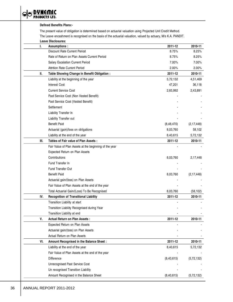**OO DYNEMIC** 

|      | <b>Defined Benefits Plans:-</b>                                                                                 |              |              |  |  |  |  |  |
|------|-----------------------------------------------------------------------------------------------------------------|--------------|--------------|--|--|--|--|--|
|      | The present value of obligation is determined based on actuarial valuation using Projected Unit Credit Method.  |              |              |  |  |  |  |  |
|      | The Leave encashment is recognised on the basis of the actuarial valuation, valued by actuary, M/s K.A. PANDIT. |              |              |  |  |  |  |  |
|      | <b>Leave Disclosures:</b>                                                                                       |              |              |  |  |  |  |  |
| I.   | <b>Assumptions:</b>                                                                                             | 2011-12      | 2010-11      |  |  |  |  |  |
|      | Discount Rate Current Period                                                                                    | 8.75%        | 8.25%        |  |  |  |  |  |
|      | Rate of Return on Plan Assets Current Period                                                                    | 8.75%        | 8.25%        |  |  |  |  |  |
|      | Salary Escalation Current Period                                                                                | 7.00%        | 7.00%        |  |  |  |  |  |
|      | <b>Attrition Rate Current Period</b>                                                                            | 2.00%        | 2.00%        |  |  |  |  |  |
| II.  | Table Showing Change in Benefit Obligation :                                                                    | 2011-12      | 2010-11      |  |  |  |  |  |
|      | Liability at the beginning of the year                                                                          | 5,72,132     | 4,51,469     |  |  |  |  |  |
|      | <b>Interest Cost</b>                                                                                            | 47,201       | 36,118       |  |  |  |  |  |
|      | <b>Current Service Cost</b>                                                                                     | 2,65,992     | 2,43,891     |  |  |  |  |  |
|      | Past Service Cost (Non Vested Benefit)                                                                          |              |              |  |  |  |  |  |
|      | Past Service Cost (Vested Benefit)                                                                              |              |              |  |  |  |  |  |
|      | Settlement                                                                                                      |              |              |  |  |  |  |  |
|      | Liability Transfer In                                                                                           |              |              |  |  |  |  |  |
|      | Liability Transfer out                                                                                          |              |              |  |  |  |  |  |
|      | <b>Benefit Paid</b>                                                                                             | (8, 48, 470) | (2, 17, 448) |  |  |  |  |  |
|      | Actuarial (gain)/loss on obligations                                                                            | 8,03,760     | 58,102       |  |  |  |  |  |
|      | Liability at the end of the year                                                                                | 8,40,615     | 5,72,132     |  |  |  |  |  |
| III. | <b>Tables of Fair value of Plan Assets:</b>                                                                     | 2011-12      | 2010-11      |  |  |  |  |  |
|      | Fair Value of Plan Assets at the beginning of the year                                                          |              |              |  |  |  |  |  |
|      | Expected Return on Plan Assets                                                                                  |              |              |  |  |  |  |  |
|      | Contributions                                                                                                   | 8,03,760     | 2,17,448     |  |  |  |  |  |
|      | Fund Transfer In                                                                                                |              |              |  |  |  |  |  |
|      | <b>Fund Transfer Out</b>                                                                                        |              |              |  |  |  |  |  |
|      | <b>Benefit Paid</b>                                                                                             | 8,03,760     | (2, 17, 448) |  |  |  |  |  |
|      | Actuarial gain/(loss) on Plan Assets                                                                            |              |              |  |  |  |  |  |
|      | Fair Value of Plan Assets at the end of the year                                                                |              |              |  |  |  |  |  |
|      | Total Actuarial Gain/(Loss) To Be Recognised                                                                    | 8,03,760     | (58, 102)    |  |  |  |  |  |
| IV.  | <b>Recognition of Transitional Liability</b>                                                                    | 2011-12      | 2010-11      |  |  |  |  |  |
|      | Transition Liability at start                                                                                   |              |              |  |  |  |  |  |
|      | Transition Liability Recognised during Year                                                                     |              |              |  |  |  |  |  |
|      | Transition Liability at end                                                                                     |              |              |  |  |  |  |  |
| v.   | <b>Actual Return on Plan Assets:</b>                                                                            | 2011-12      | 2010-11      |  |  |  |  |  |
|      | Expected Return on Plan Assets                                                                                  |              |              |  |  |  |  |  |
|      | Actuarial gain/(loss) on Plan Assets                                                                            |              |              |  |  |  |  |  |
|      | Actual Return on Plan Assets                                                                                    |              |              |  |  |  |  |  |
| VI.  | Amount Recognised in the Balance Sheet:                                                                         | 2011-12      | 2010-11      |  |  |  |  |  |
|      | Liability at the end of the year                                                                                | 8,40,615     | 5,72,132     |  |  |  |  |  |
|      | Fair Value of Plan Assets at the end of the year                                                                |              |              |  |  |  |  |  |
|      | <b>Difference</b>                                                                                               | (8,40,615)   | (5, 72, 132) |  |  |  |  |  |
|      | Unrecognised Past Service Cost                                                                                  |              |              |  |  |  |  |  |
|      | Un recognised Transition Liability                                                                              |              |              |  |  |  |  |  |
|      | Amount Recognised in the Balance Sheet                                                                          | (8, 40, 615) | (5, 72, 132) |  |  |  |  |  |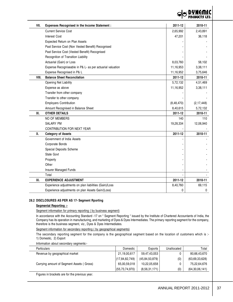

| VII.  | Expenses Recognised in the Income Statement :             | 2011-12      | 2010-11      |
|-------|-----------------------------------------------------------|--------------|--------------|
|       | <b>Current Service Cost</b>                               | 2,65,992     | 2,43,891     |
|       | <b>Interest Cost</b>                                      | 47,201       | 36,118       |
|       | Expected Return on Plan Assets                            |              |              |
|       | Past Service Cost (Non Vested Benefit) Recognised         |              |              |
|       | Past Service Cost (Vested Benefit) Recognised             |              |              |
|       | Recognition of Transition Liability                       |              |              |
|       | Actuarial (Gain) or Loss                                  | 8,03,760     | 58,102       |
|       | Expense Recogniseable in P& L- as per actuarial valuation | 11,16,953    | 3,38,111     |
|       | Expense Recognised in P& L                                | 11,16,952    | 3,75,646     |
| VIII. | <b>Balance Sheet Reconcilation</b>                        | 2011-12      | 2010-11      |
|       | Opening Net Liability                                     | 5,72,132     | 4,51,469     |
|       | Expense as above                                          | 11,16,952    | 3,38,111     |
|       | Transfer from other company                               |              |              |
|       | Transfer to other company                                 |              |              |
|       | <b>Employers Contribution</b>                             | (8, 48, 470) | (2, 17, 448) |
|       | Amount Recognised in Balance Sheet                        | 8,40,615     | 5,72,132     |
| IX.   | <b>OTHER DETAILS</b>                                      | 2011-12      | 2010-11      |
|       | NO OF MEMBERS                                             | 140          | 110          |
|       | SALARY PM                                                 | 19,28,334    | 12,06,940    |
|       | CONTRIBUTION FOR NEXT YEAR                                |              |              |
| Х.    | <b>Category of Assets</b>                                 | 2011-12      | 2010-11      |
|       | Government of India Assets                                |              |              |
|       | Corporate Bonds                                           |              |              |
|       | Special Deposits Scheme                                   |              |              |
|       | State Govt                                                |              |              |
|       | Property                                                  |              |              |
|       | Other                                                     |              |              |
|       | Insurer Managed Funds                                     |              |              |
|       | Total                                                     |              |              |
| XI.   | <b>EXPERIENCE ADJUSTMENT</b>                              | 2011-12      | 2010-11      |
|       | Experience adjustments on plan liabilities (Gain)/Loss    | 8,40,760     | 69,115       |
|       | Experience adjustments on plan Assets Gain/(Loss)         | 0            | 0            |

# **28.2 DISCLOSURES AS PER AS 17- Segment Rporting**

# **Segmental Reporting :-**

Segment information for primary reporting (by business segment)

In accordance with the Accounting Standard -17 on " Segment Reporting " issued by the Institute of Chartered Accountants of India, the Company has its operation in manufacturing, and marketing of Dyes & Dyes Intermediates. The primary reporting segment for the company, therefore is the business segment, viz., Dyes & Dyes Intermediates.

Segment information for secondary reporting ( by geographical segments)

The secondary reporting segment for the company is the geographical segment based on the location of customers which is :-1) Domestic, 2) Export

Information about secondary segments:-

| <b>Particulars</b>                             | Domestic          | Exports        | Unallocated | Total             |
|------------------------------------------------|-------------------|----------------|-------------|-------------------|
| Revenue by geographical market                 | 21,19,00,617      | 59,47,43,053   |             | 80,66,43,670      |
|                                                | (17, 84, 82, 749) | (45,84,50,879) | (0)         | (63,69,33,628)    |
| Carrying amount of Segment Assets (<br>Gross)  | 65,00,59,018      | 10,22,05,658   |             | 75,22,64,676      |
|                                                | (55,73,74,970)    | (8,56,31,171)  | (0)         | (64, 30, 06, 141) |
| Figures in brackets are for the previous year. |                   |                |             |                   |

ANNUAL REPORT 2011-2012 | 37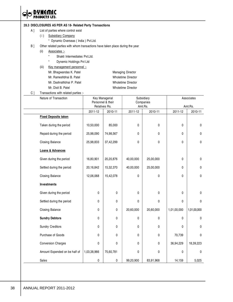IC **DYNEMIC**<br>PRODUCTS LTD.  $\Theta$ 

#### **28.3 DISCLOSURES AS PER AS 18- Related Party Transactions**

- A ] List of parties where control exist
	- (i) Subsidiary Company
		- \* Dynamic Overseas ( India ) Pvt.Ltd.
- B ] Other related parties with whom transactions have taken place during the year
	- (ii) Associates :-
		- \* Shakti Intermediates Pvt.Ltd.
		- \* Dynemic Holdings Pvt Ltd
	- (iii) Key management personnel :-
		- Mr. Bhagwandas K. Patel Managing Director
		- Mr. Rameshbhai B. Patel Wholetime Director
		- Mr. Dashrathbhai P. Patel Wholetime Director
		-

Mr. Dixit B. Patel Wholetime Director

C ] Transactions with related parties :-

| Nature of Transaction         |             | Key Managerial<br>Personnel & their<br>Relatives Rs. |              | Subsidiary<br>Companies | Associates  |             |  |
|-------------------------------|-------------|------------------------------------------------------|--------------|-------------------------|-------------|-------------|--|
|                               |             |                                                      | Amt.Rs.      |                         |             | Amt.Rs.     |  |
|                               | 2011-12     | 2010-11                                              | 2011-12      | 2010-11                 | 2011-12     | 2010-11     |  |
| <b>Fixed Deposits taken</b>   |             |                                                      |              |                         |             |             |  |
| Taken during the period       | 10,50,000   | 85,000                                               | $\Omega$     | 0                       | 0           | 0           |  |
| Repaid during the period      | 25,98,090   | 74,98,567                                            | $\mathbf{0}$ | 0                       | 0           | 0           |  |
| Closing Balance               | 25,98,833   | 37,42,299                                            | $\mathbf 0$  | 0                       | 0           | 0           |  |
| Loans & Advances              |             |                                                      |              |                         |             |             |  |
| Given during the period       | 16,80,901   | 20,20,876                                            | 40,00,000    | 25,00,000               | 0           | $\pmb{0}$   |  |
| Settled during the period     | 20,16,842   | 15,32,370                                            | 40,00,000    | 25,00,000               | 0           | 0           |  |
| Closing Balance               | 12,06,068   | 15,42,078                                            | 0            | 0                       | 0           | 0           |  |
| <b>Investments</b>            |             |                                                      |              |                         |             |             |  |
| Given during the period       | 0           | 0                                                    | $\mathbf 0$  | 0                       | 0           | 0           |  |
| Settled during the period     | 0           | 0                                                    | $\mathbf 0$  | 0                       | 0           | 0           |  |
| Closing Balance               | 0           | 0                                                    | 20,60,000    | 20,60,000               | 1,01,00,000 | 1,01,00,000 |  |
| <b>Sundry Debtors</b>         | 0           | 0                                                    | 0            | 0                       | 0           | 0           |  |
| <b>Sundry Creditors</b>       | 0           | 0                                                    | $\mathbf 0$  | 0                       | 0           | 0           |  |
| Purchase of Goods             | 0           | 0                                                    | $\mathbf 0$  | 0                       | 70,739      | 0           |  |
| <b>Conversion Charges</b>     | 0           | 0                                                    | $\mathbf 0$  | 0                       | 36,94,229   | 18,39,223   |  |
| Amount Expended on be half of | 1,03,38,966 | 75,60,781                                            | $\mathbf 0$  | 0                       | 0           | 0           |  |
| Sales                         | 0           | 0                                                    | 99,20,900    | 83,91,968               | 14,159      | 5,025       |  |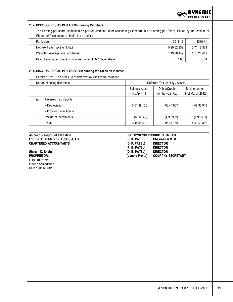#### **28.4 DISCLOSURES AS PER AS 20- Earning Per Share**

The Earning per share, computed as per requirement under Accounting Standard-20 on Earning per Share, issued by the Institute of Chartered Accountants of India, is as under :

| <b>Particulars</b>                                           | 2011-12     | 2010-11     |
|--------------------------------------------------------------|-------------|-------------|
| Net Profit after tax (Amt.Rs.)                               | 5,29,62,939 | 5,71,18,334 |
| Weighted Average Nos. of Shares                              | 1,13,28,449 | 1,13,28,449 |
| Basic Earning per Share on nominal value of Rs.10/-per share | 4.68        | 5.04        |

#### **28.5 DISCLOSURES AS PER AS 22- Accounting for Taxes on Income:**

Deferred Tax :- The break up of deferred tax liability are as under :

|     | Nature of timing difference | Deferred Tax Liability / Assets |                  |                 |  |
|-----|-----------------------------|---------------------------------|------------------|-----------------|--|
|     |                             | Balance As on                   | Debit/(Credit)   | Balance As on   |  |
|     |                             | 1st April 11                    | for the year Rs. | 31st March 2012 |  |
| (a) | Deferred Tax Liability      |                                 |                  |                 |  |
|     | - Depreciation              | 3,51,89,136                     | 90,44,807        | 4,42,33,943     |  |
|     | - Prov for diminution in    |                                 |                  |                 |  |
|     | Value of Investments        | (6,90,543)                      | $-(4,99,952)$    | (1,90,591)      |  |
|     | Total                       | 3,44,98,593                     | 95,44,759        | 4,40,43,352     |  |

# **As per our Report of even date For : DYNEMIC PRODUCTS LIMITED**

FRN. 109767W Place : Ahmedabad. Date : 23/06/2012

# **For : SHAH RAJESH & ASSOCIATES (B. K. PATEL) Chairman & M. D. CHARTERED ACCOUNTANTS. (D. P. PATEL) DIRECTOR (R. B. PATEL) (Rajesh D. Shah) (D. B. PATEL) DIRECTOR PROPRIETOR. (Varsha Mehta) COMPANY SECRETARY**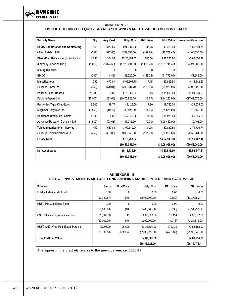

#### **ANNEXURE - I LIST OF HOLDING OF EQUITY SHARES SHOWING MARKET VALUE AND COST VALUE**

| <b>Security Name</b>                           | Qty          | Avg. Cost    | Hidg. Cost       | <b>Mkt. Price</b> | <b>Mkt. Value</b> | <b>Unrealised Gain Loss</b> |
|------------------------------------------------|--------------|--------------|------------------|-------------------|-------------------|-----------------------------|
| <b>Equity Construction and Contracting</b>     | 542          | 372.85       | 2,02,083.00      | 85.65             | 46,422.30         | $-1,55,660.78$              |
| - Real Estate HDIL                             | (542)        | (372.85)     | (2,02,083.00)    | (182.20)          | (98, 752.40)      | $-(1,03,330.60)$            |
| <b>Diversified Reliance Industries Limited</b> | 1,256        | 1,374.53     | 17,26,404.02     | 750.60            | 9,42,753.60       | $-7,83,650.42$              |
| (Formerly known as RPL)                        | (1,256)      | (1, 374.53)  | (17, 26, 404.00) | (1,036.40)        | (13,01,718.40)    | $-(4, 24, 685.60)$          |
| <b>Mining/Minerals</b>                         | $\mathbf{0}$ | $\mathbf{0}$ | $\mathbf{0}$     | $\mathbf{0}$      | 0                 | 0                           |
| <b>GMDC</b>                                    | (300)        | (144.41)     | (43,320.00)      | (139.25)          | (41, 775.00)      | $-(1,545.00)$               |
| <b>Miscelleanous</b>                           | 750          | 670.01       | 5,02,504.70      | 117.15            | 87,862.50         | $-4, 14, 642.20$            |
| Reliance Power Ltd.                            | (750)        | (670.01)     | (5,02,504.70)    | (133.30)          | (99, 975, 00)     | $-(4,02,529.00)$            |
| Paper & Paper Boards                           | 25,000       | 83.03        | 20,75,826.50     | 8.44              | 2,11,000.00       | $-18,64,826.50$             |
| Kalptaru Papers Ltd.                           | (25,000)     | (83.03)      | (20, 75, 826.00) | (12.57)           | (3, 14, 250.00)   | $-(17,61,576.00)$           |
| <b>Pesticides/Agro Chemicals</b>               | 2,500        | 19.77        | 49,425.00        | 7.90              | 19,750.00         | $-29,675.00$                |
| Meghmani Organics Ltd.                         | (2,500)      | (19.77)      | (49, 425.00)     | (14.35)           | (35, 875.00)      | $-(13,550.00)$              |
| PharmaceuticalsSun Pharma                      | 1,500        | 98.63        | 1,47,940.80      | 74.65             | 1,11,975.00       | $-35,965.80$                |
| Advanced Research Company Ltd.                 | (1,500)      | (98.63)      | (1, 47, 945.00)  | (72.30)           | (1,08,450.00)     | $-(39,495.00)$              |
| <b>Telecommunications - Service</b>            | 450          | 687.89       | 3,09,549.24      | 84.05             | 37.822.50         | $-2,71,726.74$              |
| Reliance Communications Ltd.                   | (450)        | (687.89)     | (3,09,549.00)    | (111.70)          | (50, 265.00)      | $-(2,59,284.00)$            |
| <b>Equity Total</b>                            |              |              | 50, 13, 733.34   |                   | 14,57,585.90      | $-35,56,147.44$             |
|                                                |              |              | (50, 57, 056.00) |                   | (30, 05, 996.00)  | $-(20,51,060.00)$           |
| <b>Net Asset Value</b>                         |              |              | 50, 13, 733.34   |                   | 14,57,585.90      | $-35,56,147.44$             |
|                                                |              |              | (50, 57, 056.00) |                   | (30, 05, 996.00)  | $-(20,51,060.00)$           |

#### **ANNEXURE - II LIST OF INVESTMENT IN MUTUAL FUND SHOWING MARKET VALUE AND COST VALUE**

| Scheme                                | <b>Units</b> | <b>Cost Price</b> | <b>Hidg. Cost</b> | Mkt. Price | <b>Mkt. Value</b> |
|---------------------------------------|--------------|-------------------|-------------------|------------|-------------------|
| Fidelity India Growth Fund            | 0.00         | 0                 | 0.00              | 0.00       | 0.00              |
|                                       | (97, 799.51) | (10)              | (10,00,000.00)    | (12.652)   | (12, 37, 359.41)  |
| <b>HDFC Mid-Cap Equity Fund</b>       | 0.00         | 0                 | 0.00              | 0.00       | 0.00              |
|                                       | (50,000.00)  | (10)              | (5,00,000.00)     | (15.095)   | (7,54,750.00)     |
| <b>HSBC Unique Opportunities Fund</b> | 20,000.00    | 10                | 2,00,000.00       | 10.154     | 2,03,072.00       |
|                                       | (20,000,00)  | (10)              | (2,00,000.00)     | (11.216)   | (2, 24, 316.00)   |
| HDFC AMC PMS (Real Estate Portfolio)  | 42,093.00    | 125.520           | 52,83,501.00      | 172.432    | 72,58,182.00      |
|                                       | (30, 705.00) | (193.354)         | (59, 36, 925.00)  | (240.939)  | (73,98,048,00)    |
| Total Portfolio Value                 |              |                   | 54,83,501.00      |            | 74,61,254.00      |
|                                       |              |                   | (76, 36, 925.00)  |            | (96, 14, 473.41)  |

The figures in the brackets relates to the previous year i.e. 2010-11.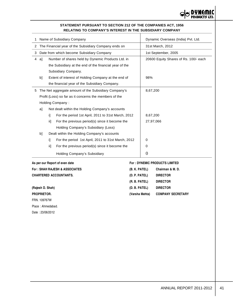

# **STATEMENT PURSUANT TO SECTION 212 OF THE COMPANIES ACT, 1956 RELATING TO COMPANY'S INTEREST IN THE SUBSIDIARY COMPANY**

| 1  | Name of Subsidiary Company                               |     |                                                        |                |                | Dynamic Overseas (India) Pvt. Ltd.    |  |  |
|----|----------------------------------------------------------|-----|--------------------------------------------------------|----------------|----------------|---------------------------------------|--|--|
| 2  | The Financial year of the Subsidiary Company ends on     |     |                                                        |                |                | 31st March, 2012                      |  |  |
| 3. | Date from which become Subsidiary Company                |     |                                                        |                |                | 1st September, 2005                   |  |  |
| 4  | Number of shares held by Dynemic Products Ltd. in<br>al  |     |                                                        |                |                | 20600 Equity Shares of Rs. 100/- each |  |  |
|    |                                                          |     | the Subsidiary at the end of the financial year of the |                |                |                                       |  |  |
|    |                                                          |     | Subsidiary Company.                                    |                |                |                                       |  |  |
|    | b]                                                       |     | Extent of interest of Holding Company at the end of    |                | 98%            |                                       |  |  |
|    |                                                          |     | the financial year of the Subsidiary Company.          |                |                |                                       |  |  |
|    |                                                          |     | 5 The Net aggregate amount of the Subsidiary Company's |                | 8,67,200       |                                       |  |  |
|    |                                                          |     | Profit (Loss) so far as it concerns the members of the |                |                |                                       |  |  |
|    |                                                          |     | Holding Company:                                       |                |                |                                       |  |  |
|    | al                                                       |     | Not dealt within the Holding Company's accounts        |                |                |                                       |  |  |
|    | For the period 1st April, 2011 to 31st March, 2012<br>i] |     |                                                        |                | 8,67,200       |                                       |  |  |
|    |                                                          | ii1 | For the previous period(s) since it become the         |                | 27,97,066      |                                       |  |  |
|    |                                                          |     | Holding Company's Subsidiary (Loss)                    |                |                |                                       |  |  |
|    | b]                                                       |     | Dealt within the Holding Company's accounts            |                |                |                                       |  |  |
|    |                                                          | i1. | For the period 1st April, 2011 to 31st March, 2012     |                | $\Omega$       |                                       |  |  |
|    |                                                          | ii1 | For the previous period(s) since it become the         |                | 0              |                                       |  |  |
|    |                                                          |     | Holding Company's Subsidiary                           |                | $\overline{0}$ |                                       |  |  |
|    |                                                          |     | As per our Report of even date                         |                |                | <b>For: DYNEMIC PRODUCTS LIMITED</b>  |  |  |
|    |                                                          |     | <b>For: SHAH RAJESH &amp; ASSOCIATES</b>               | (B. K. PATEL)  |                | Chairman & M. D.                      |  |  |
|    |                                                          |     | <b>CHARTERED ACCOUNTANTS.</b>                          | (D. P. PATEL)  |                | <b>DIRECTOR</b>                       |  |  |
|    |                                                          |     |                                                        | (R. B. PATEL)  |                | <b>DIRECTOR</b>                       |  |  |
|    | (Rajesh D. Shah)                                         |     |                                                        | (D. B. PATEL)  |                | <b>DIRECTOR</b>                       |  |  |
|    | PROPRIETOR.                                              |     |                                                        | (Varsha Mehta) |                | <b>COMPANY SECRETARY</b>              |  |  |
|    | FRN. 109767W                                             |     |                                                        |                |                |                                       |  |  |
|    | Place: Ahmedabad.                                        |     |                                                        |                |                |                                       |  |  |

Date : 23/06/2012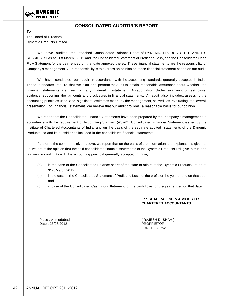# **CONSOLIDATED AUDITOR'S REPORT**

**To** The Board of Directors Dynemic Products Limited

We have audited the attached Consolidated Balance Sheet of DYNEMIC PRODUCTS LTD AND ITS SUBSIDIARY as at 31st March , 2012 and the Consolidated Statement of Profit and Loss, and the Consolidated Cash Flow Statement for the year ended on that date annexed thereto.These financial statements are the responsibility of Company's management. Our responsibility is to express an opinion on these financial statement based on our audit.

We have conducted our audit in accordance with the accounting standards generally accepted in India. These standards require that we plan and perform the audit to obtain reasonable assurance about whether the financial statements are free from any material misstatement. An audit also includes, examining on test basis, evidence supporting the amounts and disclosures in financial statements. An audit also includes, assessing the accounting principles used and significant estimates made by the management, as well as evaluating the overall presentation of financial statement. We believe that our audit provides a reasonable basis for our opinion.

We report that the Consolidated Financial Statements have been prepared by the company's management in accordance with the requirement of Accounting Stantard (AS)-21. Consolidated Financial Statement issued by the Institute of Chartered Accountants of India, and on the basis of the separate audited statements of the Dynemic Products Ltd and its subsidiaries included in the consolidated financial statements.

Further to the comments given above, we report that on the basis of the information and explanations given to us, we are of the opinion that the said consolidated financial statements of the Dynemic Products Ltd, give a true and fair view in confirmity with the accounting principal generally accepted in India,

- (a) in the case of the Consolidated Balance sheet of the state of affairs of the Dynemic Products Ltd as at 31st March,2012,
- (b) in the case of the Consolidated Statement of Profit and Loss, of the profit for the year ended on that date and
- (c) in case of the Consolidated Cash Flow Statement, of the cash flows for the year ended on that date.

# For, **SHAH RAJESH & ASSOCIATES CHARTERED ACCOUNTANTS**

Date : 23/06/2012 PROPRIETOR

Place : Ahmedabad [ RAJESH D. SHAH ] FRN. 109767W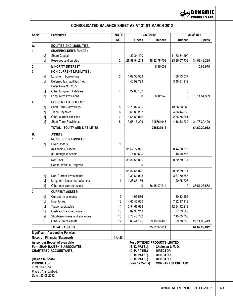

# **CONSOLIDATED BALANCE SHEET AS AT 31 ST MARCH 2012**

| Sr.No.           | <b>NOTE</b><br>31/3/2012<br><b>Particulars</b>                                                                                                                                                                                                                                                                                                                                                                                                                                                                                                                              |                                                                |                | 31/3/2011                      |                                     |                          |                 |
|------------------|-----------------------------------------------------------------------------------------------------------------------------------------------------------------------------------------------------------------------------------------------------------------------------------------------------------------------------------------------------------------------------------------------------------------------------------------------------------------------------------------------------------------------------------------------------------------------------|----------------------------------------------------------------|----------------|--------------------------------|-------------------------------------|--------------------------|-----------------|
|                  |                                                                                                                                                                                                                                                                                                                                                                                                                                                                                                                                                                             |                                                                | NO.            | <b>Rupees</b>                  | <b>Rupees</b>                       | <b>Rupees</b>            | <b>Rupees</b>   |
| А.               |                                                                                                                                                                                                                                                                                                                                                                                                                                                                                                                                                                             | <b>EQUITIES AND LIABILITIES:</b>                               |                |                                |                                     |                          |                 |
| 1                |                                                                                                                                                                                                                                                                                                                                                                                                                                                                                                                                                                             | <b>SHAREHOLDER'S FUNDS:</b>                                    |                |                                |                                     |                          |                 |
|                  | [a]                                                                                                                                                                                                                                                                                                                                                                                                                                                                                                                                                                         | Share Capital                                                  | 1              | 11,32,84,490                   |                                     | 11,32,84,490             |                 |
|                  | [b]                                                                                                                                                                                                                                                                                                                                                                                                                                                                                                                                                                         | Reserves and surplus                                           | $\overline{c}$ | 26,99,94,219                   | 38, 32, 78, 709                     | 23, 35, 57, 738          | 34,68,42,228    |
| $\boldsymbol{2}$ |                                                                                                                                                                                                                                                                                                                                                                                                                                                                                                                                                                             | <b>MINORITY INTEREST</b>                                       |                |                                | 5,95,008                            |                          | 5,82,975        |
| 3                |                                                                                                                                                                                                                                                                                                                                                                                                                                                                                                                                                                             | <b>NON CURRENT LIABILITIES :</b>                               |                |                                |                                     |                          |                 |
|                  | [a]                                                                                                                                                                                                                                                                                                                                                                                                                                                                                                                                                                         | Long-term borrowings                                           | 3              | 1,02,36,968                    |                                     | 1,66,13,077              |                 |
|                  | [b]                                                                                                                                                                                                                                                                                                                                                                                                                                                                                                                                                                         | Deferred tax liabilities (net)                                 |                | 4,40,99,799                    |                                     | 3,45,51,312              |                 |
|                  |                                                                                                                                                                                                                                                                                                                                                                                                                                                                                                                                                                             | Refer Note No. 28.5                                            |                |                                |                                     |                          |                 |
|                  | [c]                                                                                                                                                                                                                                                                                                                                                                                                                                                                                                                                                                         | Other long-term liabilities                                    | 4              | 22,65,182                      |                                     | 0                        |                 |
|                  | [d]                                                                                                                                                                                                                                                                                                                                                                                                                                                                                                                                                                         | Long Term Provisions                                           |                | 0                              | 56601949                            | 0                        | 5, 11, 64, 389  |
| 4                |                                                                                                                                                                                                                                                                                                                                                                                                                                                                                                                                                                             | <b>CURRENT LIABILITIES:</b>                                    |                |                                |                                     |                          |                 |
|                  | [a]                                                                                                                                                                                                                                                                                                                                                                                                                                                                                                                                                                         | Short Term Borrowings                                          | 5              | 19,78,82,400                   |                                     | 13,56,53,968             |                 |
|                  | $[b] \centering% \includegraphics[width=1.0\textwidth]{figs/fig_0a}% \includegraphics[width=1.0\textwidth]{figs/fig_0b}% \includegraphics[width=1.0\textwidth]{figs/fig_0b}% \includegraphics[width=1.0\textwidth]{figs/fig_0b}% \includegraphics[width=1.0\textwidth]{figs/fig_0b}% \includegraphics[width=1.0\textwidth]{figs/fig_0b}% \includegraphics[width=1.0\textwidth]{figs/fig_0b}% \includegraphics[width=1.0\textwidth]{figs/fig_0b}% \includegraphics[width=1.0\textwidth]{figs/fig_0b}% \includegraphics[width=1.0\textwidth]{figs/fig_0b}% \includegraphics[$ | <b>Trade Payables</b>                                          | 6              | 6,65,83,297                    |                                     | 4,36,44,639              |                 |
|                  | [c]                                                                                                                                                                                                                                                                                                                                                                                                                                                                                                                                                                         | Other current liabilities                                      | $\overline{7}$ | 1,56,80,042                    |                                     | 2,66,78,081              |                 |
|                  | [d]                                                                                                                                                                                                                                                                                                                                                                                                                                                                                                                                                                         | <b>Short Term Provisions</b>                                   | 8              | 3,55,16,209                    | 315661948                           | 4, 16, 62, 732           | 24,76,39,420    |
|                  |                                                                                                                                                                                                                                                                                                                                                                                                                                                                                                                                                                             | TOTAL - EQUITY AND LIABILITIES                                 |                |                                | 756137614                           |                          | 64,62,29,012    |
| <b>B.</b>        |                                                                                                                                                                                                                                                                                                                                                                                                                                                                                                                                                                             | ASSETS :                                                       |                |                                |                                     |                          |                 |
| 1                |                                                                                                                                                                                                                                                                                                                                                                                                                                                                                                                                                                             | <b>NON CURRENT ASSETS:</b>                                     |                |                                |                                     |                          |                 |
|                  | [a]                                                                                                                                                                                                                                                                                                                                                                                                                                                                                                                                                                         | <b>Fixed Assets</b>                                            | 9              |                                |                                     |                          |                 |
|                  |                                                                                                                                                                                                                                                                                                                                                                                                                                                                                                                                                                             | (i) Tangible Assets                                            |                | 31,67,72,325                   |                                     | 30,44,28,518             |                 |
|                  |                                                                                                                                                                                                                                                                                                                                                                                                                                                                                                                                                                             | (ii) Intangible Assets                                         |                | 14,88,695                      |                                     | 18,50,755                |                 |
|                  |                                                                                                                                                                                                                                                                                                                                                                                                                                                                                                                                                                             | Net Block                                                      |                | 31,82,61,020                   |                                     | 30,62,79,274             |                 |
|                  |                                                                                                                                                                                                                                                                                                                                                                                                                                                                                                                                                                             | Capital Work in Progress                                       |                | 0                              |                                     | 0                        |                 |
|                  |                                                                                                                                                                                                                                                                                                                                                                                                                                                                                                                                                                             |                                                                |                | 31,82,61,020                   |                                     | 30,62,79,274             |                 |
|                  | [b]                                                                                                                                                                                                                                                                                                                                                                                                                                                                                                                                                                         | Non Current Investments                                        | 10             | 3,33,61,038                    |                                     | 3,67,70,585              |                 |
|                  | [c]                                                                                                                                                                                                                                                                                                                                                                                                                                                                                                                                                                         | Long-term loans and advances                                   | 11             | 1,28,85,156                    |                                     | 1,20,75,703              |                 |
|                  | [d]                                                                                                                                                                                                                                                                                                                                                                                                                                                                                                                                                                         | Other non-current assets                                       |                | 0                              | 36,45,07,214                        | 0                        | 35,51,25,562    |
| $\overline{2}$   |                                                                                                                                                                                                                                                                                                                                                                                                                                                                                                                                                                             | <b>CURRENT ASSETS:</b>                                         |                |                                |                                     |                          |                 |
|                  | [a]                                                                                                                                                                                                                                                                                                                                                                                                                                                                                                                                                                         | <b>Current investments</b>                                     | 12             | 14,95,586                      |                                     | 30,43,996                |                 |
|                  | $[b] % \begin{center} % \includegraphics[width=\linewidth]{imagesSupplemental_3.png} % \end{center} % \caption { % Our method can be used for the use of the image. % Note that the \emph{Def}(i) and the \emph{Def}(i) and the \emph{Def}(i) and the \emph{Def}(i) and the \emph{Def}(i) and the \emph{Def}(i) and the \emph{Def}(i) and the \emph{Def}(i) and the \emph{Def}(i) and the \emph{Def}(i) and the \emph{Def}(i) and the \emph{Def}(i) and the \emph{Def}(i) and the \emph{Def}(i) and the \emph{Def}(i) and the \emph{Def}(i) and the \emph{Def}(i)$          | Inventories                                                    | 13             | 14,60,47,056                   |                                     | 7,32,97,913              |                 |
|                  | [c]                                                                                                                                                                                                                                                                                                                                                                                                                                                                                                                                                                         | Trade receivables                                              | 14             | 13,94,66,628                   |                                     | 12,84,42,213             |                 |
|                  | [d]                                                                                                                                                                                                                                                                                                                                                                                                                                                                                                                                                                         | Cash and cash equivalents                                      | 15             | 89,36,243                      |                                     | 77,73,568                |                 |
|                  | [e]                                                                                                                                                                                                                                                                                                                                                                                                                                                                                                                                                                         | Short-term loans and advances                                  | 16             | 8,76,40,762                    |                                     | 7, 15, 75, 706           |                 |
|                  | $[1]$                                                                                                                                                                                                                                                                                                                                                                                                                                                                                                                                                                       | Other current assets                                           | 17             | 80,44,125                      | 39, 16, 30, 400                     | 69,70,053                | 29, 11, 03, 449 |
|                  |                                                                                                                                                                                                                                                                                                                                                                                                                                                                                                                                                                             | <b>TOTAL - ASSETS</b>                                          |                |                                | 75,61,37,614                        |                          | 64,62,29,012    |
|                  |                                                                                                                                                                                                                                                                                                                                                                                                                                                                                                                                                                             | <b>Significant Accounting Policies</b>                         |                |                                |                                     |                          |                 |
|                  |                                                                                                                                                                                                                                                                                                                                                                                                                                                                                                                                                                             | <b>Notes on Financial Statements</b>                           | 1 to 28        |                                |                                     |                          |                 |
|                  |                                                                                                                                                                                                                                                                                                                                                                                                                                                                                                                                                                             | As per our Report of even date                                 |                |                                | For : DYNEMIC PRODUCTS LIMITED      |                          |                 |
|                  |                                                                                                                                                                                                                                                                                                                                                                                                                                                                                                                                                                             | For: SHAH RAJESH & ASSOCIATES<br><b>CHARTERED ACCOUNTANTS.</b> |                | (B. K. PATEL)<br>(D. P. PATEL) | Chairman & M. D.<br><b>DIRECTOR</b> |                          |                 |
|                  |                                                                                                                                                                                                                                                                                                                                                                                                                                                                                                                                                                             |                                                                |                | (R. B. PATEL)                  | <b>DIRECTOR</b>                     |                          |                 |
| (Rajesh D. Shah) |                                                                                                                                                                                                                                                                                                                                                                                                                                                                                                                                                                             |                                                                |                | (D. B. PATEL)                  | <b>DIRECTOR</b>                     |                          |                 |
| PROPRIETOR.      |                                                                                                                                                                                                                                                                                                                                                                                                                                                                                                                                                                             |                                                                |                | (Varsha Mehta)                 |                                     | <b>COMPANY SECRETARY</b> |                 |
| FRN. 109767W     |                                                                                                                                                                                                                                                                                                                                                                                                                                                                                                                                                                             | Place: Ahmedabad.                                              |                |                                |                                     |                          |                 |
| Date: 23/06/2012 |                                                                                                                                                                                                                                                                                                                                                                                                                                                                                                                                                                             |                                                                |                |                                |                                     |                          |                 |
|                  |                                                                                                                                                                                                                                                                                                                                                                                                                                                                                                                                                                             |                                                                |                |                                |                                     |                          |                 |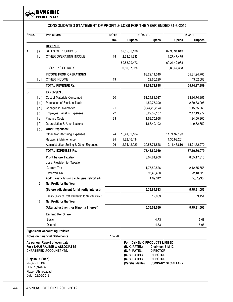

# **CONSOLIDATED STATEMENT OF PROFIT & LOSS FOR THE YEAR ENDED 31-3-2012**

| Sr.No.    |                                                 | <b>Particulars</b>                                                                                          | <b>NOTE</b> | 31/3/2012                                                                                                           |                                                                           | 31/3/2011                |               |
|-----------|-------------------------------------------------|-------------------------------------------------------------------------------------------------------------|-------------|---------------------------------------------------------------------------------------------------------------------|---------------------------------------------------------------------------|--------------------------|---------------|
|           |                                                 |                                                                                                             | NO.         | <b>Rupees</b>                                                                                                       | <b>Rupees</b>                                                             | <b>Rupees</b>            | <b>Rupees</b> |
|           |                                                 | <b>REVENUE</b>                                                                                              |             |                                                                                                                     |                                                                           |                          |               |
| <u>A.</u> | $\lceil a \rceil$                               | SALES OF PRODUCTS                                                                                           |             | 87,55,08,138                                                                                                        |                                                                           | 67,93,94,613             |               |
|           | [b]                                             | OTHER OPERATING INCOME                                                                                      | 18          | 2,33,01,335                                                                                                         |                                                                           | 1,27,47,475              |               |
|           |                                                 |                                                                                                             |             | 89,88,09,473                                                                                                        |                                                                           | 69,21,42,088             |               |
|           |                                                 | LESS:- EXCISE DUTY                                                                                          |             | 6,65,97,924                                                                                                         |                                                                           | 3,89,47,383              |               |
|           |                                                 | <b>INCOME FROM OPERATIONS</b>                                                                               |             |                                                                                                                     | 83,22,11,549                                                              |                          | 65,31,94,705  |
|           | [c]                                             | OTHER INCOME                                                                                                | 19          |                                                                                                                     | 29,60,299                                                                 |                          | 43,02,683     |
|           |                                                 | <b>TOTAL REVENUE Rs.</b>                                                                                    |             |                                                                                                                     | 83,51,71,848                                                              |                          | 65,74,97,389  |
| <u>B.</u> |                                                 | <u>EXPENSES:</u>                                                                                            |             |                                                                                                                     |                                                                           |                          |               |
|           | [a]                                             | Cost of Materials Consumed                                                                                  | 20          |                                                                                                                     | 51,24,81,087                                                              |                          | 33,30,70,855  |
|           | [b]                                             | Purchases of Stock-in-Trade                                                                                 |             |                                                                                                                     | 4,52,75,300                                                               |                          | 2,30,83,996   |
|           | [c]                                             | Changes in Inventories                                                                                      | 21          |                                                                                                                     | (7, 44, 20, 234)                                                          |                          | 1,15,55,969   |
|           | [d]                                             | <b>Employee Benefits Expenses</b>                                                                           | 22          |                                                                                                                     | 3,29,57,187                                                               |                          | 2,47,13,977   |
|           | [e]                                             | <b>Finance Costs</b>                                                                                        | 23          |                                                                                                                     | 1,58,75,968                                                               |                          | 1,24,00,360   |
|           | [1]                                             | Depreciation & Amortisations                                                                                |             |                                                                                                                     | 1,63,49,102                                                               |                          | 1,49,82,652   |
|           | [g]                                             | <b>Other Expenses:</b>                                                                                      |             |                                                                                                                     |                                                                           |                          |               |
|           |                                                 | <b>Other Manufacturing Expenses</b>                                                                         | 24          | 16,41,82,164                                                                                                        |                                                                           | 11,74,32,193             |               |
|           |                                                 | Repairs & Maintenance                                                                                       | 25          | 1,82,46,434                                                                                                         |                                                                           | 1,35,93,261              |               |
|           |                                                 | Administrative, Selling & Other Expenses                                                                    | 26          | 2,34,42,929                                                                                                         | 20,58,71,528                                                              | 2,11,46,816              | 15,21,72,270  |
|           |                                                 | <b>TOTAL EXPENSES Rs.</b>                                                                                   |             |                                                                                                                     | 75,43,89,939                                                              |                          | 57,19,80,079  |
|           |                                                 | <b>Profit before Taxation</b>                                                                               |             |                                                                                                                     | 8,07,81,909                                                               |                          | 8,55,17,310   |
|           |                                                 | Less: Provision for Taxation                                                                                |             |                                                                                                                     |                                                                           |                          |               |
|           |                                                 | <b>Current Tax</b>                                                                                          |             |                                                                                                                     | 1,75,59,526                                                               |                          | 2,12,75,655   |
|           |                                                 | Deferred Tax                                                                                                |             |                                                                                                                     | 95,48,488                                                                 |                          | 72,18,529     |
|           |                                                 | Add/ (Less):- Taxation of earlier years (Refunds/Paid)                                                      |             |                                                                                                                     | 1,09,312                                                                  |                          | (5,67,930)    |
|           | 16                                              | Net Profit for the Year                                                                                     |             |                                                                                                                     |                                                                           |                          |               |
|           |                                                 | (Before adjustment for Minority Interest)                                                                   |             |                                                                                                                     | 5, 35, 64, 583                                                            |                          | 5,75,91,056   |
|           |                                                 | Less:- Share of Profit Transferred to Minority Interest                                                     |             |                                                                                                                     | 12,033                                                                    |                          | 9,454         |
|           | 17                                              | Net Profit for the Year                                                                                     |             |                                                                                                                     |                                                                           |                          |               |
|           |                                                 | (After adjustment for Minority Interest)                                                                    |             |                                                                                                                     | 5,35,52,550                                                               |                          | 5,75,81,602   |
|           |                                                 | <b>Earning Per Share</b>                                                                                    |             |                                                                                                                     |                                                                           |                          |               |
|           |                                                 | <b>Basic</b>                                                                                                |             |                                                                                                                     | 4.73                                                                      |                          | 5.08          |
|           |                                                 | <b>Diluted</b>                                                                                              |             |                                                                                                                     | 4.73                                                                      |                          | 5.08          |
|           |                                                 | <b>Significant Accounting Policies</b>                                                                      |             |                                                                                                                     |                                                                           |                          |               |
|           |                                                 | <b>Notes on Financial Statements</b>                                                                        | 1 to 28     |                                                                                                                     |                                                                           |                          |               |
|           | (Rajesh D. Shah)<br>PROPRIETOR.<br>FRN. 109767W | As per our Report of even date<br><b>For: SHAH RAJESH &amp; ASSOCIATES</b><br><b>CHARTERED ACCOUNTANTS.</b> |             | For: DYNEMIC PRODUCTS LIMITED<br>(B. K. PATEL)<br>(D. P. PATEL)<br>(R. B. PATEL)<br>(D. B. PATEL)<br>(Varsha Mehta) | Chairman & M. D.<br><b>DIRECTOR</b><br><b>DIRECTOR</b><br><b>DIRECTOR</b> | <b>COMPANY SECRETARY</b> |               |
|           | Date: 23/06/2012                                | Place: Ahmedabad.                                                                                           |             |                                                                                                                     |                                                                           |                          |               |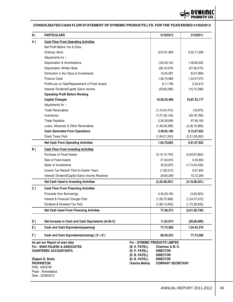

# **CONSOLIDATED CASH FLOW STATEMENT OF DYNEMIC PRODUCTS LTD. FOR THE YEAR ENDED 31/03/2012**

| Sr.            | <b>PARTICULARS</b>                                                         |                | 31/3/2012                                               | 31/3/2011        |
|----------------|----------------------------------------------------------------------------|----------------|---------------------------------------------------------|------------------|
| A ]            | <b>Cash Flow From Operating Activities</b>                                 |                |                                                         |                  |
|                | Net Profit Before Tax & Extra                                              |                |                                                         |                  |
|                | Ordinary Items                                                             |                | 8,07,81,909                                             | 8,55,17,306      |
|                | Adjustments for :-                                                         |                |                                                         |                  |
|                | Depreciation & Amortisations                                               |                | 1,63,49,102                                             | 1,49,82,652      |
|                | Depreciation Written Back                                                  |                | (28, 10, 078)                                           | (27, 90, 270)    |
|                | Diminution in the Value of Investments                                     |                | 15,05,087                                               | (6,07,099)       |
|                | <b>Finance Costs</b>                                                       |                | 1,58,75,968                                             | 1,24,57,072      |
|                | Profit/Loss on Sale/Replacement of Fixed Assets                            |                | 8,11,796                                                | 2,35,813         |
|                | Interest/ Dividend/Capital Gains Income                                    |                | (29,60,299)                                             | (10, 72, 298)    |
|                | <b>Operating Profit Before Working</b>                                     |                |                                                         |                  |
|                | <b>Capital Changes</b>                                                     |                | 10,95,53,486                                            | 10,87,23,177     |
|                | Adjustments for :-                                                         |                |                                                         |                  |
|                | <b>Trade Receivables</b>                                                   |                | (1, 10, 24, 415)                                        | (18, 670)        |
|                | Inventories                                                                |                | (7, 27, 49, 143)                                        | (35, 76, 782)    |
|                | <b>Trade Payables</b>                                                      |                | 2,29,38,658                                             | 97,56,163        |
|                | Loans, Advances & Other Receivables                                        |                | (1,38,26,399)                                           | (2,36,15,966)    |
|                | <b>Cash Generated From Operations</b>                                      |                | 3,48,92,186                                             | 9,12,67,922      |
|                | <b>Direct Taxes Paid</b>                                                   |                | (1,84,21,503)                                           | (2,21,00,000)    |
|                | <b>Net Cash From Operating Activities</b>                                  |                | 1,64,70,683                                             | 6,91,67,922      |
| B ]            | <b>Cash Flow From Investing Activities</b>                                 |                |                                                         |                  |
|                | Purchase of Fixed Assets                                                   |                | (3, 15, 14, 754)                                        | (2,64,67,864)    |
|                | Sale of Fixed Assets                                                       |                | 21,64,616                                               | 5,45,693         |
|                | Sales of Investments                                                       |                | 34,52,870                                               | (1,74,04,258)    |
|                | Income Tax Refund/ Paid for Earlier Years                                  |                | (1,09,312)                                              | 5,67,930         |
|                | Interest/ Dividend/Capital Gains Income Received                           |                | 29,60,299                                               | 10,72,298        |
|                | <b>Net Cash Used In Investing Activities</b>                               |                | (2,30,46,281)                                           | (4, 16, 86, 201) |
| c <sub>1</sub> | <b>Cash Flow From Financing Activities</b>                                 |                |                                                         |                  |
|                | Proceeds from Borrowings                                                   |                | 4, 34, 29, 185                                          | (4,63,823)       |
|                | Interest & Financial Charges Paid                                          |                | (1,58,75,968)                                           | (1, 24, 57, 072) |
|                | Dividend & Dividend Tax Paid                                               |                | (1,98,14,945)                                           | (1,72,29,835)    |
|                | <b>Net Cash Used From Financing Activites</b>                              |                | 77,38,272                                               | (3,01,50,730)    |
| D ]            | Net Increase in Cash and Cash Equivalents (A+B+C)                          |                | 11,62,674                                               | (26, 69, 009)    |
| E ]            | Cash and Cash Equivalents (opening)                                        |                | 77,73,568                                               | 1,04,42,576      |
|                | Cash and Cash Equivalents (closing) $(D + E)$                              |                | 89,36,243                                               | 77,73,568        |
| F)             |                                                                            |                |                                                         |                  |
|                | As per our Report of even date<br><b>For: SHAH RAJESH &amp; ASSOCIATES</b> | (B. K. PATEL)  | <b>For: DYNEMIC PRODUCTS LIMITED</b><br>Chairman & M.D. |                  |
|                | <b>CHARTERED ACCOUNTANTS.</b>                                              | (D. P. PATEL)  | <b>DIRECTOR</b>                                         |                  |
|                |                                                                            | (R. B. PATEL)  | <b>DIRECTOR</b>                                         |                  |
|                | (Rajesh D. Shah)                                                           | (D. B. PATEL)  | <b>DIRECTOR</b>                                         |                  |
|                | PROPRIETOR.<br>FRN. 109767W                                                | (Varsha Mehta) | <b>COMPANY SECRETARY</b>                                |                  |
|                | Place: Ahmedabad.                                                          |                |                                                         |                  |
|                | Date: 23/06/2012                                                           |                |                                                         |                  |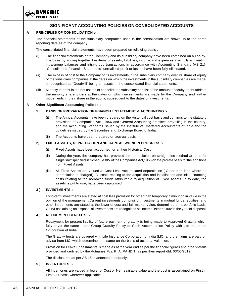# **SIGNIFICANT ACCOUNTING POLICIES ON CONSOLIDATED ACCOUNTS**

#### **A PRINCIPLES OF CONSOLIDATION :-**

The financial statements of the subsidiary companies used in the consolidation are drawn up to the same reporting date as of the company.

The consolidated financial statements have been prepared on following basis :-

- (i) The financial statements of the Company and its subsidiary company have been combined on a line-byline basis by adding together like items of assets, liabilities, income and expenses after fully eliminating intra-group balances and intra-group transactions in accordance with Accounting Standard (AS 21)- "Consolidated Financial Statements" unrealised profit or losses have been fully eliminated.
- (ii) The excess of cost to the Company of its investments in the subsidiary company over its share of equity of the subsidiary companies at the dates on which the investments in the subsidiary companies are made, is recognised as "Goodwill" being an assets in the consolidated financial statements.
- (iii) Minority interest in the net assets of consolidated subsidiary consist of the amount of equity attributable to the minority shareholders at the dates on which investments are made by the Company and further movements in their share in the equity, subsequent to the dates of investments.

#### B **Other Significant Accounting Policies :**

#### **1 ] BASIS OF PREPARATION OF FINANCIAL STATEMENT & ACCOUNTING :-**

- The Annual Accounts have been prepared on the Historical cost basis and confirms to the statutory provisions of Companies Act , 1956 and General Accounting practices prevailing in the country, and the Accounting Standards issued by the Institute of Chartered Accountants of India and the guidelines issued by the Securities and Exchange Board of India.
- (ii) The Accounts have been prepared on accrual basis.

#### **2] FIXED ASSETS, DEPRECIATION AND CAPITAL WORK IN PROGRESS:-**

- (i) Fixed Assets have been accounted for at their Historical Cost.
- (ii) During the year, the company has provided the depreciation on straight line method at rates for single shift specified in Schedule XIV of the Companies Act,1956 on the prorata basis for the additions from Fixed Assets.
- (iii) All Fixed Assets are valued at Cost Less Accumulated depreciation ( Other than land where no depreciation is charged). All costs relating to the acquisition and installations and initial financing costs relating to the borrowed funds attributable to acquisition of Fixed Assets up to date, the assets is put to use, have been capitalised.

#### **3 ] INVESTMENTS :-**

Long-term investments are stated at cost less provision for other than temporary diminution in value in the opinion of the management.Current investments comprising, investments in mutual funds, equities, and other instruments are stated at the lower of cost and fair market value, determined on a portfolio basis. Gain/Loss arising on disposal of investments are recognised as income/ expenditure in the year of disposal.

#### **4 ] RETIREMENT BENEFITS :-**

Repayment for present liability of future payment of gratuity is being made to Approved Gratuity which fully cover the same under Group Gratuity Policy or Cash Accumulation Policy with Life Insurance Corporation of India.

The Gratuity trusts are covered with Life Insurance Corporation of India (LIC) and premiums are paid on advise from LIC, which determines the same on the basis of actuarial valuation.

Provision for Leave Encashments is made as at the year end as per the financial figures and other details provided and certified by the Actuaries M/s. K. A. PANDIT, as per their report dtd. 03/05/2012.

The disclosures as per AS 15 is annexed seperately.

#### **5 ] INVENTORIES :-**

All Inventories are valued at lower of Cost or Net realisable value and the cost is ascertained on First in First Out basis wherever applicable.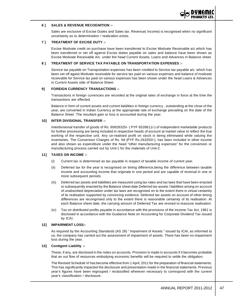

#### **6 ] SALES & REVENUE RECOGNITION :-**

Sales are exclusive of Excise Duties and Sales tax. Revenue( Income) is recognised when no significant uncertainty as to determination / realization exists.

#### **7 ] TREATMENT OF EXCISE DUTY :-**

Excise Modvate credit on purchase have been transferred to Excise Modvate Receivable a/c.which has been transferred or set off against Excise duties payable on sales and balance have been shown as Excise Modvate Receivable A/c. under the head Current Assets, Loans and Advances in Balance sheet.

#### **8 ] TREATMENT OF SERVICE TAX PAYABLE ON TRANSPORTATION EXPENSES :-**

Service tax payable on Transportation expenses has been credited to Service tax payable a/c. which has been set off agaist Modvate receivable for service tax paid on various expenses and balance of modvate receivable for Service tax paid on various expenses has been shown under the head Loans & Advances in Current Assets side of Balance Sheet.

#### **9] FOREIGN CURRENCY TRANSACTIONS :-**

Transactions in foreign currencies are recorded at the original rates of exchange in force at the time the transactions are effected.

Balance in form of current assets and current liabilities in foreign currency , outstanding at the close of the year, are converted in Indian Currency at the appropriate rate of exchange prevailing on the date of the Balance Sheet .The resultant gain or loss is accounted during the year.

#### **10] INTER DIVISIONAL TRANSFER :-**

Interdivisional transfer of goods of Rs. 60829325/- ( PYF 6528611/-) of independent marketable products for further processing are being included in respective heads of account at market value to reflect the true working of the respective unit. Any un-realised profit on stock is being eliminated while valuing the inventories. The Conversion Charges of Rs. Nil (PYF Rs.263250/-), has been included in other income and also shown as expenditure under the head "other manufacturing expenses" for the conversion or manufacturing process carried out by Unit-1 for the materials of Unit-2.

#### **11] TAXES ON INCOME :-**

- (i) Current tax is determined as tax payable in respect of taxable income of current year.
- (ii) Deferred tax for the year is recognised on timing difference,being the difference between taxable income and accounting income that originate in one period and are capable of reversal in one or more subsequent periods.
- (iii) Deferred tax assets and liabilities are measured using tax rates and tax laws that have been enacted or subsequently enacted by the Balance sheet date.Deferred tax assets / liabilities arising on account of unabsorbed depreciation under tax laws are recognised on to the extent there is virtual certainity of its realisation supported by convincing evidence. Deferred tax assets on account of other timing differences are recongnised only to the extent there is reasonable certainity of its realisation. At each Balance sheet date, the carrying amount of Deferred Tax are revived to reassure realisation.
- (iv) Tax on distributed profits payable in accordance with the provisions of the Income Tax Act, 1961 is disclosed in accordance with the Guidance Note on Accounting for Corporate Dividend Tax issued by ICAI.

#### **12] IMPAIRMENT LOSS:-**

As required by the Accounting Standards (AS 28) " Impairment of Assets " issued by ICAI, as informed to us, the company has carried out the assessment of impairment of assets. There has been no impairment loss during the year.

#### **13] Contigent Liability :-**

These, if any, are disclosed in the notes on accounts. Provision is made in accounts if it becomes probable that an out flow of resources embodying economic benefits will be required to settle the obligation.

The Revised Schedule VI has become effective from 1 April, 2011 for the preparation of financial statements. This has significantly impacted the disclosure and presentation made in the financial statements. Previous year's figures have been regrouped / reclassified wherever necessary to correspond with the current year's classification / disclosure.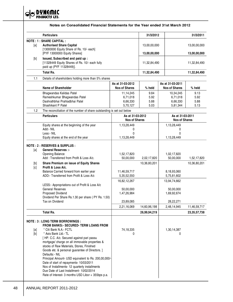

|                                                                                                                                                                                                                                                                                                                                                                                                                                                                                                                                                                                                                                                             | <b>Particulars</b>                                                                                                                   |                                          | 31/3/2012    |                                          | 31/3/2011       |
|-------------------------------------------------------------------------------------------------------------------------------------------------------------------------------------------------------------------------------------------------------------------------------------------------------------------------------------------------------------------------------------------------------------------------------------------------------------------------------------------------------------------------------------------------------------------------------------------------------------------------------------------------------------|--------------------------------------------------------------------------------------------------------------------------------------|------------------------------------------|--------------|------------------------------------------|-----------------|
|                                                                                                                                                                                                                                                                                                                                                                                                                                                                                                                                                                                                                                                             | <b>NOTE: 1: SHARE CAPITAL:</b>                                                                                                       |                                          |              |                                          |                 |
| [a]                                                                                                                                                                                                                                                                                                                                                                                                                                                                                                                                                                                                                                                         | <b>Authorised Share Capital</b><br>[13000000 Equity Share of Rs. 10/- each]                                                          |                                          | 13,00,00,000 |                                          | 13,00,00,000    |
|                                                                                                                                                                                                                                                                                                                                                                                                                                                                                                                                                                                                                                                             | [PYF 13000000 Equity Shares]                                                                                                         |                                          | 13,00,00,000 |                                          | 13,00,00,000    |
| $[b] \centering% \includegraphics[width=0.9\columnwidth]{figures/fig_0a}% \includegraphics[width=0.9\columnwidth]{figures/fig_0b}% \includegraphics[width=0.9\columnwidth]{figures/fig_0b}% \includegraphics[width=0.9\columnwidth]{figures/fig_0b}% \includegraphics[width=0.9\columnwidth]{figures/fig_0b}% \includegraphics[width=0.9\columnwidth]{figures/fig_0b}% \includegraphics[width=0.9\columnwidth]{figures/fig_0b}% \includegraphics[width=0.9\columnwidth]{figures/fig_0b}% \includegraphics[width=0.9\columnwidth]{figures/fig_0b}% \includegraphics[width=0.9\columnwidth]{figures/fig_0b}% \includegraphics[width=0.9\columnwidth]{figures$ | Issued, Subscribed and paid up:<br>[11328449 Equity Shares of Rs. 10/- each fully<br>paid up (PYF 11328449)].                        |                                          | 11,32,84,490 |                                          | 11,32,84,490    |
|                                                                                                                                                                                                                                                                                                                                                                                                                                                                                                                                                                                                                                                             | <b>Total Rs.</b>                                                                                                                     |                                          | 11,32,84,490 |                                          | 11,32,84,490    |
| 1.1                                                                                                                                                                                                                                                                                                                                                                                                                                                                                                                                                                                                                                                         | Details of shareholders holding more than 5% shares                                                                                  |                                          |              |                                          |                 |
|                                                                                                                                                                                                                                                                                                                                                                                                                                                                                                                                                                                                                                                             |                                                                                                                                      | As at 31-03-2012                         |              | As at 31-03-2011                         |                 |
|                                                                                                                                                                                                                                                                                                                                                                                                                                                                                                                                                                                                                                                             | Name of Shareholder                                                                                                                  | <b>Nos of Shares</b>                     | % held       | <b>Nos of Shares</b>                     | % held          |
|                                                                                                                                                                                                                                                                                                                                                                                                                                                                                                                                                                                                                                                             | Bhagwandas Kalidas Patel                                                                                                             | 11,14,245                                | 9.84         | 10,34,245                                | 9.13            |
|                                                                                                                                                                                                                                                                                                                                                                                                                                                                                                                                                                                                                                                             | Rameshkumar Bhagwandas Patel                                                                                                         | 6,71,018                                 | 5.92         | 6,71,018                                 | 5.92            |
|                                                                                                                                                                                                                                                                                                                                                                                                                                                                                                                                                                                                                                                             | Dashrathbhai Prahladbhai Patel                                                                                                       | 6,66,330                                 | 5.88         | 6,66,330                                 | 5.88            |
|                                                                                                                                                                                                                                                                                                                                                                                                                                                                                                                                                                                                                                                             | Shashikant P Patel                                                                                                                   | 5.70.127                                 | 5.03         | 5,81,344                                 | 5.13            |
| 1.2                                                                                                                                                                                                                                                                                                                                                                                                                                                                                                                                                                                                                                                         | The reconciliation of the number of share outstanding is set out below                                                               |                                          |              |                                          |                 |
|                                                                                                                                                                                                                                                                                                                                                                                                                                                                                                                                                                                                                                                             | <b>Particulars</b>                                                                                                                   | As at 31-03-2012<br><b>Nos of Shares</b> |              | As at 31-03-2011<br><b>Nos of Shares</b> |                 |
|                                                                                                                                                                                                                                                                                                                                                                                                                                                                                                                                                                                                                                                             | Equity shares at the beginning of the year                                                                                           | 1,13,28,449                              |              | 1,13,28,449                              |                 |
|                                                                                                                                                                                                                                                                                                                                                                                                                                                                                                                                                                                                                                                             | Add:- NIL                                                                                                                            | 0                                        |              | 0                                        |                 |
|                                                                                                                                                                                                                                                                                                                                                                                                                                                                                                                                                                                                                                                             | Less:- NIL                                                                                                                           | $\Omega$                                 |              | 0                                        |                 |
|                                                                                                                                                                                                                                                                                                                                                                                                                                                                                                                                                                                                                                                             | Equity shares at the end of the year                                                                                                 | 1,13,28,449                              |              | 1,13,28,449                              |                 |
| [a]                                                                                                                                                                                                                                                                                                                                                                                                                                                                                                                                                                                                                                                         | <b>NOTE: 2: RESERVES &amp; SURPLUS:</b><br>General Reserves :-<br><b>Opening Balance</b><br>Add: Transferred from Profit & Loss A/c. | 1,52,17,820<br>50,00,000                 | 2,02,17,820  | 1,02,17,820<br>50,00,000                 | 1,52,17,820     |
|                                                                                                                                                                                                                                                                                                                                                                                                                                                                                                                                                                                                                                                             |                                                                                                                                      |                                          |              |                                          |                 |
| [c]                                                                                                                                                                                                                                                                                                                                                                                                                                                                                                                                                                                                                                                         | Share Premium on issue of Equity Shares<br>Profit & Loss A/c.                                                                        |                                          | 10,36,80,201 |                                          | 10,36,80,201    |
|                                                                                                                                                                                                                                                                                                                                                                                                                                                                                                                                                                                                                                                             | Balance Carried forward from earlier year                                                                                            | 11,46,59,717                             |              | 8,18,93,060                              |                 |
|                                                                                                                                                                                                                                                                                                                                                                                                                                                                                                                                                                                                                                                             | ADD:- Transferred from Profit & Loss A/c                                                                                             | 5, 35, 52, 550                           |              | 5,75,81,602                              |                 |
|                                                                                                                                                                                                                                                                                                                                                                                                                                                                                                                                                                                                                                                             |                                                                                                                                      | 16,82,12,267                             |              | 13,94,74,662                             |                 |
|                                                                                                                                                                                                                                                                                                                                                                                                                                                                                                                                                                                                                                                             | LESS:- Appropriations out of Profit & Loss A/c                                                                                       |                                          |              |                                          |                 |
|                                                                                                                                                                                                                                                                                                                                                                                                                                                                                                                                                                                                                                                             | <b>General Reserves</b>                                                                                                              | 50,00,000                                |              | 50,00,000                                |                 |
|                                                                                                                                                                                                                                                                                                                                                                                                                                                                                                                                                                                                                                                             | Proposed Dividend                                                                                                                    | 1,47,26,984                              |              | 1,69,92,674                              |                 |
|                                                                                                                                                                                                                                                                                                                                                                                                                                                                                                                                                                                                                                                             | Dividend Per Share Rs.1.30 per share (PY Rs. 1.50)                                                                                   |                                          |              |                                          |                 |
|                                                                                                                                                                                                                                                                                                                                                                                                                                                                                                                                                                                                                                                             | Tax on Dividend                                                                                                                      | 23,89,085                                |              | 28,22,271                                |                 |
|                                                                                                                                                                                                                                                                                                                                                                                                                                                                                                                                                                                                                                                             |                                                                                                                                      | 2,21,16,069                              | 14,60,96,198 | 2,48,14,945                              | 11,46,59,717    |
|                                                                                                                                                                                                                                                                                                                                                                                                                                                                                                                                                                                                                                                             | <b>Total Rs.</b>                                                                                                                     |                                          | 26,99,94,219 |                                          | 23, 35, 57, 738 |
|                                                                                                                                                                                                                                                                                                                                                                                                                                                                                                                                                                                                                                                             |                                                                                                                                      |                                          |              |                                          |                 |
|                                                                                                                                                                                                                                                                                                                                                                                                                                                                                                                                                                                                                                                             | <b>NOTE : 3 : LONG TERM BORROWINGS :</b><br><b>FROM BANKS:- SECURED- TERM LOANS FROM</b>                                             |                                          |              |                                          |                 |
|                                                                                                                                                                                                                                                                                                                                                                                                                                                                                                                                                                                                                                                             | * Citi Bank N.A.- FCTL                                                                                                               | 74,18,335                                |              |                                          |                 |
| $[{\sf a}]$<br>[b]                                                                                                                                                                                                                                                                                                                                                                                                                                                                                                                                                                                                                                          | * Axis Bank Ltd.- TL                                                                                                                 | 0                                        |              | 1,30,14,387<br>0                         |                 |
|                                                                                                                                                                                                                                                                                                                                                                                                                                                                                                                                                                                                                                                             | [HP. C.C. A/c. Secured against pari passu                                                                                            |                                          |              |                                          |                 |
|                                                                                                                                                                                                                                                                                                                                                                                                                                                                                                                                                                                                                                                             | mortgage/ charge on all immovable properties &<br>stocks of Raw Materials, Stores, Finished                                          |                                          |              |                                          |                 |
|                                                                                                                                                                                                                                                                                                                                                                                                                                                                                                                                                                                                                                                             | Goods etc. & personal guarantee of Directors. ]<br>Defaults:- NIL                                                                    |                                          |              |                                          |                 |
|                                                                                                                                                                                                                                                                                                                                                                                                                                                                                                                                                                                                                                                             | Principal Amount- USD equivalent to Rs. 200,00,000/-<br>Date of start of repayments- 10/03/2011                                      |                                          |              |                                          |                 |
|                                                                                                                                                                                                                                                                                                                                                                                                                                                                                                                                                                                                                                                             | Nos of Installments- 12 quarterly installments                                                                                       |                                          |              |                                          |                 |
|                                                                                                                                                                                                                                                                                                                                                                                                                                                                                                                                                                                                                                                             | Due Date of Last Installment- 10/02/2014<br>Rate of Interest- 3 months USD Libor + 355bps p.a.                                       |                                          |              |                                          |                 |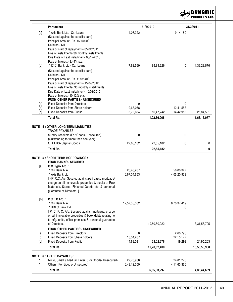

|                   | <b>Particulars</b>                                                                                                                                                                                                                                                                                                                        |                             | 31/3/2012    |                                 | 31/3/2011       |
|-------------------|-------------------------------------------------------------------------------------------------------------------------------------------------------------------------------------------------------------------------------------------------------------------------------------------------------------------------------------------|-----------------------------|--------------|---------------------------------|-----------------|
| [c]               | * Axis Bank Ltd.- Car Loans<br>(Secured against the specific cars)<br>Principal Amount- Rs. 1500000/-<br>Defaults:- NIL<br>Date of start of repayments- 05/02/2011<br>Nos of Installments-36 monthly installments<br>Due Date of Last Installment- 05/12/2013<br>Rate of Interest- 8.44% p.a.                                             | 4,08,322                    |              | 9,14,189                        |                 |
| [d]               | * ICICI Bank Ltd.- Car Loans<br>(Secured against the specific cars)<br>Defaults:- NIL<br>Principal Amount- Rs. 1113140/-<br>Date of start of repayments- 15/04/2012<br>Nos of Installments- 36 monthly installments<br>Due Date of Last Installment- 10/02/2015<br>Rate of Interest- 10.12% p.a.<br><b>FROM OTHER PARTIES:- UNSECURED</b> | 7,62,569                    | 85,89,226    | 0                               | 1,39,28,576     |
| [a]<br>[b]        | <b>Fixed Deposits from Directors</b><br>Fixed Deposits from Share holders                                                                                                                                                                                                                                                                 | 0<br>9,68,058               |              | 0<br>12,41,583                  |                 |
| [c]               | Fixed Deposits from Public                                                                                                                                                                                                                                                                                                                | 6,79,684                    | 16,47,742    | 14,42,918                       | 26,84,501       |
|                   | <b>Total Rs.</b>                                                                                                                                                                                                                                                                                                                          |                             | 1,02,36,968  |                                 | 1,66,13,077     |
|                   | <b>NOTE : 4 : OTHER LONG TERM LIABILITIES:-</b><br>TRADE PAYABLES<br>Sundry Creditors (For Goods- Unsecured)<br>(Outstanding for more than one year)                                                                                                                                                                                      | 0                           |              | 0                               |                 |
|                   | <b>OTHERS- Capital Goods</b>                                                                                                                                                                                                                                                                                                              | 22,65,182                   | 22,65,182    | 0                               | 0               |
|                   | <b>Total Rs.</b>                                                                                                                                                                                                                                                                                                                          |                             | 22,65,182    |                                 | $\mathbf 0$     |
| [a]               | <b>NOTE : 5 : SHORT TERM BORROWINGS :</b><br><b>FROM BANKS:- SECURED</b><br>C.C.Hypo A/c.:<br>* Citi Bank N.A.<br>* Axis Bank Ltd.<br>[HP. C.C. A/c. Secured against pari passu mortgage/<br>charge on all immovable properties & stocks of Raw<br>Materials, Stores, Finished Goods etc. & personal<br>guarantee of Directors. ]         | 26,40,287<br>6,67,04,653    |              | 56,00,347<br>4,05,20,939        |                 |
| [b]               | P.C.F.C.A/c.:<br>* Citi Bank N.A.<br>* HDFC Bank Ltd.<br>[ P. C. F. C. A/c. Secured against mortgage/ charge<br>on all immovable properties & book debts relating to<br>to mfg. units, office premises & personal guarantee<br>of Directors.]                                                                                             | 12,57,35,082                | 19,50,80,022 | 8,70,37,419<br>0                | 13, 31, 58, 705 |
| [a]<br>[b]<br>[c] | FROM OTHER PARTIES:- UNSECURED<br><b>Fixed Deposits from Directors</b><br>Fixed Deposits from Share holders<br>Fixed Deposits from Public                                                                                                                                                                                                 | 0<br>13,34,287<br>14,68,091 | 28,02,378    | 2,60,793<br>22,15,177<br>19,293 | 24,95,263       |
|                   | <b>Total Rs.</b>                                                                                                                                                                                                                                                                                                                          |                             | 19,78,82,400 |                                 | 13,56,53,968    |
|                   |                                                                                                                                                                                                                                                                                                                                           |                             |              |                                 |                 |
| $\star$           | <b>NOTE: 6: TRADE PAYABLES:</b><br>Micro, Small & Medium Enter. (For Goods- Unsecured)<br>Others (For Goods- Unsecured)                                                                                                                                                                                                                   | 22,70,988<br>6,43,12,309    |              | 24,81,273<br>4,11,63,366        |                 |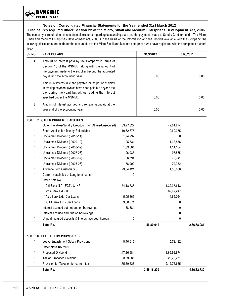$\mathbf{\Theta}$ **PRODUCTS LTD.** 

### **Notes on Consolidated Financial Statements for the Year ended 31st March 2012**

**Disclosures required under Section 22 of the Micro, Small and Medium Enterprises Development Act, 2006** The company is required to make certain disclosures regarding outstanding dues and the payments made to Sundry Creditors under The Micro, Small and Medium Enterprises Development Act, 2006. On the basis of the information and the records available with the Company, the following disclosures are made for the amount due to the Micro Small and Medium enterprises who have registered with the competent authorities:-

| SR NO.     | <b>PARTICULARS</b>                                                                                                                                                                                         |             | 31/3/2012   |             | 31/3/2011      |
|------------|------------------------------------------------------------------------------------------------------------------------------------------------------------------------------------------------------------|-------------|-------------|-------------|----------------|
| 1          | Amount of interest paid by the Company in terms of<br>Section 16 of the MSMED, along with the amount of<br>the payment made to the supplier beyond the appointed<br>day during the accounting year.        |             | 0.00        |             | 0.00           |
| 2          | Amount of interest due and payable for the period of delay<br>in making payment (which have been paid but beyond the<br>day during the year) but without adding the interest<br>specified under the MSMED. |             | 0.00        |             | 0.00           |
| 3          | Amount of interest accrued and remaining unpaid at the<br>year end of the accounting year.                                                                                                                 |             | 0.00        |             | 0.00           |
|            | <b>NOTE: 7: OTHER CURRENT LIABILITIES:</b>                                                                                                                                                                 |             |             |             |                |
|            | Other Payables-Sundry Creditors (For Others-Unsecured)                                                                                                                                                     | 33,27,827   |             | 42,61,274   |                |
| $^{\star}$ | Share Application Money Refundable                                                                                                                                                                         | 10,62,375   |             | 10,62,375   |                |
|            | Unclaimed Dividend (2010-11)                                                                                                                                                                               | 1,74,997    |             | 0           |                |
| $^{\star}$ | Unclaimed Dividend (2009-10)                                                                                                                                                                               | 1,25,531    |             | 1,38,856    |                |
| *          | Unclaimed Dividend (2008-09)                                                                                                                                                                               | 1,09,504    |             | 1,11,154    |                |
| ×          | Unclaimed Dividend (2007-08)                                                                                                                                                                               | 96,035      |             | 97,685      |                |
| $^{\star}$ | Unclaimed Dividend (2006-07)                                                                                                                                                                               | 66,791      |             | 72,941      |                |
|            | Unclaimed Dividend (2005-06)                                                                                                                                                                               | 78,902      |             | 79,052      |                |
| *          | <b>Advance from Customers</b>                                                                                                                                                                              | 23,04,421   |             | 1,56,830    |                |
| $^{\star}$ | Current matuirities of Long term loans                                                                                                                                                                     | 0           |             |             |                |
|            | Refer Note No. 3                                                                                                                                                                                           |             |             |             |                |
|            | * Citi Bank N.A.- FCTL & INR                                                                                                                                                                               | 74,18,338   |             | 1,32,35,613 |                |
|            | * Axis Bank Ltd.- TL                                                                                                                                                                                       | 0           |             | 69,97,247   |                |
|            | * Axis Bank Ltd.- Car Loans                                                                                                                                                                                | 5,05,867    |             | 4,65,054    |                |
|            | * ICICI Bank Ltd.- Car Loans                                                                                                                                                                               | 3,50,571    |             | 0           |                |
|            | Interest accrued but not due on borrowings                                                                                                                                                                 | 58,884      |             | 0           |                |
|            | Interest accrued and due on borrowings                                                                                                                                                                     | 0           |             | 0           |                |
|            | Unpaid matured deposits & Interest accrued thereon                                                                                                                                                         | 0           |             | 0           |                |
|            | <b>Total Rs.</b>                                                                                                                                                                                           |             | 1,56,80,042 |             | 2,66,78,081    |
|            |                                                                                                                                                                                                            |             |             |             |                |
|            | <b>NOTE: 8: SHORT TERM PROVISIONS:-</b>                                                                                                                                                                    |             |             |             |                |
|            | Leave Encashment Salary Provisions                                                                                                                                                                         | 8,40,615    |             | 5,72,132    |                |
|            | Refer Note No. 28.1                                                                                                                                                                                        |             |             |             |                |
|            | Proposed Dividend                                                                                                                                                                                          | 1,47,26,984 |             | 1,69,92,674 |                |
|            | Tax on Proposed Dividend                                                                                                                                                                                   | 23,89,085   |             | 28,22,271   |                |
| $^\star$   | Provision for Taxation for current tax                                                                                                                                                                     | 1,75,59,526 |             | 2,12,75,655 |                |
|            | Total Rs.                                                                                                                                                                                                  |             | 3,55,16,209 |             | 4, 16, 62, 732 |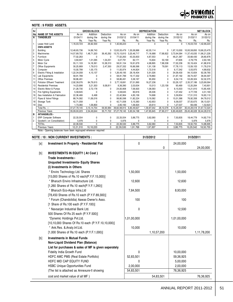

#### **NOTE : 9 FIXED ASSETS.**

| Sr             |                                                               |              | <b>GROSS BLOCK</b> |              |                          |              | <b>DEPRECIATION</b> |              |             |                           | <b>NET BLOCK</b>          |
|----------------|---------------------------------------------------------------|--------------|--------------------|--------------|--------------------------|--------------|---------------------|--------------|-------------|---------------------------|---------------------------|
| Nol            | <b>NAME OF THE ASSETS</b>                                     | As on        | Addition           | Deduction    | As on                    | As on        | Addition            | Deduction    | As on       | As on                     | As on                     |
| $\overline{A}$ | <b>TANGIBLES</b>                                              | 01/04/11     | during the         | during the   | 31/03/12                 | 01/04/11     | during the          | during the   | 31/03/12    | 31/03/11                  | 31/03/12                  |
|                |                                                               | Rs.          | Year Rs.           | Year Rs.     | Rs.                      | Rs.          | Year Rs.            | Year Rs.     | Rs.         | Rs.                       | Rs.                       |
| $\mathbf{1}$   | Lease Hold Land                                               | 1,16,03,723  | 26,62,500          | $\mathbf{0}$ | 1,42,66,223              | $\mathbf{0}$ | $\Omega$            | $\mathbf 0$  | 0           | 1,16,03,723               | 1,42,66,223               |
|                | <b>OWN ASSETS</b>                                             |              |                    |              |                          |              |                     |              |             |                           |                           |
| $\overline{c}$ | <b>Building</b>                                               | 12,48,65,736 | 14,69,743          | $\mathbf{0}$ | 12,63,35,479 1,55,06,886 |              | 42,03,114           | 0            | 1,97,10,000 |                           | 10,93,58,850 10,66,25,479 |
| 3              | Machineries                                                   | 14,57,89,752 | 1,48,71,320        | 36,45,262    | 15,70,15,810             | 3,20,46,717  | 71,16,688           | 17,68,822    | 3,73,94,584 | 11,37,43,035 11,96,21,226 |                           |
| $\overline{4}$ | Furniture                                                     | 77,02,263    | $\Omega$           | $\Omega$     | 77,02,263                | 43,33,833    | 4,87,553            | 0            | 48,21,387   | 33,68,430                 | 28,80,876                 |
| 5              | Motor Cycle                                                   | 3.60.947     | 1,01,095           | 1,54,251     | 3.07.791                 | 82.171       | 15,604              | 50.169       | 47.606      | 2,78,776                  | 2,60,185                  |
| 6              | Motor Car                                                     | 55, 11, 103  | 14, 18, 361        | 10,38,310    | 58,91,154                | 19,91,679    | 4,98,895            | 7,88,338     | 17,02,236   | 35, 19, 424               | 41,88,918                 |
| $\overline{7}$ | Office Equipments                                             | 30,25,669    | 1,79,013           | 2,47,350     | 29,57,332                | 16,66,566    | 1,91,138            | 79,591       | 17,78,113   | 13,59,103                 | 11,79,219                 |
| 8              | Computer                                                      | 10.00.799    | 1,05,175           | 0            | 11,05,974                | 4,44,824     | 1,72,518            | 0            | 6,17,342    | 5,55,975                  | 4,88,632                  |
| 9              | Electric Fitting & Installation                               | 1,22,34,058  | 4, 15, 137         | 0            | 1,26,49,195              | 28,18,404    | 5,91,026            | $\mathbf{0}$ | 34.09.430   | 94, 15, 654               | 92, 39, 765               |
| 10             | Lab Equipments                                                | 58,91,789    | $\Omega$           | $\mathbf{0}$ | 58,91,789                | 19, 17, 332  | 2,79,860            | 0            | 21.97.192   | 39,74,457                 | 36,94,597                 |
| 11             | <b>Office Premises</b>                                        | 58,86,491    | $\Omega$           | $\Omega$     | 58,86,491                | 5,58,167     | 95,950              | 0            | 6,54,116    | 53,28,324                 | 52, 32, 375               |
| 12             | <b>Pollution Effluent Treatment</b>                           | 2,92,39,076  | 84,79,615          | $\Omega$     | 3,77,18,691              | 37,01,890    | 16,27,236           | 0            | 53,29,127   | 2,55,37,186               | 3,23,89,564               |
| 13             | <b>Residential Premises</b>                                   | 14.23.898    | 3,21,303           | 9.08.811     | 8.36.390                 | 2,03,634     | 15,013              | 1.23.158     | 95.489      | 12,20,264                 | 7,40,901                  |
| 14             | Electric Motor & Pumps                                        | 21,28,730    | 2,72,178           | $\Omega$     | 24,00,908                | 7,06,920     | 1,08,583            | $\Omega$     | 8,15,503    | 14,21,810                 | 15,85,405                 |
| 15             | Fire fighting Equipments                                      | 5,58,645     | $\Omega$           | $\Omega$     | 5,58,645                 | 80,916       | 26,536              | 0            | 1,07,452    | 4,77,729                  | 4,51,193                  |
| 16             | Gas Installation & Fabrication                                | 22,36,466    | 6,498              | 0            | 22,42,964                | 4,85,156     | 74,698              | 0            | 5.59.854    | 17,51,310                 | 16,83,110                 |
| 17             | Pipes & Valve Fittings                                        | 88,74,582    | 11,06,016          | $\Omega$     | 99,80,598                | 11,82,224    | 3,19,362            | 0            | 15,01,586   | 76,92,358                 | 84,79,012                 |
| 18             | Storage Tank                                                  | 42,71,058    | $\Omega$           | 0            | 42,71,058                | 5,15,383     | 1,42,653            | 0            | 6,58,037    | 37,55,675                 | 36,13,021                 |
| 19             | <b>Dies</b>                                                   | 1,73,360     | 1,06,800           | $\Omega$     | 2,80,160                 | 1,06,924     | 20.614              | 0            | 1.27.537    | 66,436                    | 1.52.623                  |
|                | Total Rs. ::::                                                | 37,27,78,145 | 3, 15, 14, 754     | 59,93,984    | 39,82,98,915             | 6,83,49,627  | 1,59,87,042         | 28,10,078    | 8,15,26,591 |                           | 30,44,28,518 31,67,72,324 |
|                | Previous Years                                                | 35,09,00,223 | 2,54,49,644        | 35,71,722    | 37,27,78,145             | 5,63,54,198  | 1,47,85,645         | 27,90,217    | 6,83,49,625 |                           | 29,45,46,028 30,44,28,519 |
| в              | <b>INTANGIBLES:-</b>                                          |              |                    |              |                          |              |                     |              |             |                           |                           |
| $\mathbf{1}$   | <b>ERP Computer Software</b>                                  | 22,33,554    | 0                  | 0            | 22,33,554                | 3,88,775     | 3,62,060            | 0            | 7,50,835    | 18,44,779                 | 14,82,719                 |
| $\overline{c}$ | Goodwill ( on Consolidation)                                  | 5,976        | 0                  | 0            | 5,976                    | 0            | 0                   | 0            | 0           | 5,976                     | 5,976                     |
|                | <b>TOTAL</b>                                                  | 22.39.530    | $\mathbf{0}$       | $\mathbf{0}$ | 22.39.530                | 3.88.775     | 3.62.060            | 0            | 7.50.835    | 18,50,755                 | 14,88,695                 |
|                | <b>Previous Years</b>                                         | 12.21.310    | 10.18.220          | $\Omega$     | 22,39,530                | 1,91,768     | 1,97,007            | 0            | 3,88,775    | 10,29,542                 | 18,50,755                 |
|                | Note:- Opening balances have been regrouped wherever required |              |                    |              |                          |              |                     |              |             |                           |                           |

|                                                                                                                                                                                                                                                                                                                                                                                                                                                                                                                                                                             | <b>NOTE : 10 : NON CURRENT INVESTMENTS :</b>                  |              | 31/3/2012   |             | 31/3/2011   |
|-----------------------------------------------------------------------------------------------------------------------------------------------------------------------------------------------------------------------------------------------------------------------------------------------------------------------------------------------------------------------------------------------------------------------------------------------------------------------------------------------------------------------------------------------------------------------------|---------------------------------------------------------------|--------------|-------------|-------------|-------------|
| [a]                                                                                                                                                                                                                                                                                                                                                                                                                                                                                                                                                                         | Investment In Property - Residential Flat                     | 0            | 0           | 24,00,000   | 24,00,000   |
| $[b] \centering% \includegraphics[width=1.0\textwidth]{figs/fig_0a}% \includegraphics[width=1.0\textwidth]{figs/fig_0b}% \includegraphics[width=1.0\textwidth]{figs/fig_0b}% \includegraphics[width=1.0\textwidth]{figs/fig_0b}% \includegraphics[width=1.0\textwidth]{figs/fig_0b}% \includegraphics[width=1.0\textwidth]{figs/fig_0b}% \includegraphics[width=1.0\textwidth]{figs/fig_0b}% \includegraphics[width=1.0\textwidth]{figs/fig_0b}% \includegraphics[width=1.0\textwidth]{figs/fig_0b}% \includegraphics[width=1.0\textwidth]{figs/fig_0b}% \includegraphics[$ | <b>INVESTMENTS IN EQUITY (At Cost)</b><br>Trade Investments:- |              |             |             |             |
|                                                                                                                                                                                                                                                                                                                                                                                                                                                                                                                                                                             | <b>Unquoted Investments- Equity Shares</b>                    |              |             |             |             |
|                                                                                                                                                                                                                                                                                                                                                                                                                                                                                                                                                                             | (i) Investments in Others                                     |              |             |             |             |
|                                                                                                                                                                                                                                                                                                                                                                                                                                                                                                                                                                             | * Enviro Technology Ltd. Shares                               | 1,50,000     |             | 1,50,000    |             |
|                                                                                                                                                                                                                                                                                                                                                                                                                                                                                                                                                                             | [15,000 Shares of Rs.10 each(P.Y.F.15,000)]                   |              |             |             |             |
|                                                                                                                                                                                                                                                                                                                                                                                                                                                                                                                                                                             | * Bharuch Enviro Infrastructure Ltd.                          | 12,600       |             | 12,600      |             |
|                                                                                                                                                                                                                                                                                                                                                                                                                                                                                                                                                                             | [1,260 Shares of Rs.10 each(P.Y.F.1,260)]                     |              |             |             |             |
|                                                                                                                                                                                                                                                                                                                                                                                                                                                                                                                                                                             | * Bharuch Eco-Aqua Infra.Ltd                                  | 7,84,500     |             | 8,93,000    |             |
|                                                                                                                                                                                                                                                                                                                                                                                                                                                                                                                                                                             | [78,450 Shares of Rs.10 each (P.Y.F.89,300)]                  |              |             |             |             |
|                                                                                                                                                                                                                                                                                                                                                                                                                                                                                                                                                                             | * Forum (Chandolidia) Aawas Owner's Asso.                     | 100          |             | 100         |             |
|                                                                                                                                                                                                                                                                                                                                                                                                                                                                                                                                                                             | [1 Share of Rs.100 each (P.Y.F.100)]                          |              |             |             |             |
|                                                                                                                                                                                                                                                                                                                                                                                                                                                                                                                                                                             | * Navsarjan Industrial Bank Ltd.                              | $\mathbf{0}$ |             | 12,500      |             |
|                                                                                                                                                                                                                                                                                                                                                                                                                                                                                                                                                                             | 500 Shares Of Rs 25 each (P.Y.F.500)]                         |              |             |             |             |
|                                                                                                                                                                                                                                                                                                                                                                                                                                                                                                                                                                             | *Dynemic Holdings Pvt.Ltd.                                    | 1,01,00,000  |             | 1,01,00,000 |             |
|                                                                                                                                                                                                                                                                                                                                                                                                                                                                                                                                                                             | [10,10,000 Shares Of Rs.10 each (P.Y.F.10,10,000)]            |              |             |             |             |
|                                                                                                                                                                                                                                                                                                                                                                                                                                                                                                                                                                             | * Ank.Res. & Analy.Inf.Ltd.                                   | 10,000       |             | 10,000      |             |
|                                                                                                                                                                                                                                                                                                                                                                                                                                                                                                                                                                             | [1,000 Shares of Rs.10 each (P.Y.F.1,000)]                    |              | 1,10,57,200 |             | 1,11,78,200 |
| [b]                                                                                                                                                                                                                                                                                                                                                                                                                                                                                                                                                                         | <b>Investments in Mutual Funds</b>                            |              |             |             |             |
|                                                                                                                                                                                                                                                                                                                                                                                                                                                                                                                                                                             | Non-Liquid Dividend Plan (Balance)                            |              |             |             |             |
|                                                                                                                                                                                                                                                                                                                                                                                                                                                                                                                                                                             | List for purchases & sales of MF is given seperately          |              |             |             |             |
|                                                                                                                                                                                                                                                                                                                                                                                                                                                                                                                                                                             | Fidelity India Growth Fund                                    | 0            |             | 10,00,000   |             |
|                                                                                                                                                                                                                                                                                                                                                                                                                                                                                                                                                                             | HDFC AMC PMS (Real Estate Portfolio)                          | 52,83,501    |             | 59,36,925   |             |
|                                                                                                                                                                                                                                                                                                                                                                                                                                                                                                                                                                             | HDFC MID CAP EQUITY FUND                                      | U            |             | 5,00,000    |             |
|                                                                                                                                                                                                                                                                                                                                                                                                                                                                                                                                                                             | <b>HSBC Unique Opportunities Fund</b>                         | 2,00,000     |             | 2,00,000    |             |
|                                                                                                                                                                                                                                                                                                                                                                                                                                                                                                                                                                             | (The list is attached as Annexure-II showing                  | 54,83,501    |             | 76,36,925   |             |
|                                                                                                                                                                                                                                                                                                                                                                                                                                                                                                                                                                             | cost and market value of all MF)                              |              | 54,83,501   |             | 76,36,925   |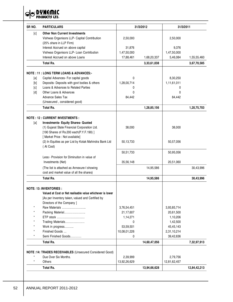**DYNEMIC**<br>PRODUCTS LTD.  $\ominus$ 

| SR <sub>NO.</sub> | <b>PARTICULARS</b>                                        |              | 31/3/2012    | 31/3/2011    |              |
|-------------------|-----------------------------------------------------------|--------------|--------------|--------------|--------------|
| [c]               | <b>Other Non Current Investments</b>                      |              |              |              |              |
|                   | Vishwas Organisors LLP- Capital Contribution              | 2,50,000     |              | 2,50,000     |              |
|                   | (25% share in LLP Firm)                                   |              |              |              |              |
|                   | Interest Accrued on above capital                         | 31,876       |              | 9,376        |              |
|                   | Vishwas Organisors LLP- Loan Contribution                 | 1,47,50,000  |              | 1,47,50,000  |              |
|                   | Interest Accrued on above Loans                           | 17,88,461    | 1,68,20,337  | 5,46,084     | 1,55,55,460  |
|                   | <b>Total Rs.</b>                                          |              | 3,33,61,038  |              | 3,67,70,585  |
|                   | <b>NOTE: 11: LONG TERM LOANS &amp; ADVANCES:-</b>         |              |              |              |              |
| [a]               | Capital Advances- For capital goods                       | $\mathbf{0}$ |              | 8,30,250     |              |
| [b]               | Deposits- Deposits with govt bodies & others              | 1,28,00,714  |              | 1,11,61,011  |              |
| [c]               | Loans & Advances to Related Parties                       | 0            |              | 0            |              |
| [d]               | Other Loans & Advances                                    | 0            |              | 0            |              |
|                   | <b>Advance Sales Tax</b>                                  | 84,442       |              | 84,442       |              |
|                   | (Unsecured, considered good)                              |              |              |              |              |
|                   | <b>Total Rs.</b>                                          |              | 1,28,85,156  |              | 1,20,75,703  |
|                   | <b>NOTE: 12: CURRENT INVESTMENTS:</b>                     |              |              |              |              |
| [a]               | <b>Investments- Equity Shares- Quoted</b>                 |              |              |              |              |
|                   | (1) Gujarat State Financial Corporation Ltd.              | 38,000       |              | 38,000       |              |
|                   | [190 Shares of Rs.200 each(P.Y.F.190)]                    |              |              |              |              |
|                   | [ Market Price : Not available]                           |              |              |              |              |
|                   | (2) In Equities as per List by Kotak Mahindra Bank Ltd    |              |              |              |              |
|                   |                                                           | 50,13,733    |              | 50,57,056    |              |
|                   | (At Cost)                                                 |              |              |              |              |
|                   |                                                           | 50,51,733    |              | 50,95,056    |              |
|                   | Less:- Provision for Diminution in value of               |              |              |              |              |
|                   | Investments (Net)                                         | 35,56,148    |              | 20,51,060    |              |
|                   | (The list is attached as Annexure-I showing               |              | 14,95,586    |              | 30,43,996    |
|                   | cost and market value of all the shares)                  |              |              |              |              |
|                   | <b>Total Rs.</b>                                          |              | 14,95,586    |              | 30,43,996    |
|                   | <b>NOTE: 13: INVENTORIES:</b>                             |              |              |              |              |
|                   | Valued at Cost or Net realisable value whichever is lower |              |              |              |              |
|                   | [As per Inventory taken, valued and Certified by          |              |              |              |              |
|                   | Directors of the Company ]                                |              |              |              |              |
|                   | Raw Materials                                             | 3,76,54,451  |              | 3,93,85,714  |              |
|                   | Packing Material                                          | 21,17,607    |              | 20,61,500    |              |
|                   | ETP stock                                                 | 1,14,271     |              | 1,10,206     |              |
|                   | Trading Materials                                         | 0            |              | 1,42,500     |              |
|                   | Work in progress                                          | 53,59,501    |              | 45,45,143    |              |
|                   | Finished Goods                                            | 10,08,01,226 |              | 2,31,10,214  |              |
|                   | Semi Finished Goods                                       | 0            |              | 39,42,636    |              |
|                   | <b>Total Rs.</b>                                          |              | 14,60,47,056 |              | 7,32,97,913  |
|                   |                                                           |              |              |              |              |
|                   | NOTE:14: TRADES RECEIVABLES (Unsecured Considered Good)   |              |              |              |              |
| $\star$           | Due Over Six Months.                                      | 2,39,999     |              | 2,79,756     |              |
|                   | Others                                                    | 13,92,26,629 |              | 12,81,62,457 |              |
|                   | <b>Total Rs.</b>                                          |              | 13,94,66,628 |              | 12,84,42,213 |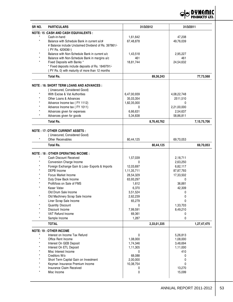

| SR NO.  | <b>PARTICULARS</b>                                   |                          | 31/3/2012   | 31/3/2011     |                |
|---------|------------------------------------------------------|--------------------------|-------------|---------------|----------------|
|         | <b>NOTE: 15 : CASH AND CASH EQUIVALENTS :</b>        |                          |             |               |                |
|         | Cash-in-hand                                         | 1,61,642                 |             | 47,208        |                |
| $\star$ | Balance with Schedule Bank in current a/c#           | 67,48,878                |             | 49,76,039     |                |
|         | # Balance include Unclaimed Dividend of Rs. 397861/- |                          |             |               |                |
|         | (PY Rs. 420636/-)                                    |                          |             |               |                |
|         | Balance with Non-Schedule Bank in current a/c        | 1,43,518                 |             | 2,95,227      |                |
|         | Balance with Non-Schedule Bank in margins a/c        | 461                      |             | 461           |                |
|         | Fixed Deposits with Banks *                          | 18,81,744                |             | 24,54,632     |                |
|         | * Fixed deposits include deposits of Rs. 1849791/-   |                          |             |               |                |
|         | (PY Rs. 0) with maturity of more than 12 months      |                          |             |               |                |
|         | <b>Total Rs.</b>                                     |                          | 89,36,243   |               | 77,73,568      |
|         | <b>NOTE : 16: SHORT TERM LOANS AND ADVANCES :</b>    |                          |             |               |                |
|         | (Unsecured, Considered Good)                         |                          |             |               |                |
|         | With Excise & Vat Authorities                        |                          |             |               |                |
|         | Other Loans & Advances                               | 6,47,00,939<br>35,03,354 |             | 4,08,22,748   |                |
|         | Advance Income tax (FY 1112)                         | 1,82,35,000              |             | 2511,510<br>0 |                |
|         | Advance Income tax (FY 1011)                         | 0                        |             | 2,21,00,000   |                |
|         | Advances given for expenses                          | 6,66,631                 |             | 2,54,637      |                |
|         | Advances given for goods                             | 5,34,838                 |             | 58,86,811     |                |
|         | <b>Total Rs.</b>                                     |                          |             |               |                |
|         |                                                      |                          | 8,76,40,762 |               | 7, 15, 75, 706 |
|         | <b>NOTE : 17: OTHER CURRENT ASSETS :</b>             |                          |             |               |                |
|         | (Unsecured, Considered Good)                         |                          |             |               |                |
|         | <b>Other Receivables</b>                             | 80,44,125                |             | 69,70,053     |                |
|         | <b>Total Rs.</b>                                     |                          | 80,44,125   |               | 69,70,053      |
|         | <b>NOTE : 18 : OTHER OPERATING INCOME :</b>          |                          |             |               |                |
|         | Cash Discount Received                               | 1,57,039                 |             | 2,18,711      |                |
|         | Conversion Charge Income                             | 0                        |             | 2,63,250      |                |
|         | Foreign Exchange Gain & Loss- Exports & Imports      | 12,03,697                |             | 6,82,117      |                |
|         | DEPB Income                                          | 1,11,35,711              |             | 87,87,793     |                |
|         | Focus Market Income                                  | 28,54,329                |             | 17,33,502     |                |
|         | Duty Draw Back Income                                | 63,93,297                |             | 0             |                |
|         | Profit/loss on Sale of FMS                           | 1,612                    |             | 36,881        |                |
|         | Kasar Vatav                                          | 6,370                    |             | 42,309        |                |
|         | Old Drum Sale Income                                 | 3,51,524                 |             | 0             |                |
| $\star$ | Old Machinery Scrap Sale Income                      | 2,62,239                 |             | 0             |                |
|         | Liner Scrap Sale Income                              | 65,279                   |             | 0             |                |
|         | Quantity Discount                                    | 0                        |             | 1,33,703      |                |
|         | Discount Income                                      | 7,99,591                 |             | 8,49,210      |                |
|         | VAT Refund Income                                    | 69,361                   |             | 0             |                |
|         | Sample Income                                        | 1,287                    |             | 0             |                |
|         | <b>TOTAL</b>                                         |                          | 2,33,01,335 |               | 1,27,47,475    |
|         | <b>NOTE: 19 : OTHER INCOME</b>                       |                          |             |               |                |
|         | Interest on Income Tax Refund                        | 0                        |             | 5,26,813      |                |
|         | Office Rent Income                                   | 1,08,000                 |             | 1,08,000      |                |
|         | Interest On GEB Deposit                              | 1,74,346                 |             | 3,48,694      |                |
|         | Interest On ETL Deposit                              | 1,11,305                 |             | 1,11,000      |                |
|         | Misc Interest Income                                 | $\mathbf{0}$             |             | 410           |                |
|         | Creditors W/o                                        | 68,088                   |             | 0             |                |
|         | Short Term Capital Gain on Investment                | 2,00,000                 |             | 0             |                |
|         | Keyman Insurance Premium Income                      | 10,38,754                |             | 0             |                |
|         | Insurance Claim Received                             | 0                        |             | 13,270        |                |
|         | Misc Income                                          | 0                        |             | 15,099        |                |
|         |                                                      |                          |             |               |                |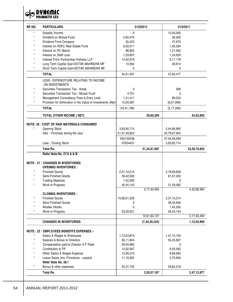**DYNEMIC**<br>PRODUCTS LTD.  $\mathcal{A}$ 

| SR NO.  | <b>PARTICULARS</b>                                         |                       | 31/3/2012        |                             | 31/3/2011      |
|---------|------------------------------------------------------------|-----------------------|------------------|-----------------------------|----------------|
|         | Subsidy Income                                             | 0                     |                  | 15,00,000                   |                |
|         | Dividend on Mutual Fund                                    | 5,65,476              |                  | 26,000                      |                |
|         | Dividend From Company                                      | 30,423                |                  | 27,675                      |                |
|         | Interest on HDFC Real Estate Fund                          | 6,50,011              |                  | 1,95,294                    |                |
|         | Interest on FD (Bank)                                      | 98,805                |                  | 1,21,502                    |                |
|         | Interest on Staff Loan                                     | 1,29,807              |                  | 1,24,629                    |                |
|         | Interest From Partnership-Vishwas LLP                      | 14,02,919             |                  | 6,17,178                    |                |
|         | Long Term Capital Gain-KOTAK MAHINDRA MF                   | 13,564                |                  | 49,913                      |                |
|         | Short Term Capital Gain-KOTAK MAHINDRA MF                  | $\Omega$              |                  | 0                           |                |
|         | <b>TOTAL</b>                                               | 45,91,497             |                  | 37,85,477                   |                |
|         | LESS:- EXPENDITURE RELATING TO INCOME<br>ON INVESTMENTS    |                       |                  |                             |                |
|         | Securities Transaction Tax - Kotak                         | 0                     |                  | 369                         |                |
|         | Securities Transaction Tax - Mutual Fund                   | 4,701                 |                  | 0                           |                |
|         | Management Consultancy Fees & Entry Load                   | 1,21,411              |                  | 89,524                      |                |
|         | Provision for Diminution in the Value of Investments (Net) | 15,05,087             |                  | (6,07,099)                  |                |
|         | <b>TOTAL</b>                                               | (16, 31, 199)         |                  | (5, 17, 206)                |                |
|         | <b>TOTAL OTHER INCOME ( NET)</b>                           |                       | 29,60,299        |                             | 43,02,683      |
|         | <b>NOTE: 20 : COST OF RAW MATERIALS CONSUMED</b>           |                       |                  |                             |                |
| $\star$ | <b>Opening Stock</b>                                       | 3,93,85,714           |                  | 2,44,88,965                 |                |
|         | Add.: Purchase during the year                             | 51,07,49,824          |                  | 34,79,67,604                |                |
|         |                                                            |                       |                  |                             |                |
|         | Less: Closing Stock                                        | 550135538<br>37654451 |                  | 37,24,56,569<br>3,93,85,714 |                |
|         | <b>Total Rs.</b>                                           |                       | 51,24,81,087     |                             | 33,30,70,855   |
|         | Refer Note No. 27.9 A & B                                  |                       |                  |                             |                |
|         |                                                            |                       |                  |                             |                |
|         | <b>NOTE : 21 : CHANGES IN INVENTORIES</b>                  |                       |                  |                             |                |
|         | <b>OPENING INVENTORIES:</b>                                |                       |                  |                             |                |
| $\star$ | <b>Finished Goods</b>                                      | 2,31,10,214           |                  | 3,19,69,628                 |                |
|         | Semi Finished Goods                                        | 39,42,636             |                  | 61,67,452                   |                |
|         | <b>Trading Materials</b>                                   | 1,42,500              |                  | $\Omega$                    |                |
|         | Work-in-Progress                                           | 45,45,143             |                  | 51,59,382                   |                |
|         |                                                            |                       | 3, 17, 40, 493   |                             | 4,32,96,462    |
|         | <b>CLOSING INVENTORIES:</b>                                |                       |                  |                             |                |
|         | <b>Finished Goods</b>                                      | 10,08,01,226          |                  | 2,31,10,214                 |                |
|         | Semi Finished Goods                                        |                       |                  | 39,42,636                   |                |
|         | <b>Wastes Stocks</b>                                       | 0                     |                  | 1,42,500                    |                |
|         | Work-in-Progress                                           | 53,59,501             |                  | 45,45,143                   |                |
|         |                                                            |                       | 10,61,60,727     |                             | 3, 17, 40, 493 |
|         | <b>CHANGES IN INVENTORIES</b>                              |                       | (7, 44, 20, 234) |                             | 1,15,55,969    |
|         | NOTE: 22 : EMPLOYEES BENEFITS EXPENSES :-                  |                       |                  |                             |                |
|         | Salary & Wages to Employees                                | 1,73,03,874           |                  | 1,41,15,150                 |                |
|         | Salaries & Bonus to Directors                              | 56,11,844             |                  | 55,45,607                   |                |
|         | Compensation paid to Director S P Patel                    | 29,04,985             |                  | 0                           |                |
|         | Contribution to PF                                         | 12,92,567             |                  | 8,05,592                    |                |
|         | Other Salary & Wages Expense                               | 12,95,210             |                  | 8,89,664                    |                |
|         | Leave Salary (Inc. Provisions - unpaid)                    | 11,16,952             |                  | 3,75,646                    |                |
|         | Refer Note No. 28.1                                        |                       |                  |                             |                |
|         | Bonus & other expenses                                     | 34, 31, 755           |                  | 29,82,318                   |                |
|         | Total Rs.                                                  |                       | 3,29,57,187      |                             | 2,47,13,977    |
|         |                                                            |                       |                  |                             |                |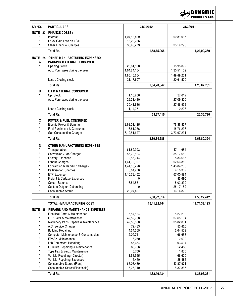

| SR NO.       | <b>PARTICULARS</b>                                   | 31/3/2012               | 31/3/2011               |
|--------------|------------------------------------------------------|-------------------------|-------------------------|
|              | <b>NOTE: 23 : FINANCE COSTS :-</b>                   |                         |                         |
|              | Interest                                             | 1,04,58,409             | 90,81,067               |
| $\star$      | Forex Gain Loss on FCTL                              | 18,22,286               | $\mathbf{0}$            |
| $\star$      | Other Financial Charges                              | 35,95,273               | 33,19,293               |
|              | <b>Total Rs.</b>                                     | 1,58,75,968             | 1,24,00,360             |
|              | <b>NOTE: 24 : OTHER MANUFACTURING EXPENSES:-</b>     |                         |                         |
| Α            | <b>PACKING MATERIAL CONSUMED</b>                     |                         |                         |
| $\star$      | <b>Opening Stock</b>                                 | 20,61,500               | 18,98,092               |
|              | Add: Purchases during the year                       | 1,64,84,154             | 1,30,51,109             |
|              |                                                      | 1,85,45,654             | 1,49,49,201             |
|              | Less: Closing stock                                  | 21,17,607               | 20,61,500               |
|              | <b>Total Rs.</b>                                     | 1,64,28,047             | 1,28,87,701             |
|              |                                                      |                         |                         |
| B            | <b>E.T.P MATERIAL CONSUMED</b>                       |                         |                         |
| $\star$      | Op. Stock                                            | 1,10,206                | 37,612                  |
|              | Add: Purchases during the year                       | 29,31,480               | 27,09,320               |
|              |                                                      | 30,41,686               | 27,46,932               |
|              | Less: Closing stock                                  | 1,14,271                | 1,10,206                |
|              | <b>Total Rs.</b>                                     | 29,27,415               | 26,36,726               |
| $\mathsf C$  | <b>POWER &amp; FUEL CONSUMED</b>                     |                         |                         |
| $\star$      | Electric Power & Burning                             | 2,63,01,125             | 1,76,36,857             |
| $\star$      | Fuel Purchased & Consumed                            | 6,81,936                | 18,76,236               |
|              | <b>Gas Consumption Charges</b>                       | 6,19,51,627             | 3,73,67,231             |
|              | <b>Total Rs.</b>                                     | 8,89,34,688             | 5,68,80,324             |
|              |                                                      |                         |                         |
| D<br>$\star$ | <b>OTHER MANUFACTURING EXPENSES</b>                  |                         |                         |
|              | Transportation                                       | 61,82,993               | 47,11,684               |
|              | Conversion / Job Charges                             | 56,72,524               | 38,17,652               |
|              | Factory Expenses                                     | 9,56,044                | 8,36,615                |
|              | Labour Charges<br>Forwarding & Handling Charges      | 1,41,09,697             | 92,66,810               |
|              | <b>Pallatisation Charges</b>                         | 1,44,68,298<br>5,64,978 | 1,43,04,235<br>4,10,307 |
|              | <b>ETP Expense</b>                                   | 1,10,78,452             | 67,00,594               |
|              | Freight & Cartage Expenses                           | 0                       | 45,695                  |
|              | Colour Expense                                       | 6,54,531                | 5,02,339                |
|              | Custom Duty on Debonding                             | 0                       | 28,17,182               |
|              | <b>Consumable Stores</b>                             | 22,04,497               | 16,14,329               |
|              | <b>Total Rs.</b>                                     | 5,58,92,014             | 4,50,27,442             |
|              | TOTAL:- MANUFACTURING COST                           |                         |                         |
|              |                                                      | 16,41,82,164            | 11,74,32,193            |
|              | <b>NOTE: 25 : REPAIRS AND MAINTENANCE EXPENSES:-</b> |                         |                         |
| $\star$      | Electrical Parts & Maintenance                       | 6,54,534                | 5,27,200                |
|              | ETP Parts & Maintenances                             | 49,52,938               | 37,68,154               |
|              | Machinery Parts Repairs & Maintenance                | 42,55,660               | 35,02,001               |
|              | A.C. Service Charges<br><b>Building Repairing</b>    | 72,483<br>4,54,565      | 83,420<br>2,64,509      |
|              | Computer Maintenance & Consumables                   | 2,09,711                | 1,66,653                |
|              | <b>EPABX Maintenance</b>                             | 6,250                   | 2,600                   |
|              | Lab Equipment Repairing                              | 57,664                  | 1,03,534                |
|              | Furniture Repairing & Maintenance                    | 66,706                  | 52,438                  |
|              | Type, Fax & Zerox Maintenance                        | 5,700                   | 1,830                   |
|              | Vehicle Repairing (Director)                         | 1,58,965                | 1,66,600                |
|              | Vehicle Repairing Expenses                           | 15,460                  | 28,485                  |
|              | Consumable Stores (Plant)                            | 66,08,489               | 43,87,971               |
| $\star$      | Consumable Stores(Electricals)                       | 7,27,310                | 5,37,867                |
|              | <b>Total Rs.</b>                                     | 1,82,46,434             | 1,35,93,261             |
|              |                                                      |                         |                         |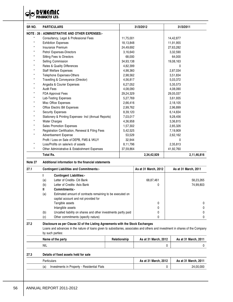

| SR <sub>NO.</sub> | <b>PARTICULARS</b>                                    | 31/3/2012   | 31/3/2011   |
|-------------------|-------------------------------------------------------|-------------|-------------|
|                   | <b>NOTE: 26 : ADMINISTRATIVE AND OTHER EXPENSES:-</b> |             |             |
| $\star$           | Consultancy, Legal & Professional Fees                | 11,75,001   | 14,42,877   |
| $\star$           | <b>Exhibition Expenses</b>                            | 18,13,848   | 11,91,955   |
| $\star$           | Insurance Premium                                     | 24,49,692   | 27,63,282   |
|                   | Petrol Expenses-Directors                             | 3,16,640    | 3,32,590    |
|                   | Sitting Fees to Directors                             | 68,000      | 64.000      |
|                   | Selling Commission                                    | 34,93,138   | 19,08,163   |
|                   | Rates & Quality Differences                           | 4,82,399    | 0           |
|                   | Staff Welfare Expenses                                | 4,98,360    | 2,87,034    |
| $\star$           | Telephone Expenses-Others                             | 2,98,562    | 3,51,834    |
|                   | Travelling & Conveyance (Director)                    | 4,56,817    | 5,03,372    |
|                   | Angadia & Courier Expenses                            | 6,27,052    | 5,35,573    |
|                   | <b>Audit Fees</b>                                     | 4,08,090    | 4,08,090    |
|                   | <b>FDA Approval Fees</b>                              | 29,24,329   | 29,05,037   |
|                   | Lab-Testing Expenses                                  | 5,27,769    | 3,61,935    |
|                   | Misc Office Expenses                                  | 2,66,416    | 2,18,105    |
|                   | Office Electric Bill Expenses                         | 2,99,762    | 2,96,899    |
|                   | <b>Security Expenses</b>                              | 8,39,120    | 6,14,834    |
|                   | Stationery & Printing Expenses- Incl (Annual Reports) | 7,03,017    | 9,28,456    |
|                   | <b>Water Charges</b>                                  | 4,36,958    | 3,36,815    |
|                   | Sales Promotion Expenses                              | 1,57,302    | 2,85,326    |
|                   | Registration Certification, Renewal & Filing Fees     | 5,42,525    | 7,19,909    |
|                   | Advertisement Expense                                 | 53,529      | 2,62,162    |
|                   | Profit / Loss on Sale of DEPB, FMS & VKUY             | 32,944      | 0           |
| ×                 | Loss/Profits on sale/w/o of assets                    | 8,11,796    | 2,35,813    |
|                   | Other Administrative & Estabishment Expenses          | 37,59,864   | 41,92,760   |
|                   | <b>Total Rs.</b>                                      | 2,34,42,929 | 2,11,46,816 |

#### **Note 27 Additional information to the financial statements**

| 27.1 |                                 | <b>Contingent Liabilities and Commitments:-</b>                | As at 31 March, 2012 | As at 31 March, 2011 |  |
|------|---------------------------------|----------------------------------------------------------------|----------------------|----------------------|--|
|      | <b>Contingent Liabilities:-</b> |                                                                |                      |                      |  |
|      | (a)                             | Letter of Credits- Citi Bank                                   | 68,87,461            | 58,23,265            |  |
|      | (b)                             | Letter of Credits- Axis Bank                                   |                      | 74,99,803            |  |
|      | Ш                               | Commitments:-                                                  |                      |                      |  |
|      | (a)                             | Estimated amount of contracts remaining to be executed on      |                      |                      |  |
|      |                                 | capital account and not provided for                           |                      |                      |  |
|      |                                 | Tangible assets                                                | 0                    |                      |  |
|      |                                 | Intangible assets                                              |                      |                      |  |
|      | (b)                             | Uncalled liability on shares and other investments partly paid |                      |                      |  |
|      | (c)                             | Other commitments (specify nature)                             |                      |                      |  |

#### **27.2 Disclosure as per Clause 32 of the Listing Agreements with the Stock Exchanges** Loans and advances in the nature of loans given to subsidiaries, associates and others and investment in shares of the Company

| by such parties: |  |
|------------------|--|
|------------------|--|

| Name of the party | Relationship | As at 31 March, 2012 | As at 31 March, 2011 |
|-------------------|--------------|----------------------|----------------------|
| <b>NIL</b>        |              |                      |                      |

#### **27.3 Details of fixed assets held for sale**

| Particulars                                        | As at 31 March, 2012 | As at 31 March, 2011 |
|----------------------------------------------------|----------------------|----------------------|
| Investments in Property - Residential Flats<br>(a' |                      | 24,00,000            |

 $\overline{\phantom{0}}$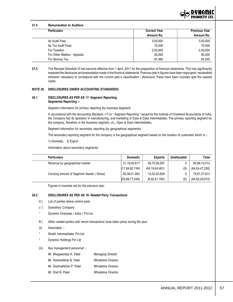

#### **27.4 Remuneration to Auditors**

| <b>Particulars</b>          | <b>Current Year</b> | <b>Previous Year</b> |  |
|-----------------------------|---------------------|----------------------|--|
|                             | Amount Rs.          | Amount Rs.           |  |
| As Audit Fees               | 3,00,000            | 3,00,000             |  |
| As Tax Audit Fees           | 75,000              | 75,000               |  |
| For Taxation                | 2,50,000            | 2,00,000             |  |
| For Other Matters - Appeals | 30,000              | 90,000               |  |
| For Service Tax             | 67,465              | 63,345               |  |

**<sup>27.5</sup>** The Revised Schedule VI has become effective from 1 April, 2011 for the preparation of financial statements. This has significantly impacted the disclosure and presentation made in the financial statements. Previous year's figures have been regrouped / reclassified wherever necessary to correspond with the current year's classification / disclosure. Paise have been rounded upto the nearest rupee.

#### **NOTE 28 DISCLOSURES UNDER ACCOUNTING STANDARDS:**

#### **28.1 DISCLOSURES AS PER AS 17- Segment Reporting Segmental Reporting :-**

Segment information for primary reporting (by business segment)

In accordance with the Accounting Standard -17 on " Segment Reporting " issued by the Institute of Chartered Accountants of India, the Company has its operation in manufacturing, and marketing of Dyes & Dyes Intermediates. The primary reporting segment for the company, therefore is the business segment, viz., Dyes & Dyes Intermediates.

Segment information for secondary reporting (by geographical segments)

The secondary reporting segment for the company is the geographical segment based on the location of customers which is :-

1) Domestic, 2) Export

Information about secondary segments:-

| <b>Particulars</b>                            | <b>Domestic</b>   | <b>Exports</b>    | Unallocated | Total             |
|-----------------------------------------------|-------------------|-------------------|-------------|-------------------|
| Revenue by geographical market                | 21,19,00,617      | 59,70,09,597      |             | 80,89,10,214      |
|                                               | (17, 84, 82, 749) | (46, 19, 64, 481) | (0)         | (64,04,47,230)    |
| Carrying amount of Segment Assets (<br>Gross) | 65,39,31,955      | 10,22,05,658      |             | 75,61,37,614      |
|                                               | (55,69,77,246)    | (8,92,51,764)     | (0)         | (64, 62, 29, 010) |

Figures in brackets are for the previous year.

#### **28.2 DISCLOSURES AS PER AS 18- Related Party Transactions**

- A ] List of parties where control exist
- ( i ) Subsidiary Company
- Dynamic Overseas ( India ) Pvt.Ltd.
- B ] Other related parties with whom transactions have taken place during the year
- (ii) Associates :-
- Shakti Intermediates Pvt.I td.
- Dynemic Holdings Pvt Ltd

#### (iii) Key management personnel :-

- Mr. Bhagwandas K. Patel Managing Director
- Mr. Rameshbhai B. Patel Wholetime Director
- Mr. Dashrathbhai P. Patel Wholetime Director
- Mr. Dixit B. Patel Wholetime Director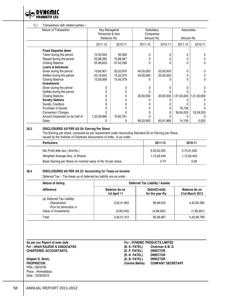◒ **PRODUCTS LTD.** 

#### C ] Transactions with related parties :-

| Nature of Transaction         | Key Managerial<br>Personnel & their<br>Relatives Rs. |           | Subsidiary<br>Companies<br>Amount Rs. |           | Associates<br>Amount Rs. |              |
|-------------------------------|------------------------------------------------------|-----------|---------------------------------------|-----------|--------------------------|--------------|
|                               |                                                      |           |                                       |           |                          |              |
|                               | 2011-12                                              | 2010-11   | 2011-12                               | 2010-11   | 2011-12                  | 2010-11      |
| <b>Fixed Deposits taken</b>   |                                                      |           |                                       |           |                          |              |
| Taken during the period       | 10,50,000                                            | 85,000    | 0                                     |           |                          |              |
| Repaid during the period      | 25,98,090                                            | 74,98,567 | U                                     |           |                          |              |
| Closing Balance               | 25,98,833                                            | 37,42,299 | 0                                     |           |                          | 0            |
| Loans & Advances              |                                                      |           |                                       |           |                          |              |
| Given during the period       | 16,80,901                                            | 20,20,876 | 40,00,000                             | 25,00,000 |                          | <sup>0</sup> |
| Settled during the period     | 20,16,842                                            | 15,32,370 | 40,00,000                             | 25,00,000 |                          |              |
| Closing Balance               | 12,06,068                                            | 15,42,078 |                                       |           |                          | 0            |
| <b>Investments</b>            |                                                      |           |                                       |           |                          |              |
| Given during the period       | <sup>0</sup>                                         | O         | 0                                     |           |                          | <sup>0</sup> |
| Settled during the period     | 0                                                    |           |                                       |           |                          |              |
| Closing Balance               |                                                      |           | 20,60,000                             | 20,60,000 | 1,01,00,000              | 1,01,00,000  |
| <b>Sundry Debtors</b>         | U                                                    |           |                                       |           |                          |              |
| <b>Sundry Creditors</b>       | U                                                    |           |                                       |           |                          |              |
| Purchase of Goods             |                                                      |           |                                       |           | 70,739                   |              |
| <b>Conversion Charges</b>     |                                                      |           |                                       |           | 36,94,229                | 18,39,223    |
| Amount Expended on be half of | 1,03,38,966                                          | 75,60,781 |                                       |           |                          |              |
| Sales                         |                                                      | 0         | 99,20,900                             | 83,91,968 | 14,159                   | 5,025        |

# **28.3 DISCLOSURES AS PER AS 20- Earning Per Share**

The Earning per share, computed as per requirement under Accounting Standard-20 on Earning per Share, issued by the Institute of Chartered Accountants of India , is as under :

| <b>Particulars</b>                                           | 2011-12     | 2010-11     |
|--------------------------------------------------------------|-------------|-------------|
| Net Profit after tax (Amt.Rs.)                               | 5,35,52,550 | 5,75,91,056 |
| Weighted Average Nos. of Shares                              | 1,13,28,449 | 1,13,28,449 |
| Basic Earning per Share on nominal value of Rs.10/-per share | 4.73        | 5.08        |

#### **28.4 DISCLOSURES AS PER AS 22- Accounting for Taxes on Income:**

Deferred Tax :- The break up of deferred tax liability are as under :

| Nature of timing                                                        | Deferred Tax Liability / Assets      |                                    |                                         |  |  |
|-------------------------------------------------------------------------|--------------------------------------|------------------------------------|-----------------------------------------|--|--|
| difference                                                              | <b>Balance As on</b><br>1st April 11 | Debit/(Credit)<br>for the year Rs. | <b>Balance As on</b><br>31st March 2012 |  |  |
| (a) Deferred Tax Liability<br>- Depreciation<br>-Prov for diminution in | 3,52,41,855                          | 90,48,535                          | 4,42,90,390                             |  |  |
| Value of Investments                                                    | (6,90,543)                           | $-(4,99,952)$                      | (1,90,591)                              |  |  |
| Total                                                                   | 3,45,51,312                          | 95,48,487                          | 4,40,99,799                             |  |  |

#### As per our Report of even date  $For: SHAH RAJESH & ASSOCIATES$  $CHARTERED ACCOUNTANTS.$

**(Rajesh D. Shah) (D. B. PATEL) DIRECTOR** FRN. 109767W Place : Ahmedabad. Date : 23/06/2012

 $\overline{\phantom{0}}$ 

 $\overline{\phantom{a}}$ 

| <b>For: DYNEMIC PRODUCTS LIMITED</b> |                          |  |
|--------------------------------------|--------------------------|--|
| (B. K. PATEL)                        | Chairman & M. D.         |  |
| (D. P. PATEL)                        | <b>DIRECTOR</b>          |  |
| (R. B. PATEL)                        | <b>DIRECTOR</b>          |  |
| (D. B. PATEL)                        | <b>DIRECTOR</b>          |  |
| (Varsha Mehta)                       | <b>COMPANY SECRETARY</b> |  |
|                                      |                          |  |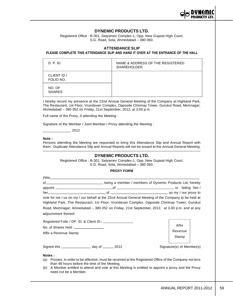

# **DYNEMIC PRODUCTS LTD.**

Registered Office : B-301, Satyamev Complex-1, Opp. New Gujarat High Court, S.G. Road, Sola, Ahmedabad – 380 060.

#### **ATTENDANCE SLIP**

#### **PLEASE COMPLETE THIS ATTENDANCE SLIP AND HAND IT OVER AT THE ENTRANCE OF THE HALL**

| D. P. ID                 | NAME & ADDRESS OF THE REGISTERED<br><b>SHAREHOLDER</b> |
|--------------------------|--------------------------------------------------------|
| CLIENT ID /<br>FOLIO NO. |                                                        |
| NO. OF<br><b>SHARES</b>  |                                                        |

I hereby record my presence at the 22nd Annual General Meeting of the Company at Highland Park, The Restaurant, 1st Floor, Vrundavan Complex, Opposite Chinmay Tower, Gurukul Road, Memnagar, Ahmedabad – 380 052 on Friday, 21st September, 2012, at 3.00 p.m.

Full name of the Proxy, if attending the Meeting :

Signature of the Member / Joint Member / Proxy attending the Meeting :

 $_{-1}$ , 2012

#### **Note :**

Persons attending the Meeting are requested to bring this Attendance Slip and Annual Report with them. Duplicate Attendance Slip and Annual Reports will not be issued at the Annual General Meeting.

#### —————————————————————————————————————————————— **DYNEMIC PRODUCTS LTD.**

Registered Office : B-301, Satyamev Complex-1, Opp. New Gujarat High Court, S.G. Road, Sola, Ahmedabad – 380 060.

#### **PROXY FORM**

| $I/We$ , $\qquad \qquad$                                                                            |  |  |                           |  |
|-----------------------------------------------------------------------------------------------------|--|--|---------------------------|--|
|                                                                                                     |  |  |                           |  |
|                                                                                                     |  |  |                           |  |
|                                                                                                     |  |  |                           |  |
| vote for me / us on my / our behalf at the 22nd Annual General Meeting of the Company to be held at |  |  |                           |  |
| Highland Park, The Restaurant, 1st Floor, Vrundavan Complex, Opposite Chinmay Tower, Gurukul        |  |  |                           |  |
| Road, Memnagar, Ahmedabad – 380 052 on Friday, 21st September, 2012, at 3.00 p.m. and at any        |  |  |                           |  |
| adjournment thereof.                                                                                |  |  |                           |  |
|                                                                                                     |  |  |                           |  |
|                                                                                                     |  |  | Affix                     |  |
| Affix a Revenue Stamp                                                                               |  |  | Revenue                   |  |
|                                                                                                     |  |  | Stamp                     |  |
|                                                                                                     |  |  |                           |  |
| Signed this ______________________ day of ________ 2012                                             |  |  | Signature(s) of Member(s) |  |
| Notes:                                                                                              |  |  |                           |  |

(a) Proxies, in order to be effective, must be received at the Registered Office of the Company not less than 48 hours before the time of the Meeting.

(b) A Member entitled to attend and vote at this Meeting is entitled to appoint a proxy and the Proxy need not be a Member.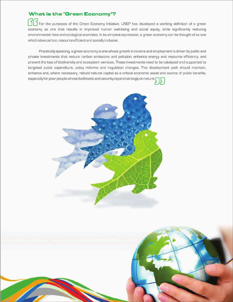# **What is the "Green Economy"?**

For the purposes of the Green Economy Initiative, UNEP has developed a working definition of a green economy as one that results in improved human well-being and social equity, while significantly reducing environmental risks and ecological scarcities. In its simplest expression, a green economy can be thought of as one which islow carbon, resource efficient and socially inclusive.

Practically speaking, a green economy is one whose growth in income and employment is driven by public and private investments that reduce carbon emissions and pollution, enhance energy and resource efficiency, and prevent the loss of biodiversity and ecosystem services. These investments need to be catalyzed and supported by targeted public expenditure, policy reforms and regulation changes. This development path should maintain, enhance and, where necessary, rebuild natural capital as a critical economic asset and source of public benefits, especially for poor people whose livelihoods and security depend strongly on nature.